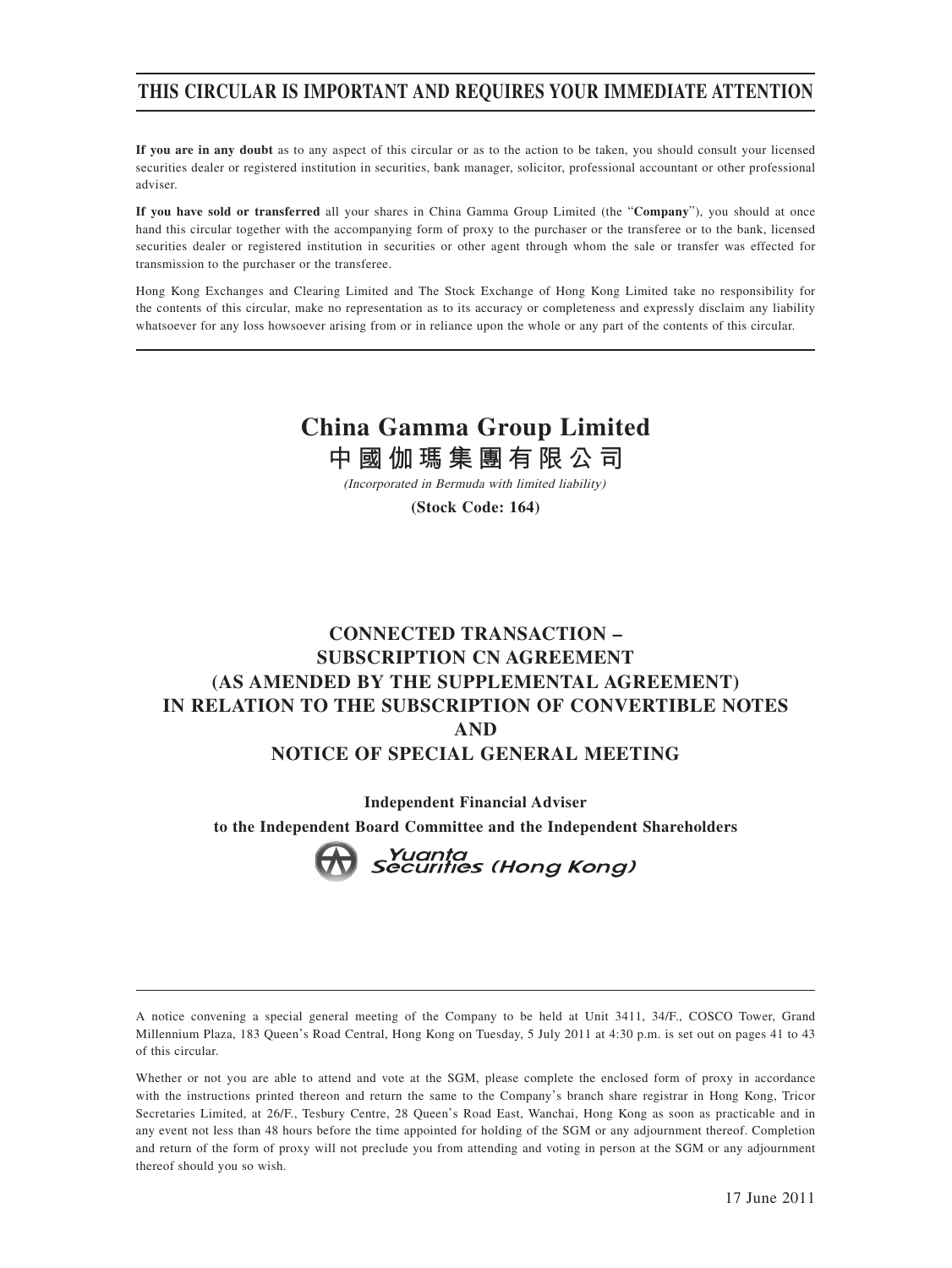## **THIS CIRCULAR IS IMPORTANT AND REQUIRES YOUR IMMEDIATE ATTENTION**

**If you are in any doubt** as to any aspect of this circular or as to the action to be taken, you should consult your licensed securities dealer or registered institution in securities, bank manager, solicitor, professional accountant or other professional adviser.

**If you have sold or transferred** all your shares in China Gamma Group Limited (the "**Company**"), you should at once hand this circular together with the accompanying form of proxy to the purchaser or the transferee or to the bank, licensed securities dealer or registered institution in securities or other agent through whom the sale or transfer was effected for transmission to the purchaser or the transferee.

Hong Kong Exchanges and Clearing Limited and The Stock Exchange of Hong Kong Limited take no responsibility for the contents of this circular, make no representation as to its accuracy or completeness and expressly disclaim any liability whatsoever for any loss howsoever arising from or in reliance upon the whole or any part of the contents of this circular.

# **China Gamma Group Limited**

**中國伽瑪集團有限公司**

(Incorporated in Bermuda with limited liability)

**(Stock Code: 164)**

## **CONNECTED TRANSACTION – SUBSCRIPTION CN AGREEMENT (AS AMENDED BY THE SUPPLEMENTAL AGREEMENT) IN RELATION TO THE SUBSCRIPTION OF CONVERTIBLE NOTES AND NOTICE OF SPECIAL GENERAL MEETING**

**Independent Financial Adviser to the Independent Board Committee and the Independent Shareholders**



Whether or not you are able to attend and vote at the SGM, please complete the enclosed form of proxy in accordance with the instructions printed thereon and return the same to the Company's branch share registrar in Hong Kong, Tricor Secretaries Limited, at 26/F., Tesbury Centre, 28 Queen's Road East, Wanchai, Hong Kong as soon as practicable and in any event not less than 48 hours before the time appointed for holding of the SGM or any adjournment thereof. Completion and return of the form of proxy will not preclude you from attending and voting in person at the SGM or any adjournment thereof should you so wish.

A notice convening a special general meeting of the Company to be held at Unit 3411, 34/F., COSCO Tower, Grand Millennium Plaza, 183 Queen's Road Central, Hong Kong on Tuesday, 5 July 2011 at 4:30 p.m. is set out on pages 41 to 43 of this circular.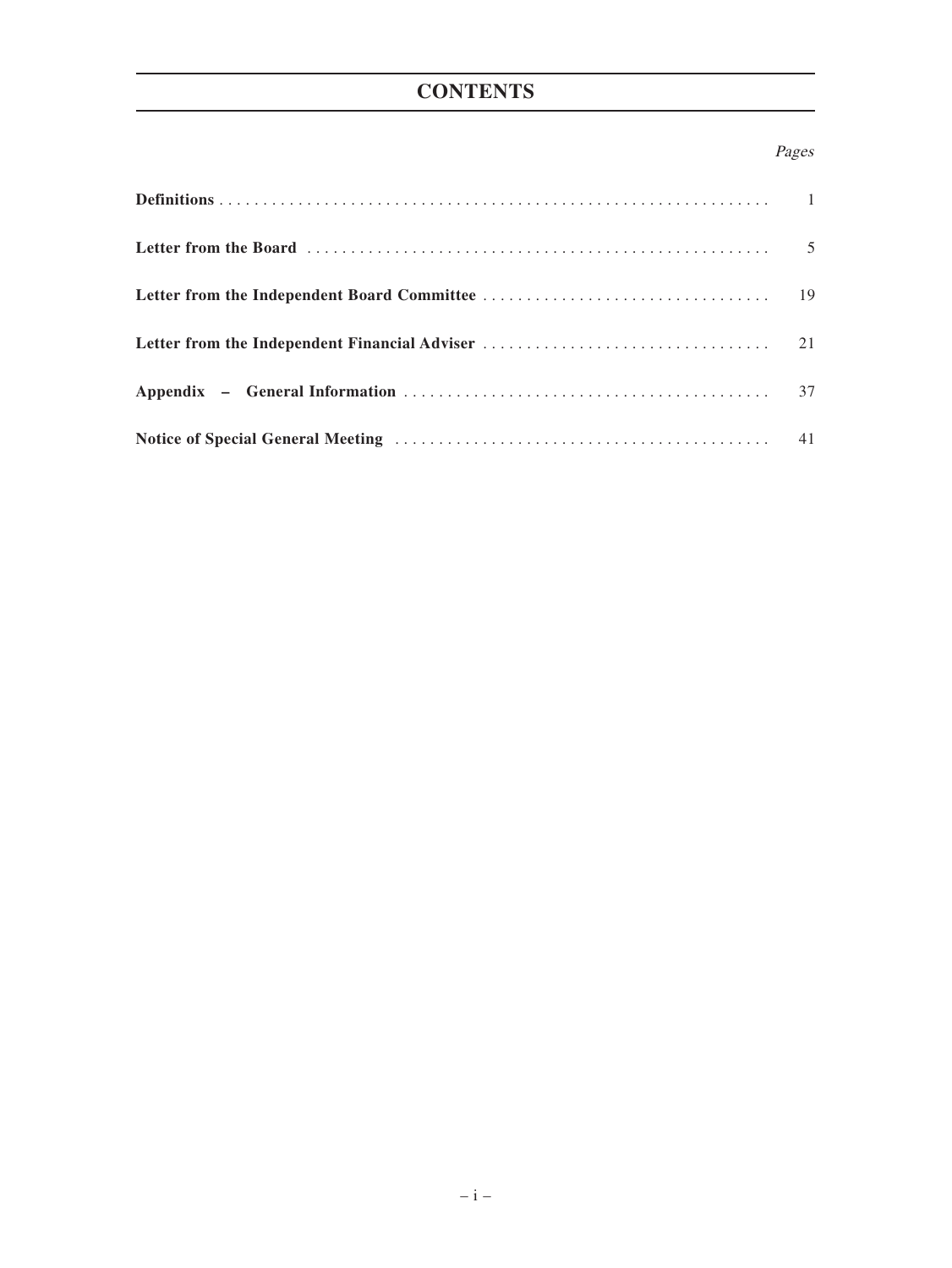# **CONTENTS**

### Pages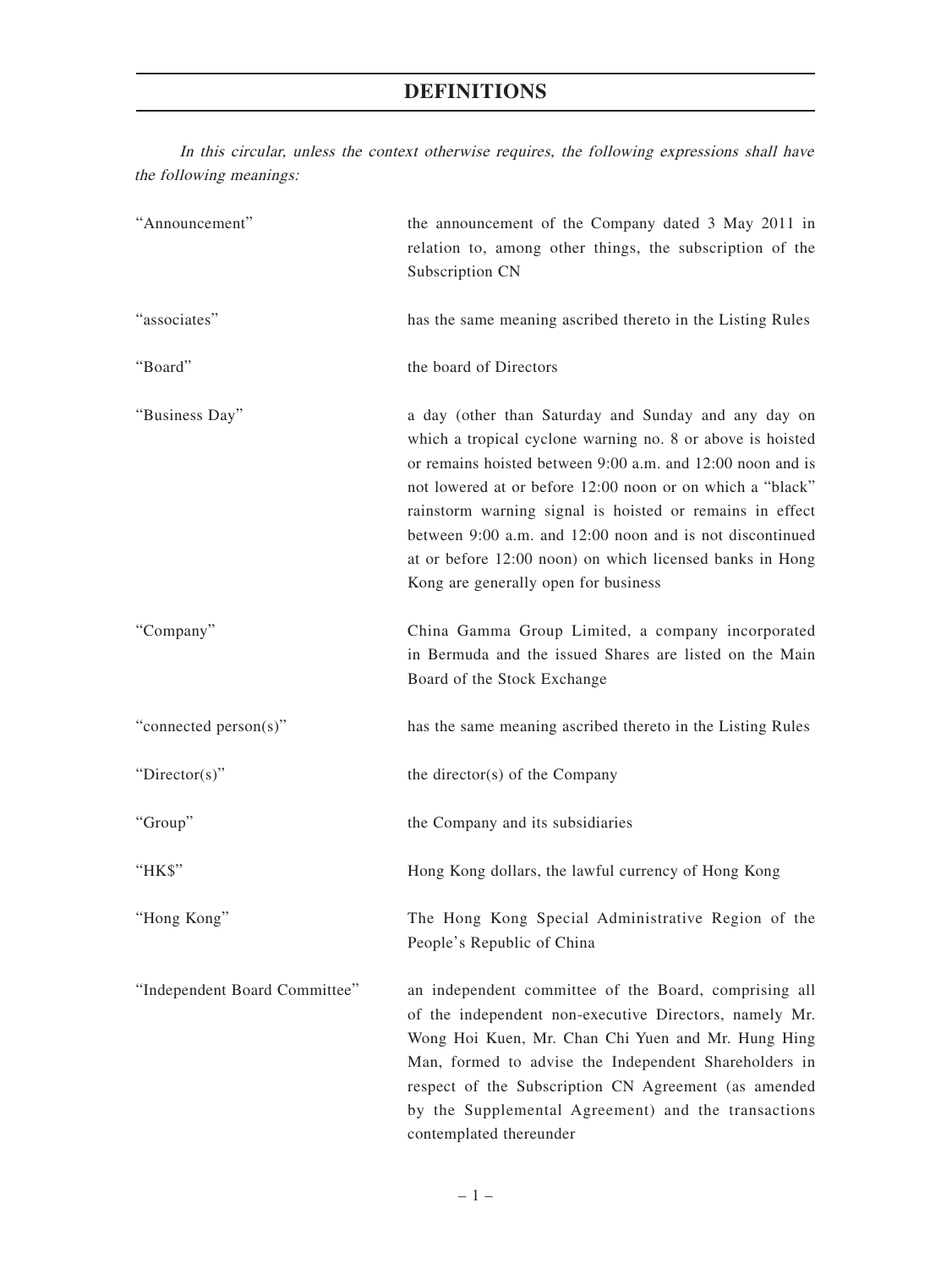In this circular, unless the context otherwise requires, the following expressions shall have the following meanings:

| "Announcement"                | the announcement of the Company dated 3 May 2011 in<br>relation to, among other things, the subscription of the<br>Subscription CN                                                                                                                                                                                                                                                                                                                                        |
|-------------------------------|---------------------------------------------------------------------------------------------------------------------------------------------------------------------------------------------------------------------------------------------------------------------------------------------------------------------------------------------------------------------------------------------------------------------------------------------------------------------------|
| "associates"                  | has the same meaning ascribed thereto in the Listing Rules                                                                                                                                                                                                                                                                                                                                                                                                                |
| "Board"                       | the board of Directors                                                                                                                                                                                                                                                                                                                                                                                                                                                    |
| "Business Day"                | a day (other than Saturday and Sunday and any day on<br>which a tropical cyclone warning no. 8 or above is hoisted<br>or remains hoisted between 9:00 a.m. and 12:00 noon and is<br>not lowered at or before 12:00 noon or on which a "black"<br>rainstorm warning signal is hoisted or remains in effect<br>between 9:00 a.m. and 12:00 noon and is not discontinued<br>at or before 12:00 noon) on which licensed banks in Hong<br>Kong are generally open for business |
| "Company"                     | China Gamma Group Limited, a company incorporated<br>in Bermuda and the issued Shares are listed on the Main<br>Board of the Stock Exchange                                                                                                                                                                                                                                                                                                                               |
| "connected person(s)"         | has the same meaning ascribed thereto in the Listing Rules                                                                                                                                                                                                                                                                                                                                                                                                                |
| "Director(s)"                 | the director(s) of the Company                                                                                                                                                                                                                                                                                                                                                                                                                                            |
| "Group"                       | the Company and its subsidiaries                                                                                                                                                                                                                                                                                                                                                                                                                                          |
| "HK\$"                        | Hong Kong dollars, the lawful currency of Hong Kong                                                                                                                                                                                                                                                                                                                                                                                                                       |
| "Hong Kong"                   | The Hong Kong Special Administrative Region of the<br>People's Republic of China                                                                                                                                                                                                                                                                                                                                                                                          |
| "Independent Board Committee" | an independent committee of the Board, comprising all<br>of the independent non-executive Directors, namely Mr.<br>Wong Hoi Kuen, Mr. Chan Chi Yuen and Mr. Hung Hing<br>Man, formed to advise the Independent Shareholders in<br>respect of the Subscription CN Agreement (as amended<br>by the Supplemental Agreement) and the transactions<br>contemplated thereunder                                                                                                  |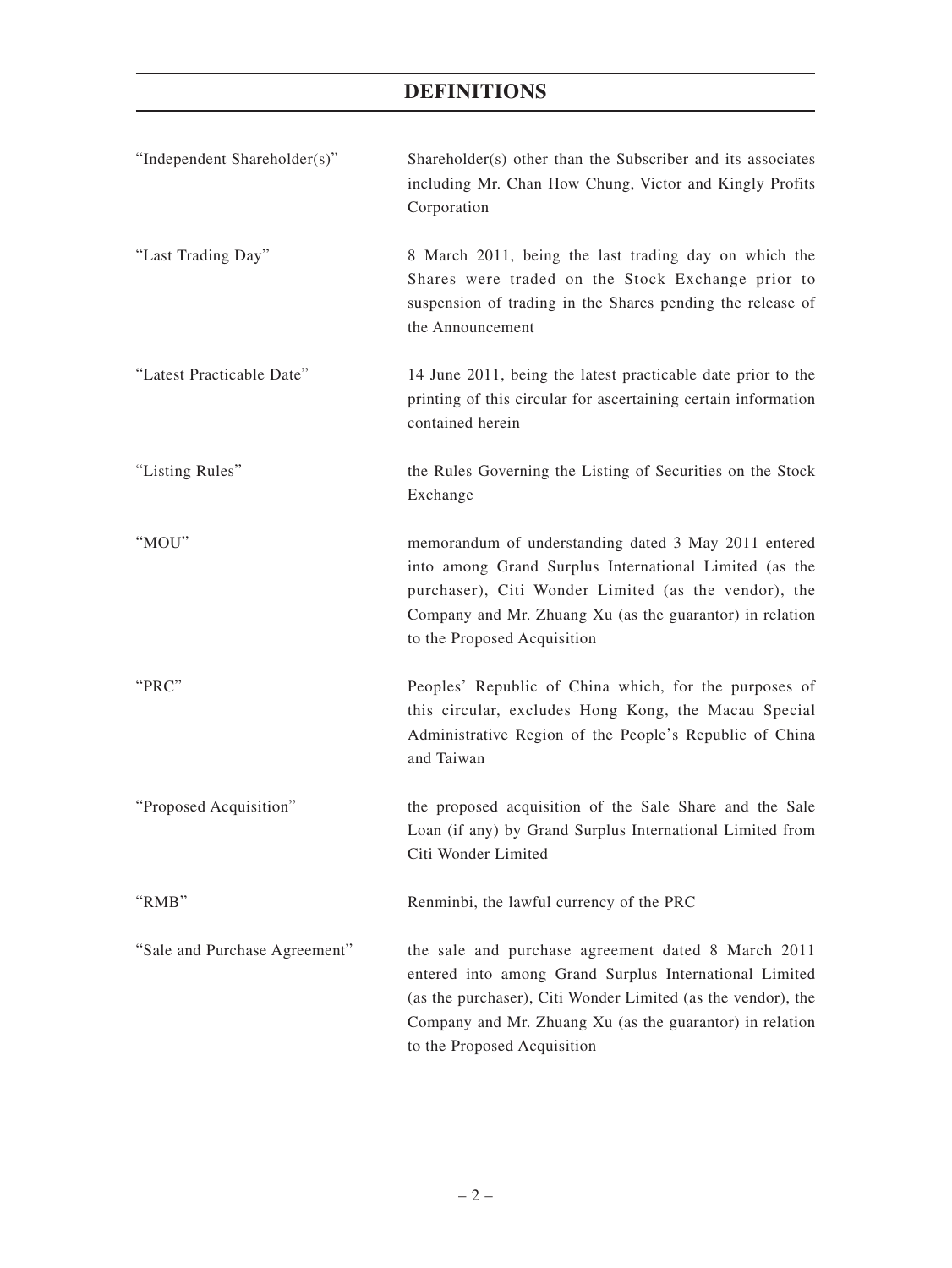| "Independent Shareholder(s)"  | Shareholder(s) other than the Subscriber and its associates<br>including Mr. Chan How Chung, Victor and Kingly Profits<br>Corporation                                                                                                                                   |
|-------------------------------|-------------------------------------------------------------------------------------------------------------------------------------------------------------------------------------------------------------------------------------------------------------------------|
| "Last Trading Day"            | 8 March 2011, being the last trading day on which the<br>Shares were traded on the Stock Exchange prior to<br>suspension of trading in the Shares pending the release of<br>the Announcement                                                                            |
| "Latest Practicable Date"     | 14 June 2011, being the latest practicable date prior to the<br>printing of this circular for ascertaining certain information<br>contained herein                                                                                                                      |
| "Listing Rules"               | the Rules Governing the Listing of Securities on the Stock<br>Exchange                                                                                                                                                                                                  |
| "MOU"                         | memorandum of understanding dated 3 May 2011 entered<br>into among Grand Surplus International Limited (as the<br>purchaser), Citi Wonder Limited (as the vendor), the<br>Company and Mr. Zhuang Xu (as the guarantor) in relation<br>to the Proposed Acquisition       |
| "PRC"                         | Peoples' Republic of China which, for the purposes of<br>this circular, excludes Hong Kong, the Macau Special<br>Administrative Region of the People's Republic of China<br>and Taiwan                                                                                  |
| "Proposed Acquisition"        | the proposed acquisition of the Sale Share and the Sale<br>Loan (if any) by Grand Surplus International Limited from<br>Citi Wonder Limited                                                                                                                             |
| "RMB"                         | Renminbi, the lawful currency of the PRC                                                                                                                                                                                                                                |
| "Sale and Purchase Agreement" | the sale and purchase agreement dated 8 March 2011<br>entered into among Grand Surplus International Limited<br>(as the purchaser), Citi Wonder Limited (as the vendor), the<br>Company and Mr. Zhuang Xu (as the guarantor) in relation<br>to the Proposed Acquisition |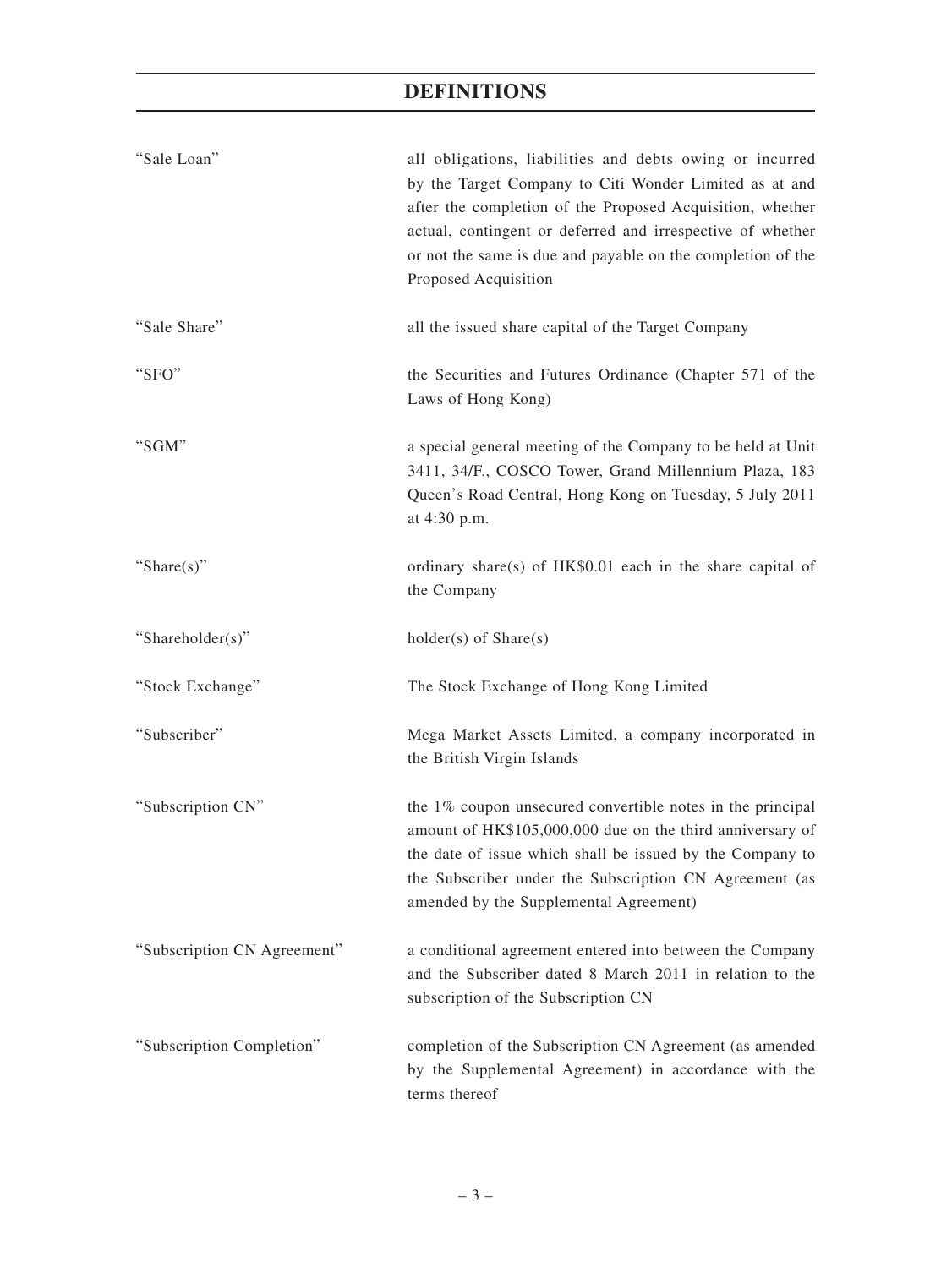| "Sale Loan"                 | all obligations, liabilities and debts owing or incurred<br>by the Target Company to Citi Wonder Limited as at and<br>after the completion of the Proposed Acquisition, whether<br>actual, contingent or deferred and irrespective of whether<br>or not the same is due and payable on the completion of the<br>Proposed Acquisition |
|-----------------------------|--------------------------------------------------------------------------------------------------------------------------------------------------------------------------------------------------------------------------------------------------------------------------------------------------------------------------------------|
| "Sale Share"                | all the issued share capital of the Target Company                                                                                                                                                                                                                                                                                   |
| "SFO"                       | the Securities and Futures Ordinance (Chapter 571 of the<br>Laws of Hong Kong)                                                                                                                                                                                                                                                       |
| "SGM"                       | a special general meeting of the Company to be held at Unit<br>3411, 34/F., COSCO Tower, Grand Millennium Plaza, 183<br>Queen's Road Central, Hong Kong on Tuesday, 5 July 2011<br>at 4:30 p.m.                                                                                                                                      |
| "Share $(s)$ "              | ordinary share(s) of HK\$0.01 each in the share capital of<br>the Company                                                                                                                                                                                                                                                            |
| "Shareholder(s)"            | holder(s) of Share(s)                                                                                                                                                                                                                                                                                                                |
| "Stock Exchange"            | The Stock Exchange of Hong Kong Limited                                                                                                                                                                                                                                                                                              |
| "Subscriber"                | Mega Market Assets Limited, a company incorporated in<br>the British Virgin Islands                                                                                                                                                                                                                                                  |
| "Subscription CN"           | the 1% coupon unsecured convertible notes in the principal<br>amount of HK\$105,000,000 due on the third anniversary of<br>the date of issue which shall be issued by the Company to<br>the Subscriber under the Subscription CN Agreement (as<br>amended by the Supplemental Agreement)                                             |
| "Subscription CN Agreement" | a conditional agreement entered into between the Company<br>and the Subscriber dated 8 March 2011 in relation to the<br>subscription of the Subscription CN                                                                                                                                                                          |
| "Subscription Completion"   | completion of the Subscription CN Agreement (as amended<br>by the Supplemental Agreement) in accordance with the<br>terms thereof                                                                                                                                                                                                    |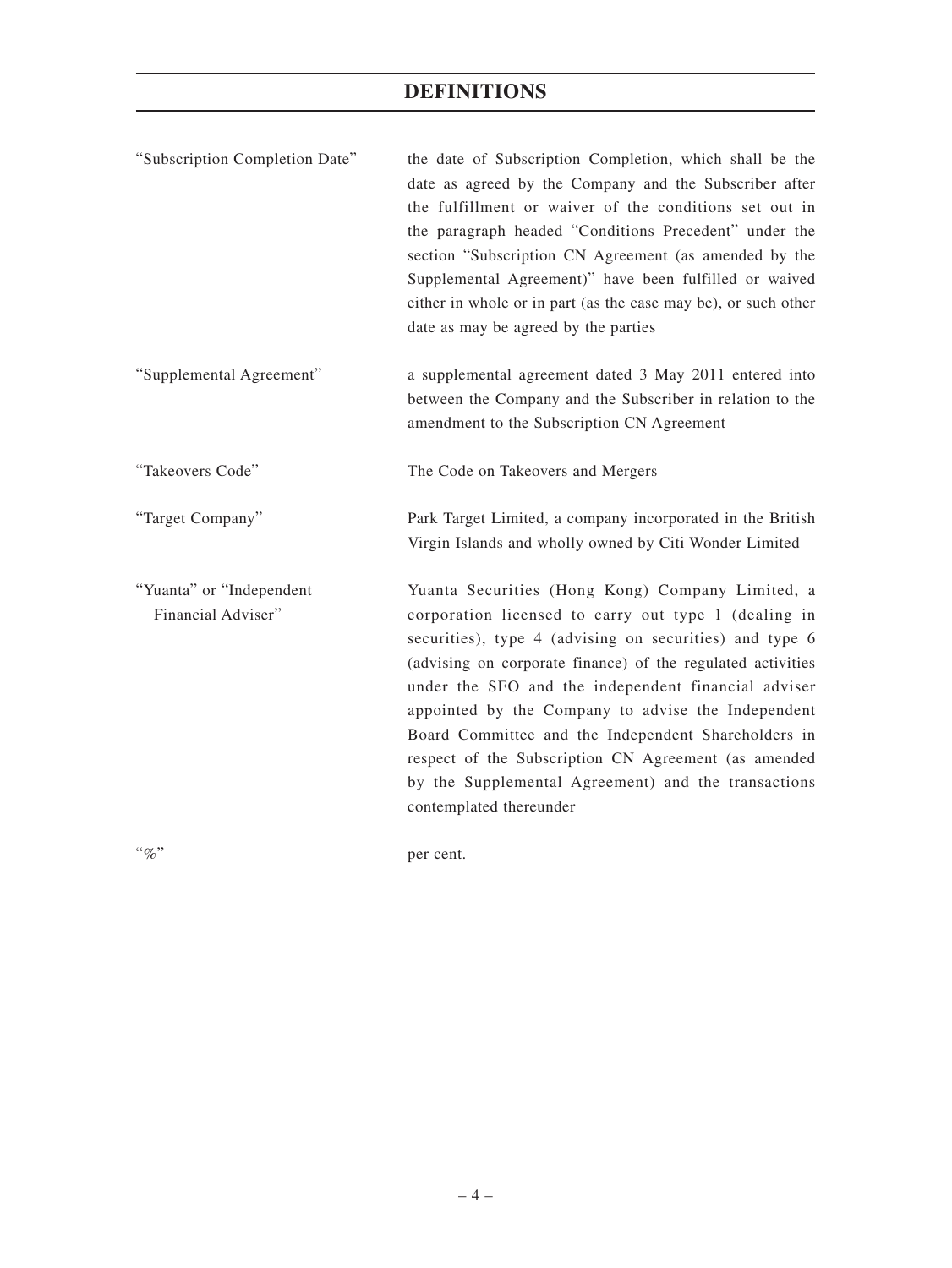| "Subscription Completion Date"                 | the date of Subscription Completion, which shall be the<br>date as agreed by the Company and the Subscriber after<br>the fulfillment or waiver of the conditions set out in<br>the paragraph headed "Conditions Precedent" under the<br>section "Subscription CN Agreement (as amended by the<br>Supplemental Agreement)" have been fulfilled or waived<br>either in whole or in part (as the case may be), or such other<br>date as may be agreed by the parties                                                                                |
|------------------------------------------------|--------------------------------------------------------------------------------------------------------------------------------------------------------------------------------------------------------------------------------------------------------------------------------------------------------------------------------------------------------------------------------------------------------------------------------------------------------------------------------------------------------------------------------------------------|
| "Supplemental Agreement"                       | a supplemental agreement dated 3 May 2011 entered into<br>between the Company and the Subscriber in relation to the<br>amendment to the Subscription CN Agreement                                                                                                                                                                                                                                                                                                                                                                                |
| "Takeovers Code"                               | The Code on Takeovers and Mergers                                                                                                                                                                                                                                                                                                                                                                                                                                                                                                                |
| "Target Company"                               | Park Target Limited, a company incorporated in the British<br>Virgin Islands and wholly owned by Citi Wonder Limited                                                                                                                                                                                                                                                                                                                                                                                                                             |
| "Yuanta" or "Independent<br>Financial Adviser" | Yuanta Securities (Hong Kong) Company Limited, a<br>corporation licensed to carry out type 1 (dealing in<br>securities), type 4 (advising on securities) and type 6<br>(advising on corporate finance) of the regulated activities<br>under the SFO and the independent financial adviser<br>appointed by the Company to advise the Independent<br>Board Committee and the Independent Shareholders in<br>respect of the Subscription CN Agreement (as amended<br>by the Supplemental Agreement) and the transactions<br>contemplated thereunder |
| $``\%"$                                        | per cent.                                                                                                                                                                                                                                                                                                                                                                                                                                                                                                                                        |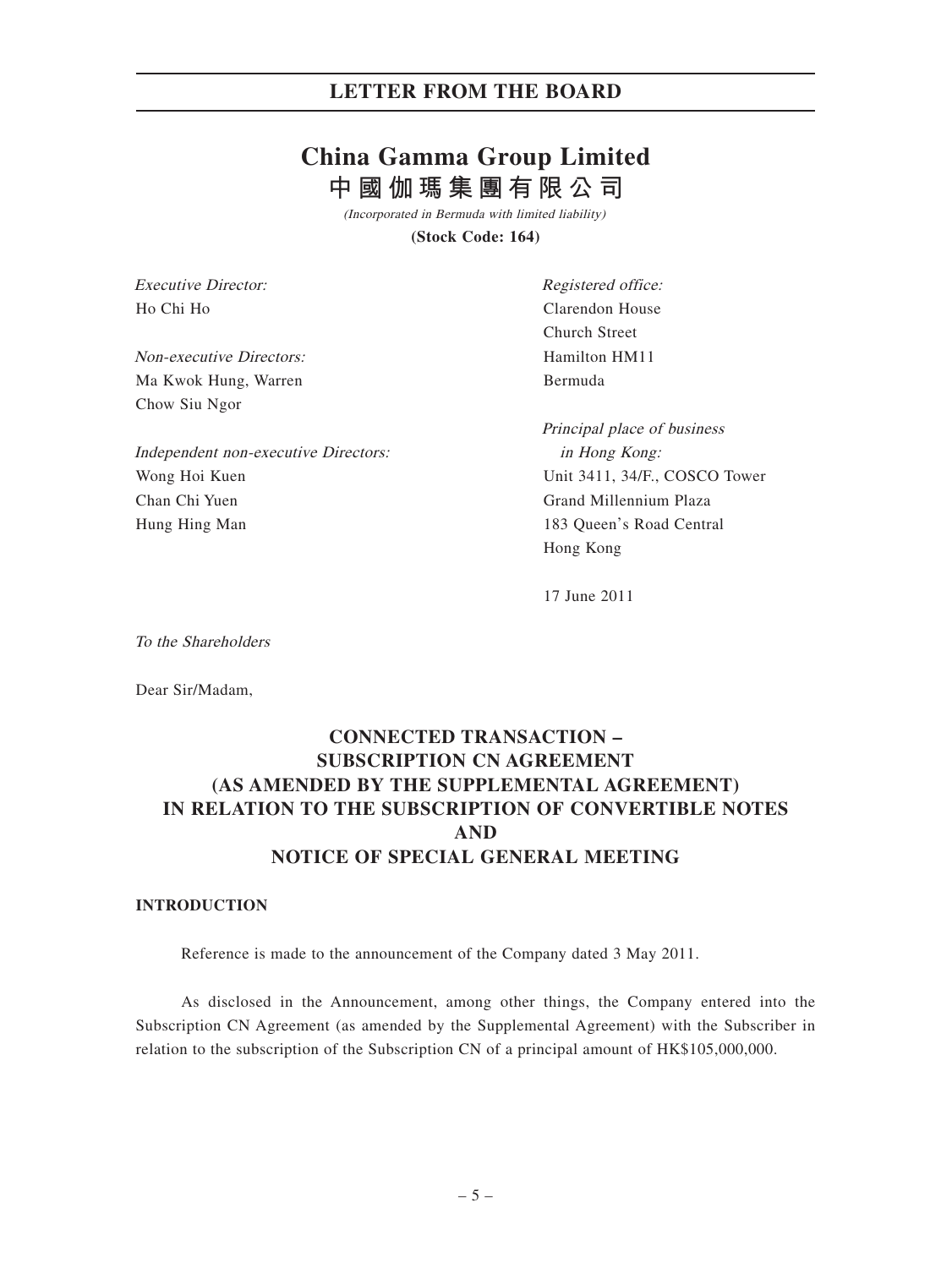# **China Gamma Group Limited 中國伽瑪集團有限公司**

(Incorporated in Bermuda with limited liability)

**(Stock Code: 164)**

Executive Director: Ho Chi Ho

Non-executive Directors: Ma Kwok Hung, Warren Chow Siu Ngor

Independent non-executive Directors: Wong Hoi Kuen Chan Chi Yuen Hung Hing Man

Registered office: Clarendon House Church Street Hamilton HM11 Bermuda

Principal place of business in Hong Kong: Unit 3411, 34/F., COSCO Tower Grand Millennium Plaza 183 Queen's Road Central Hong Kong

17 June 2011

To the Shareholders

Dear Sir/Madam,

## **CONNECTED TRANSACTION – SUBSCRIPTION CN AGREEMENT (AS AMENDED BY THE SUPPLEMENTAL AGREEMENT) IN RELATION TO THE SUBSCRIPTION OF CONVERTIBLE NOTES AND NOTICE OF SPECIAL GENERAL MEETING**

#### **INTRODUCTION**

Reference is made to the announcement of the Company dated 3 May 2011.

As disclosed in the Announcement, among other things, the Company entered into the Subscription CN Agreement (as amended by the Supplemental Agreement) with the Subscriber in relation to the subscription of the Subscription CN of a principal amount of HK\$105,000,000.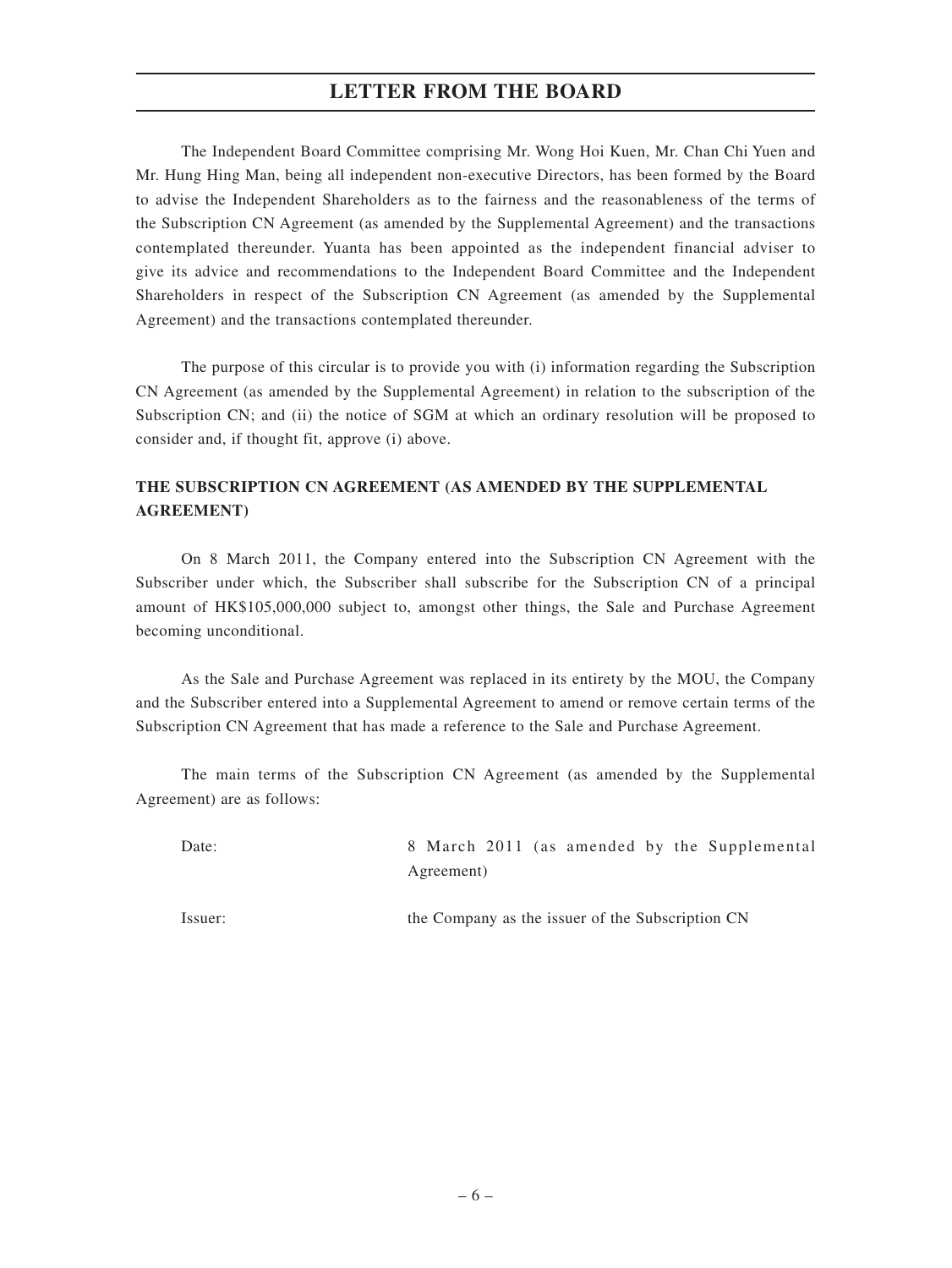The Independent Board Committee comprising Mr. Wong Hoi Kuen, Mr. Chan Chi Yuen and Mr. Hung Hing Man, being all independent non-executive Directors, has been formed by the Board to advise the Independent Shareholders as to the fairness and the reasonableness of the terms of the Subscription CN Agreement (as amended by the Supplemental Agreement) and the transactions contemplated thereunder. Yuanta has been appointed as the independent financial adviser to give its advice and recommendations to the Independent Board Committee and the Independent Shareholders in respect of the Subscription CN Agreement (as amended by the Supplemental Agreement) and the transactions contemplated thereunder.

The purpose of this circular is to provide you with (i) information regarding the Subscription CN Agreement (as amended by the Supplemental Agreement) in relation to the subscription of the Subscription CN; and (ii) the notice of SGM at which an ordinary resolution will be proposed to consider and, if thought fit, approve (i) above.

## **THE SUBSCRIPTION CN AGREEMENT (AS AMENDED BY THE SUPPLEMENTAL AGREEMENT)**

On 8 March 2011, the Company entered into the Subscription CN Agreement with the Subscriber under which, the Subscriber shall subscribe for the Subscription CN of a principal amount of HK\$105,000,000 subject to, amongst other things, the Sale and Purchase Agreement becoming unconditional.

As the Sale and Purchase Agreement was replaced in its entirety by the MOU, the Company and the Subscriber entered into a Supplemental Agreement to amend or remove certain terms of the Subscription CN Agreement that has made a reference to the Sale and Purchase Agreement.

The main terms of the Subscription CN Agreement (as amended by the Supplemental Agreement) are as follows:

| Date:   | 8 March 2011 (as amended by the Supplemental     |
|---------|--------------------------------------------------|
|         | Agreement)                                       |
| Issuer: | the Company as the issuer of the Subscription CN |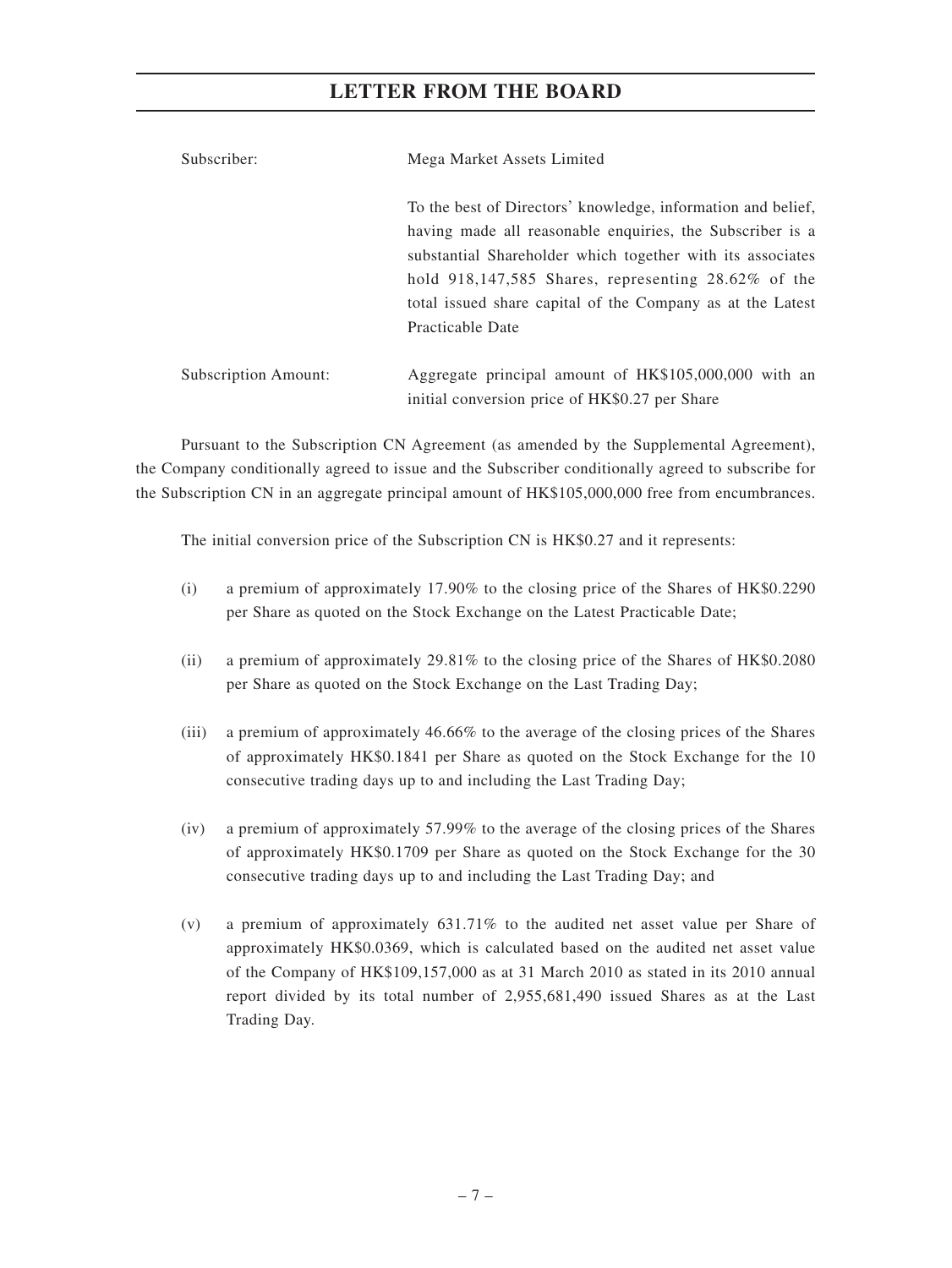| Subscriber:          | Mega Market Assets Limited                                                                                                                                                                                                                                                                                        |  |  |  |  |
|----------------------|-------------------------------------------------------------------------------------------------------------------------------------------------------------------------------------------------------------------------------------------------------------------------------------------------------------------|--|--|--|--|
|                      | To the best of Directors' knowledge, information and belief,<br>having made all reasonable enquiries, the Subscriber is a<br>substantial Shareholder which together with its associates<br>hold $918,147,585$ Shares, representing $28.62\%$ of the<br>total issued share capital of the Company as at the Latest |  |  |  |  |
| Subscription Amount: | Practicable Date<br>Aggregate principal amount of HK\$105,000,000 with an<br>initial conversion price of HK\$0.27 per Share                                                                                                                                                                                       |  |  |  |  |

Pursuant to the Subscription CN Agreement (as amended by the Supplemental Agreement), the Company conditionally agreed to issue and the Subscriber conditionally agreed to subscribe for the Subscription CN in an aggregate principal amount of HK\$105,000,000 free from encumbrances.

The initial conversion price of the Subscription CN is HK\$0.27 and it represents:

- (i) a premium of approximately 17.90% to the closing price of the Shares of HK\$0.2290 per Share as quoted on the Stock Exchange on the Latest Practicable Date;
- (ii) a premium of approximately 29.81% to the closing price of the Shares of HK\$0.2080 per Share as quoted on the Stock Exchange on the Last Trading Day;
- (iii) a premium of approximately 46.66% to the average of the closing prices of the Shares of approximately HK\$0.1841 per Share as quoted on the Stock Exchange for the 10 consecutive trading days up to and including the Last Trading Day;
- (iv) a premium of approximately 57.99% to the average of the closing prices of the Shares of approximately HK\$0.1709 per Share as quoted on the Stock Exchange for the 30 consecutive trading days up to and including the Last Trading Day; and
- (v) a premium of approximately 631.71% to the audited net asset value per Share of approximately HK\$0.0369, which is calculated based on the audited net asset value of the Company of HK\$109,157,000 as at 31 March 2010 as stated in its 2010 annual report divided by its total number of 2,955,681,490 issued Shares as at the Last Trading Day.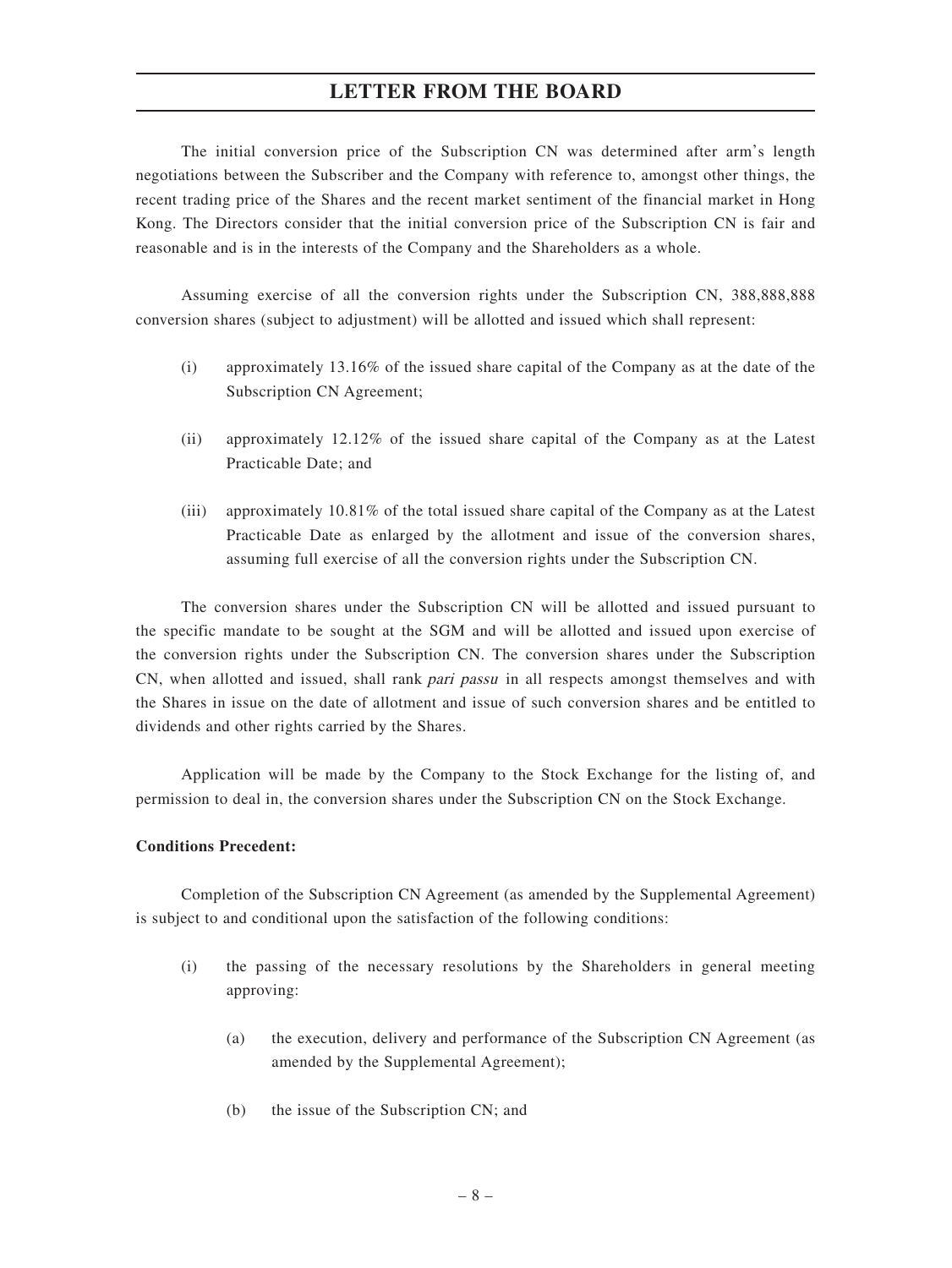The initial conversion price of the Subscription CN was determined after arm's length negotiations between the Subscriber and the Company with reference to, amongst other things, the recent trading price of the Shares and the recent market sentiment of the financial market in Hong Kong. The Directors consider that the initial conversion price of the Subscription CN is fair and reasonable and is in the interests of the Company and the Shareholders as a whole.

Assuming exercise of all the conversion rights under the Subscription CN, 388,888,888 conversion shares (subject to adjustment) will be allotted and issued which shall represent:

- (i) approximately 13.16% of the issued share capital of the Company as at the date of the Subscription CN Agreement;
- (ii) approximately 12.12% of the issued share capital of the Company as at the Latest Practicable Date; and
- (iii) approximately 10.81% of the total issued share capital of the Company as at the Latest Practicable Date as enlarged by the allotment and issue of the conversion shares, assuming full exercise of all the conversion rights under the Subscription CN.

The conversion shares under the Subscription CN will be allotted and issued pursuant to the specific mandate to be sought at the SGM and will be allotted and issued upon exercise of the conversion rights under the Subscription CN. The conversion shares under the Subscription CN, when allotted and issued, shall rank pari passu in all respects amongst themselves and with the Shares in issue on the date of allotment and issue of such conversion shares and be entitled to dividends and other rights carried by the Shares.

Application will be made by the Company to the Stock Exchange for the listing of, and permission to deal in, the conversion shares under the Subscription CN on the Stock Exchange.

#### **Conditions Precedent:**

Completion of the Subscription CN Agreement (as amended by the Supplemental Agreement) is subject to and conditional upon the satisfaction of the following conditions:

- (i) the passing of the necessary resolutions by the Shareholders in general meeting approving:
	- (a) the execution, delivery and performance of the Subscription CN Agreement (as amended by the Supplemental Agreement);
	- (b) the issue of the Subscription CN; and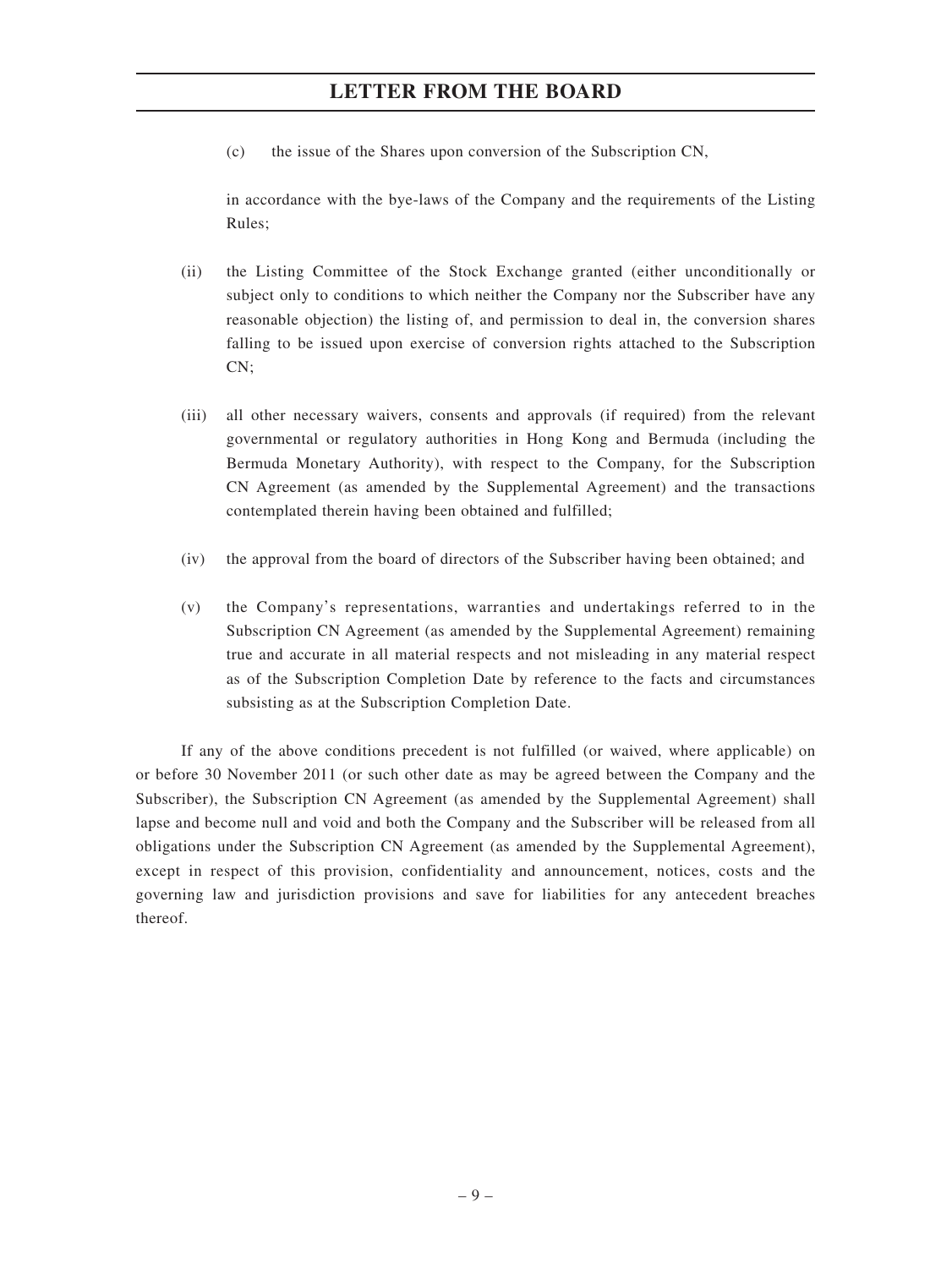(c) the issue of the Shares upon conversion of the Subscription CN,

in accordance with the bye-laws of the Company and the requirements of the Listing Rules;

- (ii) the Listing Committee of the Stock Exchange granted (either unconditionally or subject only to conditions to which neither the Company nor the Subscriber have any reasonable objection) the listing of, and permission to deal in, the conversion shares falling to be issued upon exercise of conversion rights attached to the Subscription CN:
- (iii) all other necessary waivers, consents and approvals (if required) from the relevant governmental or regulatory authorities in Hong Kong and Bermuda (including the Bermuda Monetary Authority), with respect to the Company, for the Subscription CN Agreement (as amended by the Supplemental Agreement) and the transactions contemplated therein having been obtained and fulfilled;
- (iv) the approval from the board of directors of the Subscriber having been obtained; and
- (v) the Company's representations, warranties and undertakings referred to in the Subscription CN Agreement (as amended by the Supplemental Agreement) remaining true and accurate in all material respects and not misleading in any material respect as of the Subscription Completion Date by reference to the facts and circumstances subsisting as at the Subscription Completion Date.

If any of the above conditions precedent is not fulfilled (or waived, where applicable) on or before 30 November 2011 (or such other date as may be agreed between the Company and the Subscriber), the Subscription CN Agreement (as amended by the Supplemental Agreement) shall lapse and become null and void and both the Company and the Subscriber will be released from all obligations under the Subscription CN Agreement (as amended by the Supplemental Agreement), except in respect of this provision, confidentiality and announcement, notices, costs and the governing law and jurisdiction provisions and save for liabilities for any antecedent breaches thereof.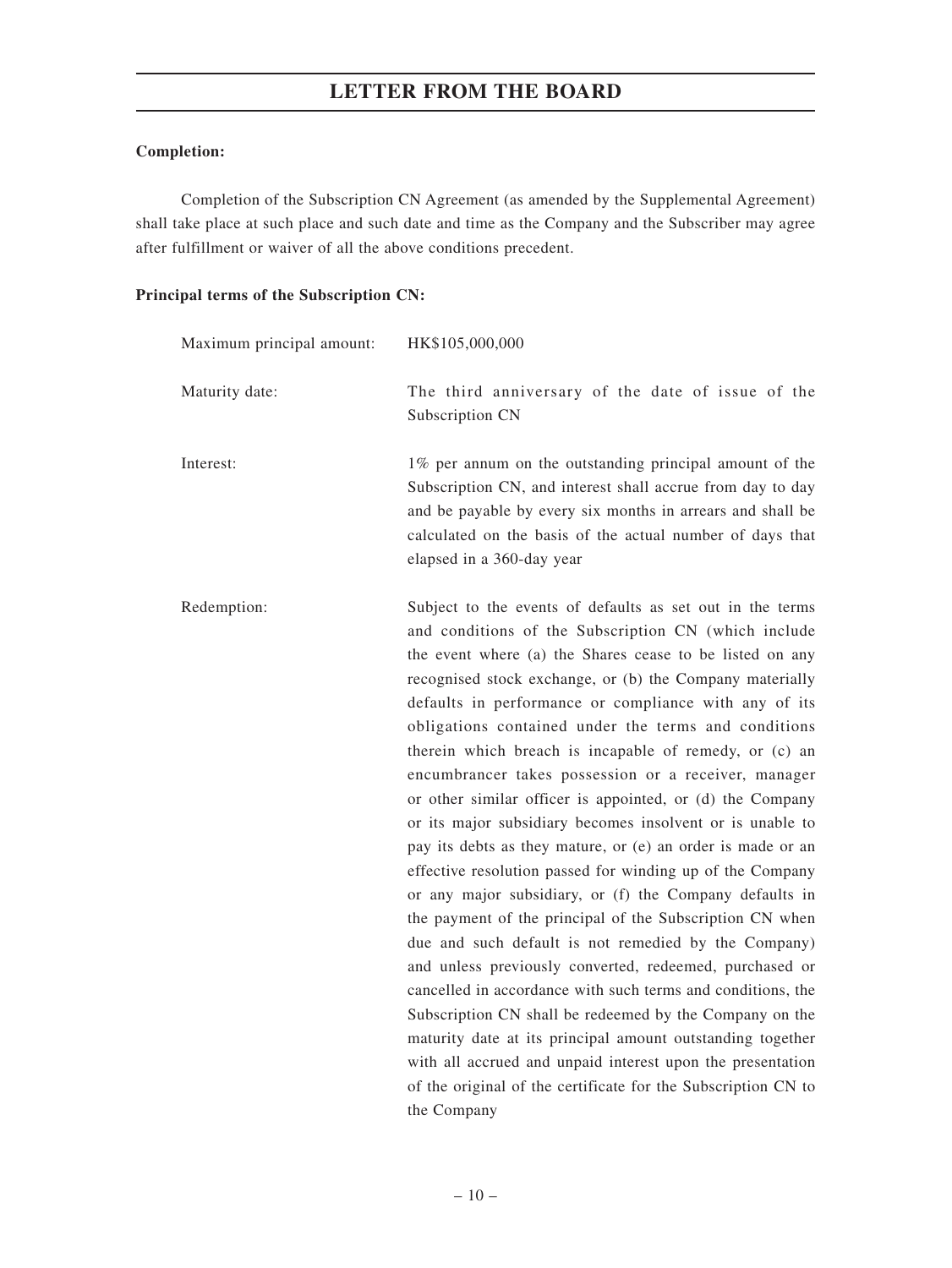#### **Completion:**

Completion of the Subscription CN Agreement (as amended by the Supplemental Agreement) shall take place at such place and such date and time as the Company and the Subscriber may agree after fulfillment or waiver of all the above conditions precedent.

#### **Principal terms of the Subscription CN:**

| Maximum principal amount: | HK\$105,000,000                                                                                                                                                                                                                                                                                                                                                                                                                                                                                                                                                                                                                                                                                                                                                                                                                                                                                                                                                                                                                                                                                                                                                                                                                                                                                                    |
|---------------------------|--------------------------------------------------------------------------------------------------------------------------------------------------------------------------------------------------------------------------------------------------------------------------------------------------------------------------------------------------------------------------------------------------------------------------------------------------------------------------------------------------------------------------------------------------------------------------------------------------------------------------------------------------------------------------------------------------------------------------------------------------------------------------------------------------------------------------------------------------------------------------------------------------------------------------------------------------------------------------------------------------------------------------------------------------------------------------------------------------------------------------------------------------------------------------------------------------------------------------------------------------------------------------------------------------------------------|
| Maturity date:            | The third anniversary of the date of issue of the<br>Subscription CN                                                                                                                                                                                                                                                                                                                                                                                                                                                                                                                                                                                                                                                                                                                                                                                                                                                                                                                                                                                                                                                                                                                                                                                                                                               |
| Interest:                 | 1% per annum on the outstanding principal amount of the<br>Subscription CN, and interest shall accrue from day to day<br>and be payable by every six months in arrears and shall be<br>calculated on the basis of the actual number of days that<br>elapsed in a 360-day year                                                                                                                                                                                                                                                                                                                                                                                                                                                                                                                                                                                                                                                                                                                                                                                                                                                                                                                                                                                                                                      |
| Redemption:               | Subject to the events of defaults as set out in the terms<br>and conditions of the Subscription CN (which include<br>the event where (a) the Shares cease to be listed on any<br>recognised stock exchange, or (b) the Company materially<br>defaults in performance or compliance with any of its<br>obligations contained under the terms and conditions<br>therein which breach is incapable of remedy, or (c) an<br>encumbrancer takes possession or a receiver, manager<br>or other similar officer is appointed, or (d) the Company<br>or its major subsidiary becomes insolvent or is unable to<br>pay its debts as they mature, or (e) an order is made or an<br>effective resolution passed for winding up of the Company<br>or any major subsidiary, or (f) the Company defaults in<br>the payment of the principal of the Subscription CN when<br>due and such default is not remedied by the Company)<br>and unless previously converted, redeemed, purchased or<br>cancelled in accordance with such terms and conditions, the<br>Subscription CN shall be redeemed by the Company on the<br>maturity date at its principal amount outstanding together<br>with all accrued and unpaid interest upon the presentation<br>of the original of the certificate for the Subscription CN to<br>the Company |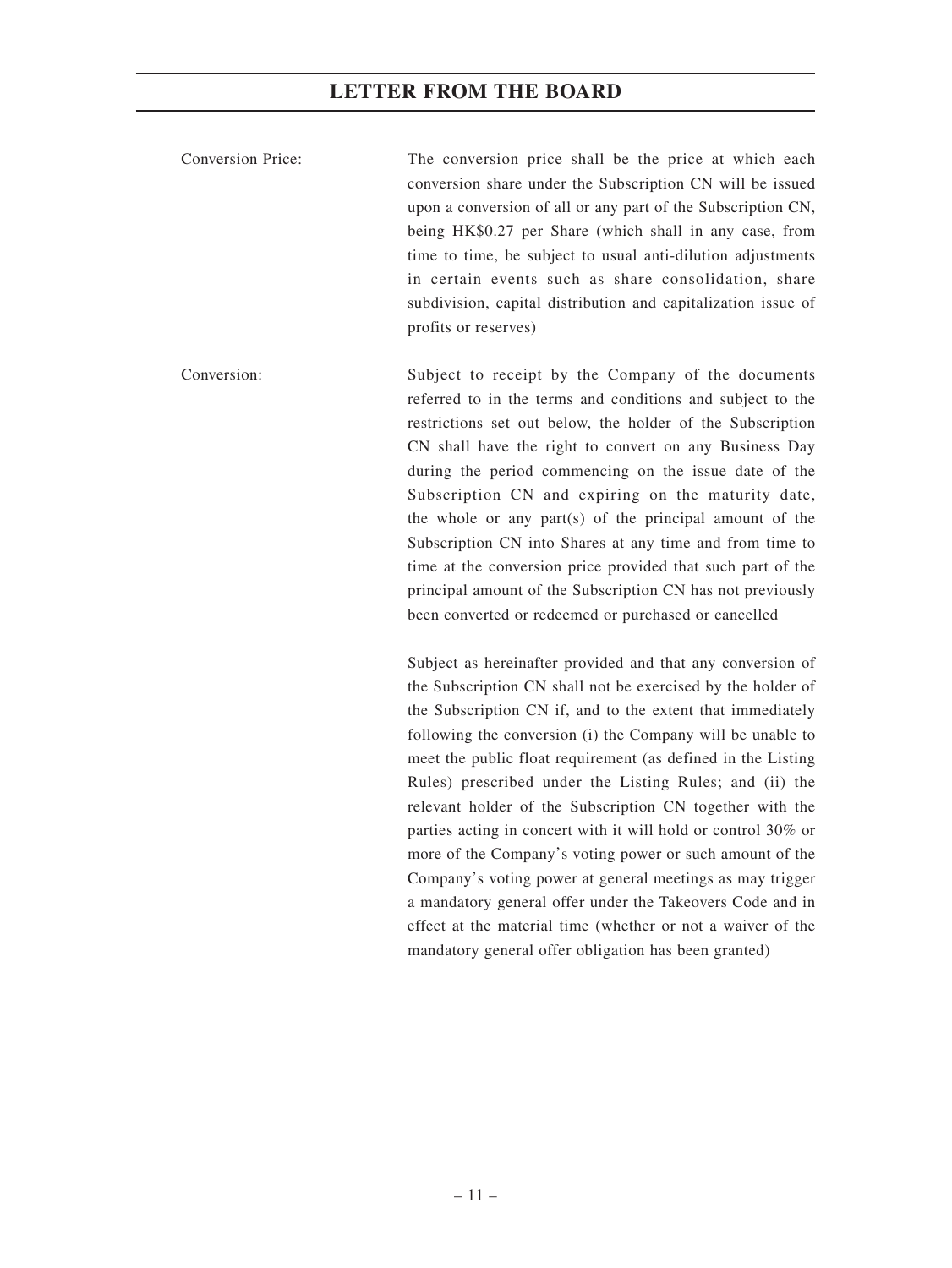Conversion Price: The conversion price shall be the price at which each conversion share under the Subscription CN will be issued upon a conversion of all or any part of the Subscription CN, being HK\$0.27 per Share (which shall in any case, from time to time, be subject to usual anti-dilution adjustments in certain events such as share consolidation, share subdivision, capital distribution and capitalization issue of profits or reserves)

Conversion: Subject to receipt by the Company of the documents referred to in the terms and conditions and subject to the restrictions set out below, the holder of the Subscription CN shall have the right to convert on any Business Day during the period commencing on the issue date of the Subscription CN and expiring on the maturity date, the whole or any part(s) of the principal amount of the Subscription CN into Shares at any time and from time to time at the conversion price provided that such part of the principal amount of the Subscription CN has not previously been converted or redeemed or purchased or cancelled

> Subject as hereinafter provided and that any conversion of the Subscription CN shall not be exercised by the holder of the Subscription CN if, and to the extent that immediately following the conversion (i) the Company will be unable to meet the public float requirement (as defined in the Listing Rules) prescribed under the Listing Rules; and (ii) the relevant holder of the Subscription CN together with the parties acting in concert with it will hold or control 30% or more of the Company's voting power or such amount of the Company's voting power at general meetings as may trigger a mandatory general offer under the Takeovers Code and in effect at the material time (whether or not a waiver of the mandatory general offer obligation has been granted)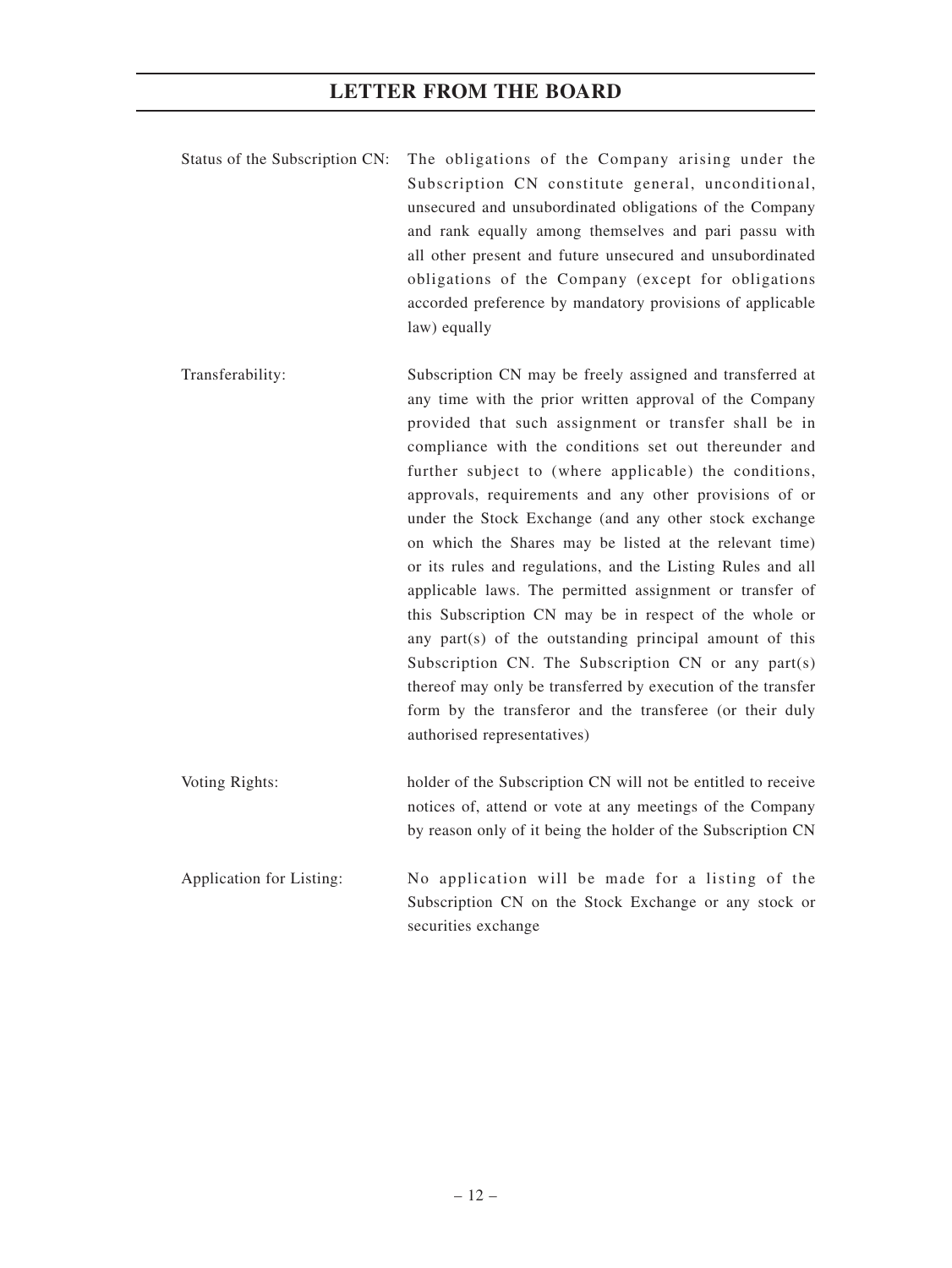- Status of the Subscription CN: The obligations of the Company arising under the Subscription CN constitute general, unconditional, unsecured and unsubordinated obligations of the Company and rank equally among themselves and pari passu with all other present and future unsecured and unsubordinated obligations of the Company (except for obligations accorded preference by mandatory provisions of applicable law) equally
- Transferability: Subscription CN may be freely assigned and transferred at any time with the prior written approval of the Company provided that such assignment or transfer shall be in compliance with the conditions set out thereunder and further subject to (where applicable) the conditions, approvals, requirements and any other provisions of or under the Stock Exchange (and any other stock exchange on which the Shares may be listed at the relevant time) or its rules and regulations, and the Listing Rules and all applicable laws. The permitted assignment or transfer of this Subscription CN may be in respect of the whole or any part(s) of the outstanding principal amount of this Subscription CN. The Subscription CN or any part(s) thereof may only be transferred by execution of the transfer form by the transferor and the transferee (or their duly authorised representatives)
- Voting Rights: holder of the Subscription CN will not be entitled to receive notices of, attend or vote at any meetings of the Company by reason only of it being the holder of the Subscription CN
- Application for Listing: No application will be made for a listing of the Subscription CN on the Stock Exchange or any stock or securities exchange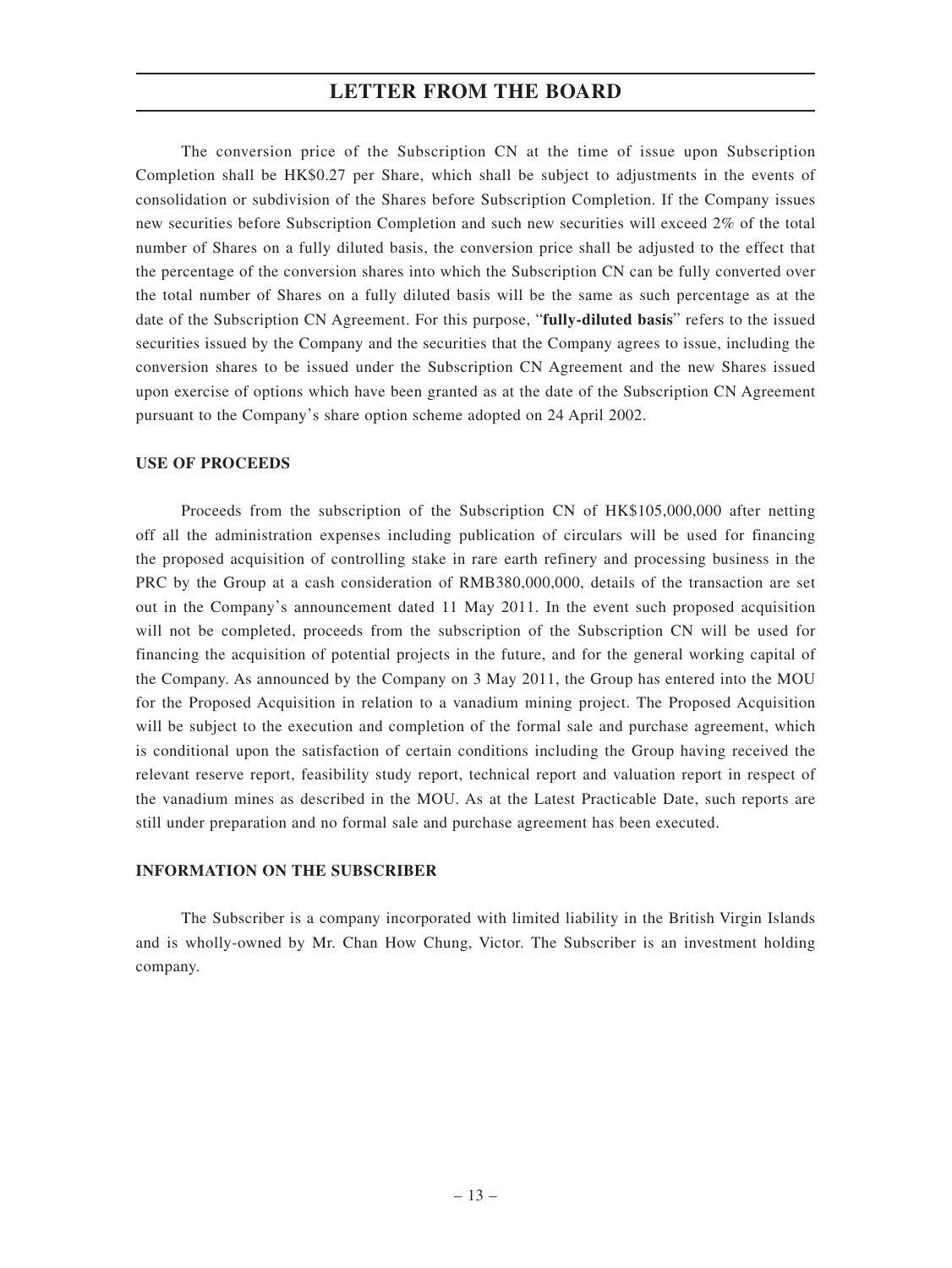The conversion price of the Subscription CN at the time of issue upon Subscription Completion shall be HK\$0.27 per Share, which shall be subject to adjustments in the events of consolidation or subdivision of the Shares before Subscription Completion. If the Company issues new securities before Subscription Completion and such new securities will exceed 2% of the total number of Shares on a fully diluted basis, the conversion price shall be adjusted to the effect that the percentage of the conversion shares into which the Subscription CN can be fully converted over the total number of Shares on a fully diluted basis will be the same as such percentage as at the date of the Subscription CN Agreement. For this purpose, "**fully-diluted basis**" refers to the issued securities issued by the Company and the securities that the Company agrees to issue, including the conversion shares to be issued under the Subscription CN Agreement and the new Shares issued upon exercise of options which have been granted as at the date of the Subscription CN Agreement pursuant to the Company's share option scheme adopted on 24 April 2002.

#### **USE OF PROCEEDS**

Proceeds from the subscription of the Subscription CN of HK\$105,000,000 after netting off all the administration expenses including publication of circulars will be used for financing the proposed acquisition of controlling stake in rare earth refinery and processing business in the PRC by the Group at a cash consideration of RMB380,000,000, details of the transaction are set out in the Company's announcement dated 11 May 2011. In the event such proposed acquisition will not be completed, proceeds from the subscription of the Subscription CN will be used for financing the acquisition of potential projects in the future, and for the general working capital of the Company. As announced by the Company on 3 May 2011, the Group has entered into the MOU for the Proposed Acquisition in relation to a vanadium mining project. The Proposed Acquisition will be subject to the execution and completion of the formal sale and purchase agreement, which is conditional upon the satisfaction of certain conditions including the Group having received the relevant reserve report, feasibility study report, technical report and valuation report in respect of the vanadium mines as described in the MOU. As at the Latest Practicable Date, such reports are still under preparation and no formal sale and purchase agreement has been executed.

#### **INFORMATION ON THE SUBSCRIBER**

The Subscriber is a company incorporated with limited liability in the British Virgin Islands and is wholly-owned by Mr. Chan How Chung, Victor. The Subscriber is an investment holding company.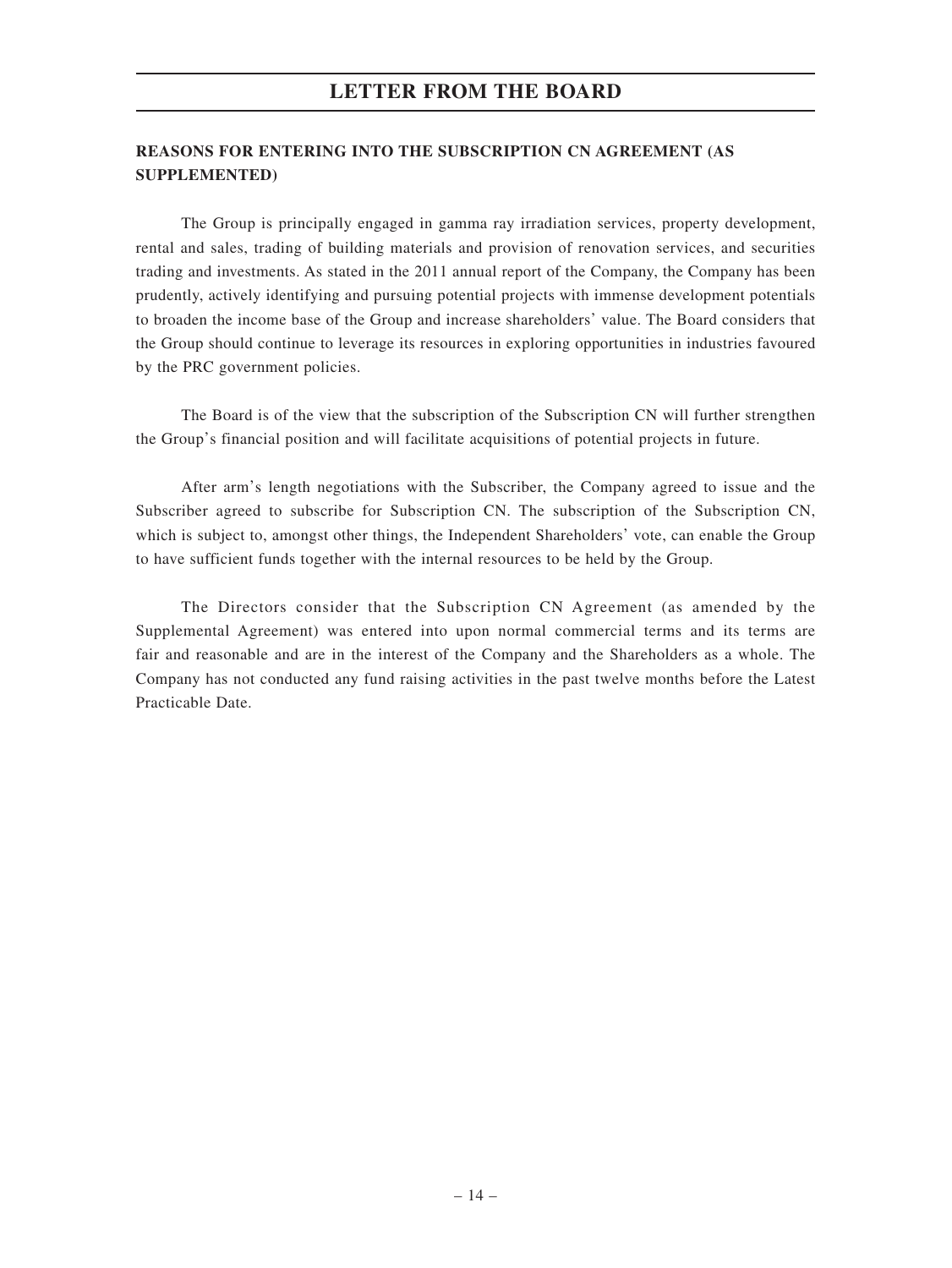## **REASONS FOR ENTERING INTO THE SUBSCRIPTION CN AGREEMENT (AS SUPPLEMENTED)**

The Group is principally engaged in gamma ray irradiation services, property development, rental and sales, trading of building materials and provision of renovation services, and securities trading and investments. As stated in the 2011 annual report of the Company, the Company has been prudently, actively identifying and pursuing potential projects with immense development potentials to broaden the income base of the Group and increase shareholders' value. The Board considers that the Group should continue to leverage its resources in exploring opportunities in industries favoured by the PRC government policies.

The Board is of the view that the subscription of the Subscription CN will further strengthen the Group's financial position and will facilitate acquisitions of potential projects in future.

After arm's length negotiations with the Subscriber, the Company agreed to issue and the Subscriber agreed to subscribe for Subscription CN. The subscription of the Subscription CN, which is subject to, amongst other things, the Independent Shareholders' vote, can enable the Group to have sufficient funds together with the internal resources to be held by the Group.

The Directors consider that the Subscription CN Agreement (as amended by the Supplemental Agreement) was entered into upon normal commercial terms and its terms are fair and reasonable and are in the interest of the Company and the Shareholders as a whole. The Company has not conducted any fund raising activities in the past twelve months before the Latest Practicable Date.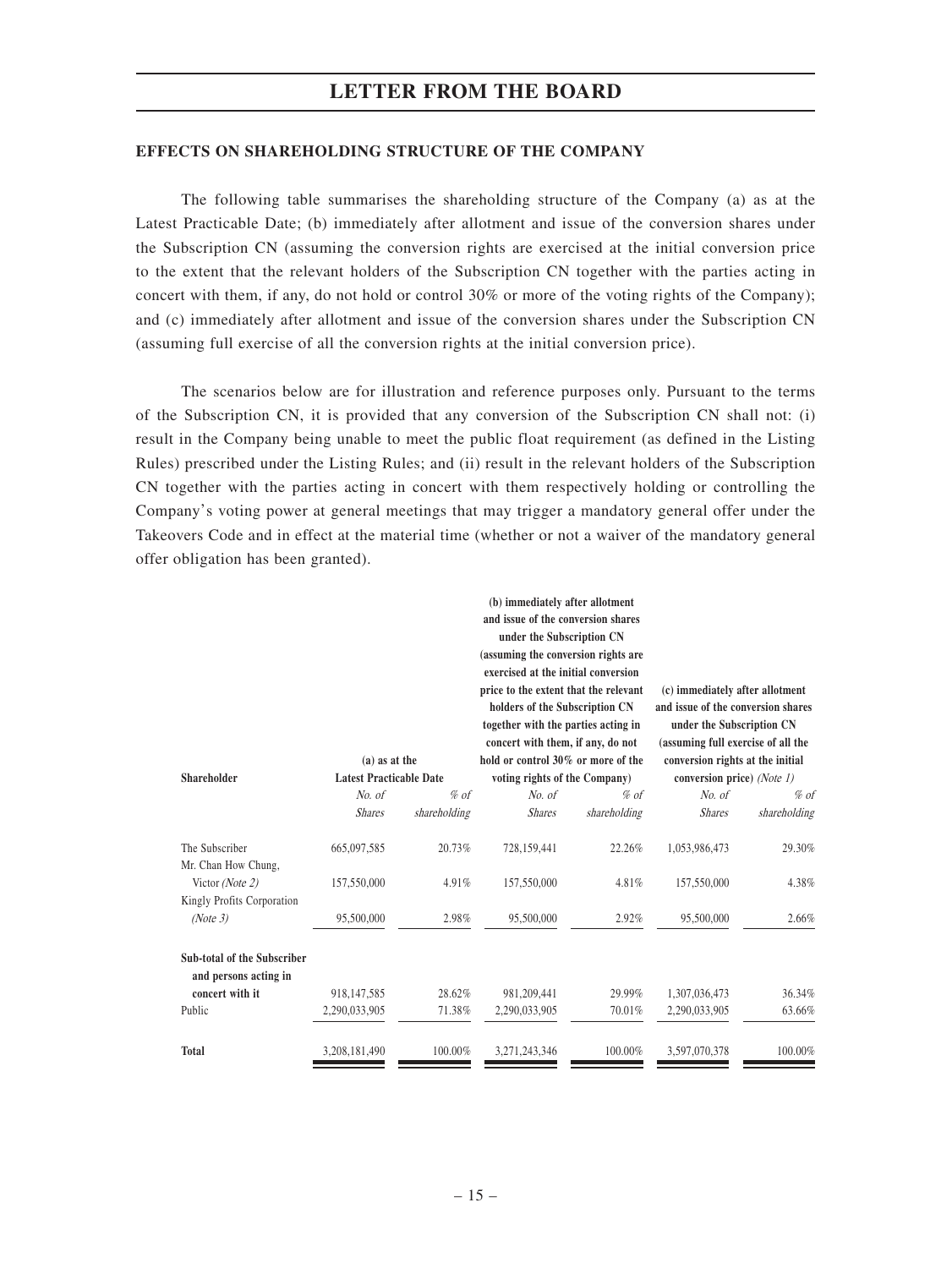#### **EFFECTS ON SHAREHOLDING STRUCTURE OF THE COMPANY**

The following table summarises the shareholding structure of the Company (a) as at the Latest Practicable Date; (b) immediately after allotment and issue of the conversion shares under the Subscription CN (assuming the conversion rights are exercised at the initial conversion price to the extent that the relevant holders of the Subscription CN together with the parties acting in concert with them, if any, do not hold or control 30% or more of the voting rights of the Company); and (c) immediately after allotment and issue of the conversion shares under the Subscription CN (assuming full exercise of all the conversion rights at the initial conversion price).

The scenarios below are for illustration and reference purposes only. Pursuant to the terms of the Subscription CN, it is provided that any conversion of the Subscription CN shall not: (i) result in the Company being unable to meet the public float requirement (as defined in the Listing Rules) prescribed under the Listing Rules; and (ii) result in the relevant holders of the Subscription CN together with the parties acting in concert with them respectively holding or controlling the Company's voting power at general meetings that may trigger a mandatory general offer under the Takeovers Code and in effect at the material time (whether or not a waiver of the mandatory general offer obligation has been granted).

| Shareholder                                                 | $(a)$ as at the<br><b>Latest Practicable Date</b> |              | (b) immediately after allotment<br>and issue of the conversion shares<br>under the Subscription CN<br>(assuming the conversion rights are<br>exercised at the initial conversion<br>price to the extent that the relevant<br>holders of the Subscription CN<br>together with the parties acting in<br>concert with them, if any, do not<br>hold or control 30% or more of the<br>voting rights of the Company) |              | (c) immediately after allotment<br>and issue of the conversion shares<br>under the Subscription CN<br>(assuming full exercise of all the<br>conversion rights at the initial<br>conversion price) (Note 1) |              |
|-------------------------------------------------------------|---------------------------------------------------|--------------|----------------------------------------------------------------------------------------------------------------------------------------------------------------------------------------------------------------------------------------------------------------------------------------------------------------------------------------------------------------------------------------------------------------|--------------|------------------------------------------------------------------------------------------------------------------------------------------------------------------------------------------------------------|--------------|
|                                                             | No. of                                            | $%$ of       | No. of                                                                                                                                                                                                                                                                                                                                                                                                         | $%$ of       | No. of                                                                                                                                                                                                     | $%$ of       |
|                                                             | <b>Shares</b>                                     | shareholding | <b>Shares</b>                                                                                                                                                                                                                                                                                                                                                                                                  | shareholding | <b>Shares</b>                                                                                                                                                                                              | shareholding |
| The Subscriber<br>Mr. Chan How Chung,                       | 665,097,585                                       | 20.73%       | 728,159,441                                                                                                                                                                                                                                                                                                                                                                                                    | 22.26%       | 1,053,986,473                                                                                                                                                                                              | 29.30%       |
| Victor (Note 2)<br>Kingly Profits Corporation               | 157,550,000                                       | 4.91%        | 157,550,000                                                                                                                                                                                                                                                                                                                                                                                                    | 4.81%        | 157,550,000                                                                                                                                                                                                | 4.38%        |
| (Note 3)                                                    | 95,500,000                                        | 2.98%        | 95,500,000                                                                                                                                                                                                                                                                                                                                                                                                     | 2.92%        | 95,500,000                                                                                                                                                                                                 | 2.66%        |
| <b>Sub-total of the Subscriber</b><br>and persons acting in |                                                   |              |                                                                                                                                                                                                                                                                                                                                                                                                                |              |                                                                                                                                                                                                            |              |
| concert with it                                             | 918,147,585                                       | 28.62%       | 981,209,441                                                                                                                                                                                                                                                                                                                                                                                                    | 29.99%       | 1,307,036,473                                                                                                                                                                                              | 36.34%       |
| Public                                                      | 2,290,033,905                                     | 71.38%       | 2,290,033,905                                                                                                                                                                                                                                                                                                                                                                                                  | 70.01%       | 2,290,033,905                                                                                                                                                                                              | 63.66%       |
| <b>Total</b>                                                | 3,208,181,490                                     | 100.00%      | 3,271,243,346                                                                                                                                                                                                                                                                                                                                                                                                  | 100.00%      | 3,597,070,378                                                                                                                                                                                              | 100.00%      |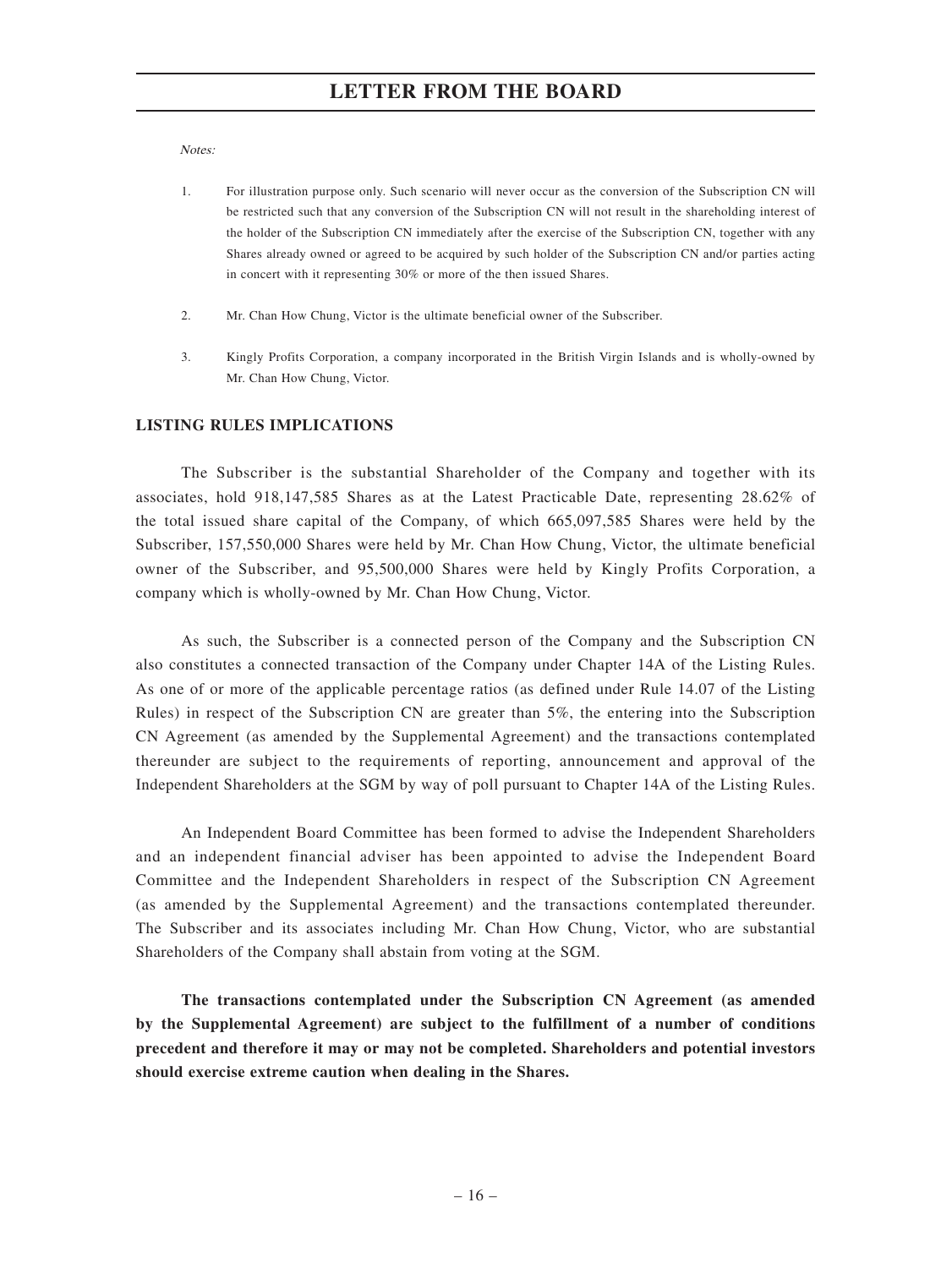Notes:

- 1. For illustration purpose only. Such scenario will never occur as the conversion of the Subscription CN will be restricted such that any conversion of the Subscription CN will not result in the shareholding interest of the holder of the Subscription CN immediately after the exercise of the Subscription CN, together with any Shares already owned or agreed to be acquired by such holder of the Subscription CN and/or parties acting in concert with it representing 30% or more of the then issued Shares.
- 2. Mr. Chan How Chung, Victor is the ultimate beneficial owner of the Subscriber.
- 3. Kingly Profits Corporation, a company incorporated in the British Virgin Islands and is wholly-owned by Mr. Chan How Chung, Victor.

#### **LISTING RULES IMPLICATIONS**

The Subscriber is the substantial Shareholder of the Company and together with its associates, hold 918,147,585 Shares as at the Latest Practicable Date, representing 28.62% of the total issued share capital of the Company, of which 665,097,585 Shares were held by the Subscriber, 157,550,000 Shares were held by Mr. Chan How Chung, Victor, the ultimate beneficial owner of the Subscriber, and 95,500,000 Shares were held by Kingly Profits Corporation, a company which is wholly-owned by Mr. Chan How Chung, Victor.

As such, the Subscriber is a connected person of the Company and the Subscription CN also constitutes a connected transaction of the Company under Chapter 14A of the Listing Rules. As one of or more of the applicable percentage ratios (as defined under Rule 14.07 of the Listing Rules) in respect of the Subscription CN are greater than 5%, the entering into the Subscription CN Agreement (as amended by the Supplemental Agreement) and the transactions contemplated thereunder are subject to the requirements of reporting, announcement and approval of the Independent Shareholders at the SGM by way of poll pursuant to Chapter 14A of the Listing Rules.

An Independent Board Committee has been formed to advise the Independent Shareholders and an independent financial adviser has been appointed to advise the Independent Board Committee and the Independent Shareholders in respect of the Subscription CN Agreement (as amended by the Supplemental Agreement) and the transactions contemplated thereunder. The Subscriber and its associates including Mr. Chan How Chung, Victor, who are substantial Shareholders of the Company shall abstain from voting at the SGM.

**The transactions contemplated under the Subscription CN Agreement (as amended by the Supplemental Agreement) are subject to the fulfillment of a number of conditions precedent and therefore it may or may not be completed. Shareholders and potential investors should exercise extreme caution when dealing in the Shares.**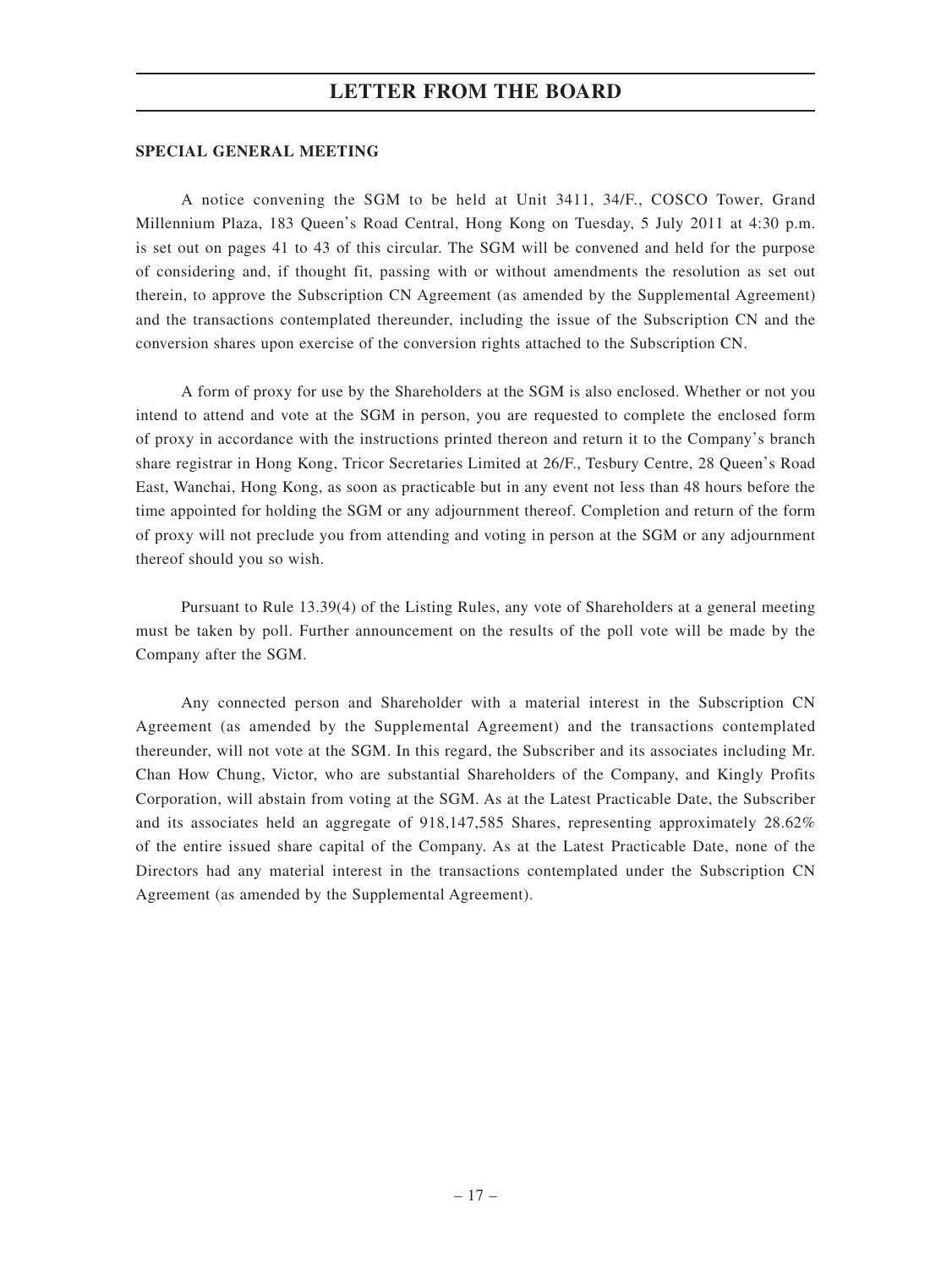#### **SPECIAL GENERAL MEETING**

A notice convening the SGM to be held at Unit 3411, 34/F., COSCO Tower, Grand Millennium Plaza, 183 Queen's Road Central, Hong Kong on Tuesday, 5 July 2011 at 4:30 p.m. is set out on pages 41 to 43 of this circular. The SGM will be convened and held for the purpose of considering and, if thought fit, passing with or without amendments the resolution as set out therein, to approve the Subscription CN Agreement (as amended by the Supplemental Agreement) and the transactions contemplated thereunder, including the issue of the Subscription CN and the conversion shares upon exercise of the conversion rights attached to the Subscription CN.

A form of proxy for use by the Shareholders at the SGM is also enclosed. Whether or not you intend to attend and vote at the SGM in person, you are requested to complete the enclosed form of proxy in accordance with the instructions printed thereon and return it to the Company's branch share registrar in Hong Kong, Tricor Secretaries Limited at 26/F., Tesbury Centre, 28 Queen's Road East, Wanchai, Hong Kong, as soon as practicable but in any event not less than 48 hours before the time appointed for holding the SGM or any adjournment thereof. Completion and return of the form of proxy will not preclude you from attending and voting in person at the SGM or any adjournment thereof should you so wish.

Pursuant to Rule 13.39(4) of the Listing Rules, any vote of Shareholders at a general meeting must be taken by poll. Further announcement on the results of the poll vote will be made by the Company after the SGM.

Any connected person and Shareholder with a material interest in the Subscription CN Agreement (as amended by the Supplemental Agreement) and the transactions contemplated thereunder, will not vote at the SGM. In this regard, the Subscriber and its associates including Mr. Chan How Chung, Victor, who are substantial Shareholders of the Company, and Kingly Profits Corporation, will abstain from voting at the SGM. As at the Latest Practicable Date, the Subscriber and its associates held an aggregate of 918,147,585 Shares, representing approximately 28.62% of the entire issued share capital of the Company. As at the Latest Practicable Date, none of the Directors had any material interest in the transactions contemplated under the Subscription CN Agreement (as amended by the Supplemental Agreement).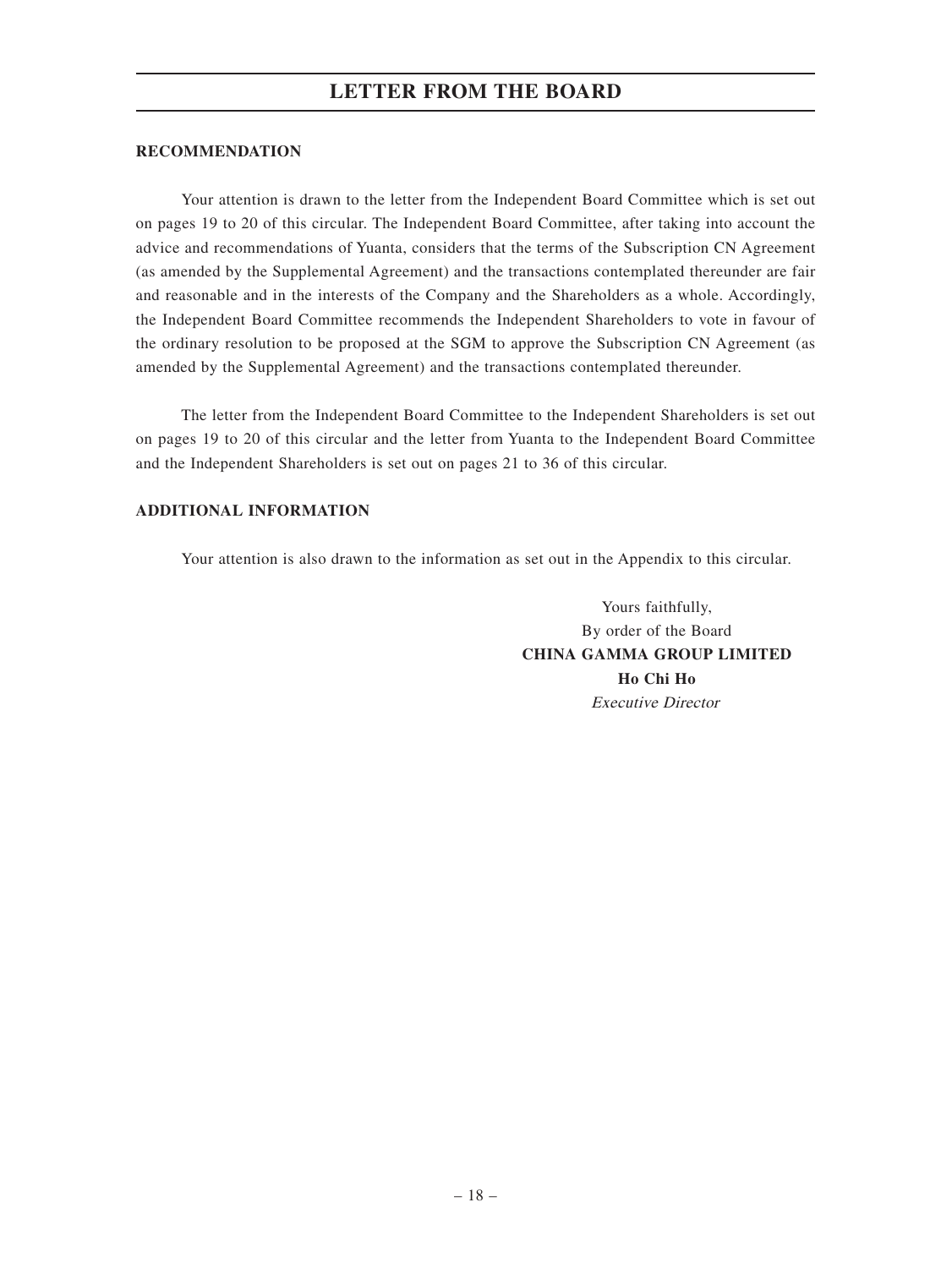#### **RECOMMENDATION**

Your attention is drawn to the letter from the Independent Board Committee which is set out on pages 19 to 20 of this circular. The Independent Board Committee, after taking into account the advice and recommendations of Yuanta, considers that the terms of the Subscription CN Agreement (as amended by the Supplemental Agreement) and the transactions contemplated thereunder are fair and reasonable and in the interests of the Company and the Shareholders as a whole. Accordingly, the Independent Board Committee recommends the Independent Shareholders to vote in favour of the ordinary resolution to be proposed at the SGM to approve the Subscription CN Agreement (as amended by the Supplemental Agreement) and the transactions contemplated thereunder.

The letter from the Independent Board Committee to the Independent Shareholders is set out on pages 19 to 20 of this circular and the letter from Yuanta to the Independent Board Committee and the Independent Shareholders is set out on pages 21 to 36 of this circular.

#### **ADDITIONAL INFORMATION**

Your attention is also drawn to the information as set out in the Appendix to this circular.

Yours faithfully, By order of the Board **CHINA GAMMA GROUP LIMITED Ho Chi Ho** Executive Director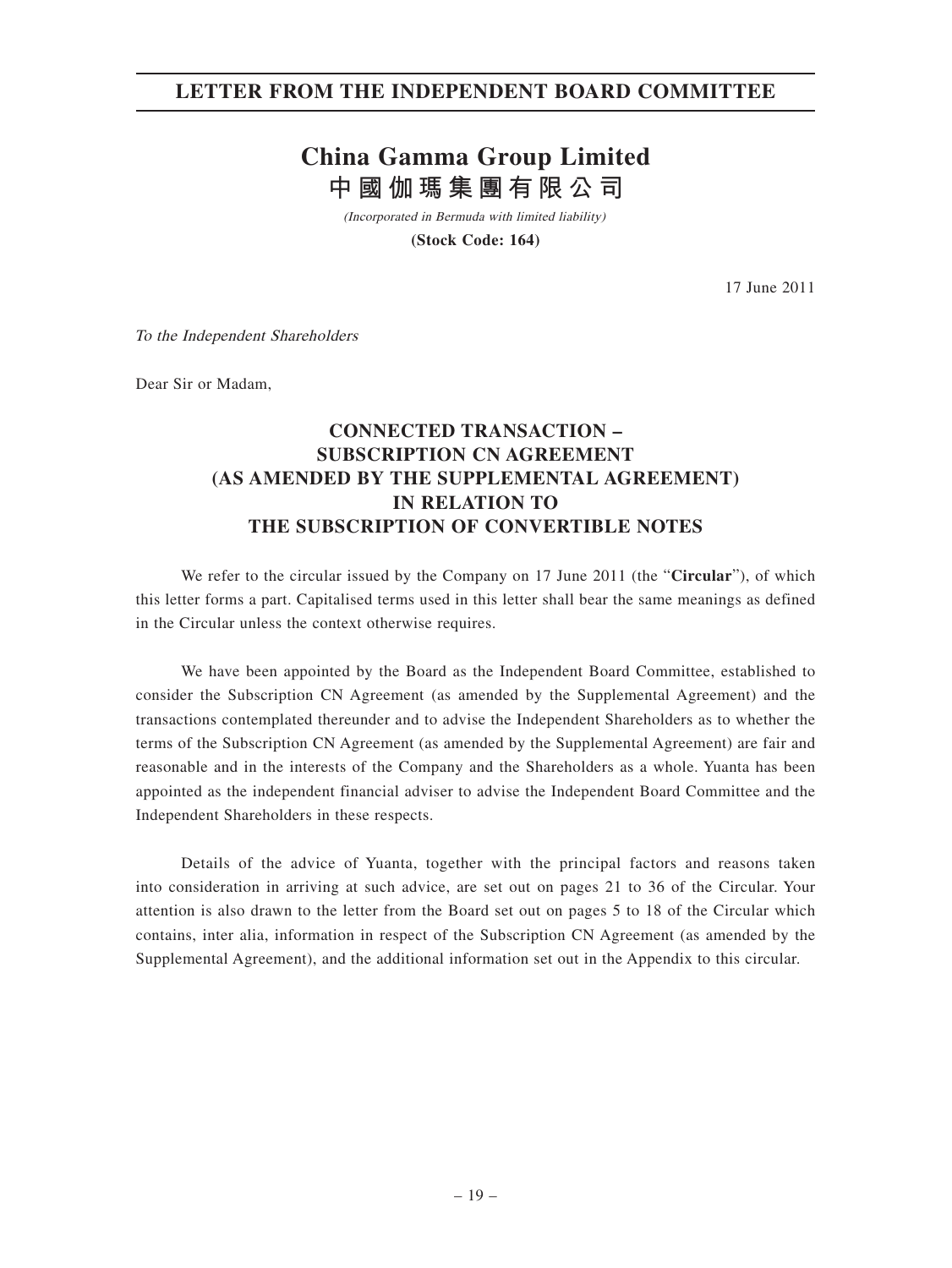## **LETTER FROM THE INDEPENDENT BOARD COMMITTEE**

# **China Gamma Group Limited 中國伽瑪集團有限公司**

(Incorporated in Bermuda with limited liability)

**(Stock Code: 164)**

17 June 2011

To the Independent Shareholders

Dear Sir or Madam,

## **CONNECTED TRANSACTION – SUBSCRIPTION CN AGREEMENT (AS AMENDED BY THE SUPPLEMENTAL AGREEMENT) IN RELATION TO THE SUBSCRIPTION OF CONVERTIBLE NOTES**

We refer to the circular issued by the Company on 17 June 2011 (the "**Circular**"), of which this letter forms a part. Capitalised terms used in this letter shall bear the same meanings as defined in the Circular unless the context otherwise requires.

We have been appointed by the Board as the Independent Board Committee, established to consider the Subscription CN Agreement (as amended by the Supplemental Agreement) and the transactions contemplated thereunder and to advise the Independent Shareholders as to whether the terms of the Subscription CN Agreement (as amended by the Supplemental Agreement) are fair and reasonable and in the interests of the Company and the Shareholders as a whole. Yuanta has been appointed as the independent financial adviser to advise the Independent Board Committee and the Independent Shareholders in these respects.

Details of the advice of Yuanta, together with the principal factors and reasons taken into consideration in arriving at such advice, are set out on pages 21 to 36 of the Circular. Your attention is also drawn to the letter from the Board set out on pages 5 to 18 of the Circular which contains, inter alia, information in respect of the Subscription CN Agreement (as amended by the Supplemental Agreement), and the additional information set out in the Appendix to this circular.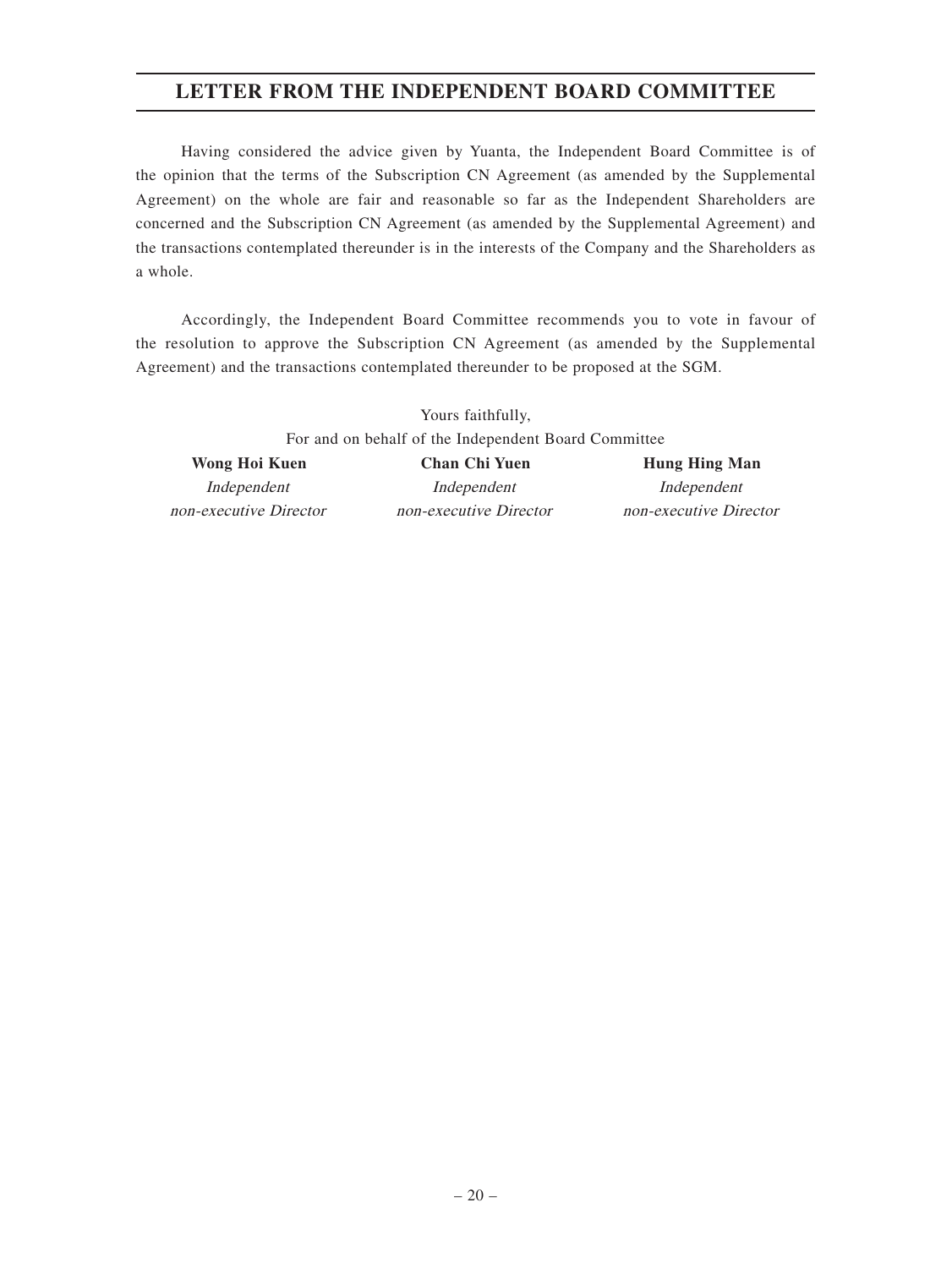## **LETTER FROM THE INDEPENDENT BOARD COMMITTEE**

Having considered the advice given by Yuanta, the Independent Board Committee is of the opinion that the terms of the Subscription CN Agreement (as amended by the Supplemental Agreement) on the whole are fair and reasonable so far as the Independent Shareholders are concerned and the Subscription CN Agreement (as amended by the Supplemental Agreement) and the transactions contemplated thereunder is in the interests of the Company and the Shareholders as a whole.

Accordingly, the Independent Board Committee recommends you to vote in favour of the resolution to approve the Subscription CN Agreement (as amended by the Supplemental Agreement) and the transactions contemplated thereunder to be proposed at the SGM.

Yours faithfully, For and on behalf of the Independent Board Committee Wong Hoi Kuen **Chan Chi Yuen** Hung Hing Man

non-executive Director non-executive Director non-executive Director

Independent Independent Independent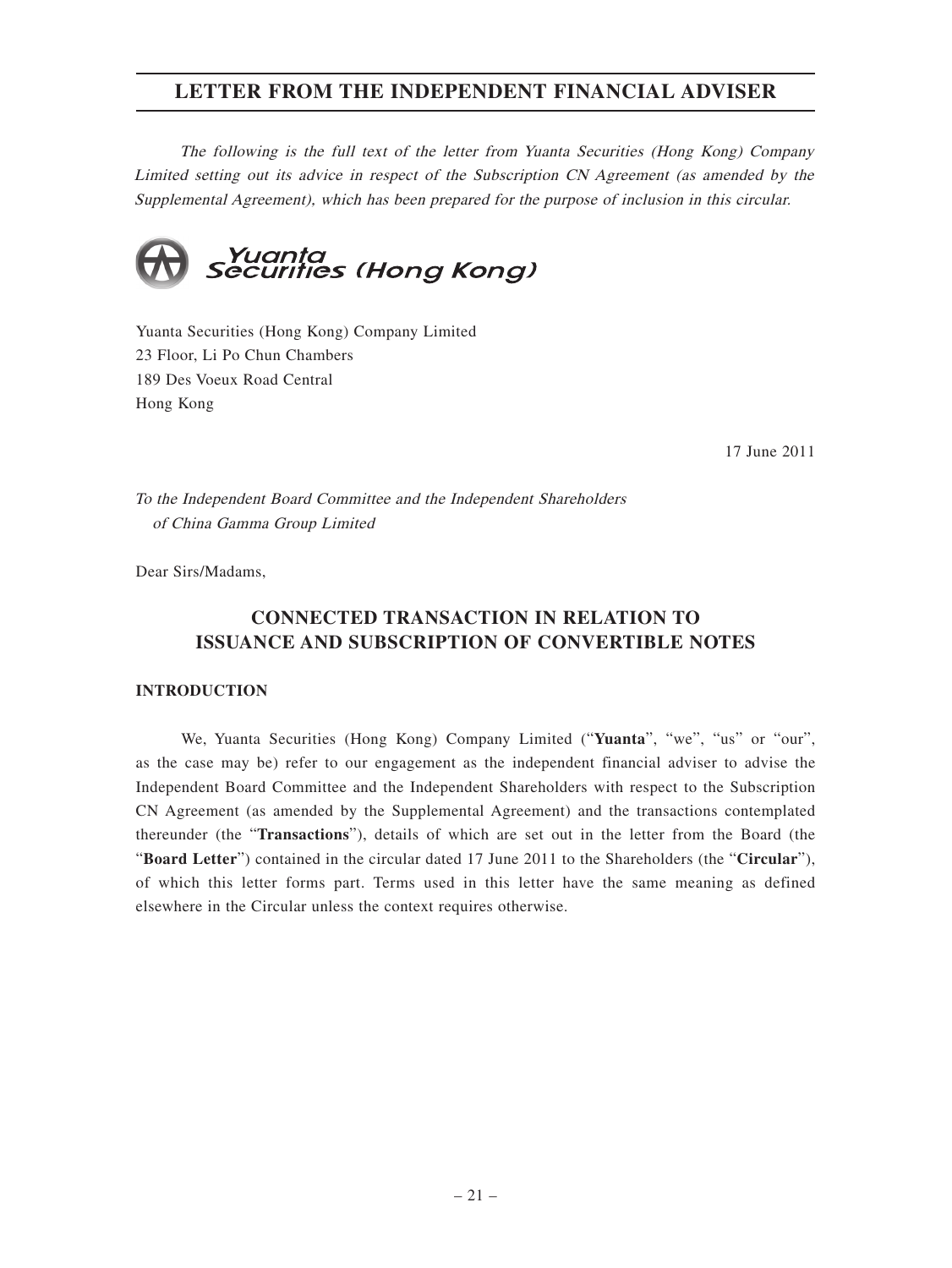The following is the full text of the letter from Yuanta Securities (Hong Kong) Company Limited setting out its advice in respect of the Subscription CN Agreement (as amended by the Supplemental Agreement), which has been prepared for the purpose of inclusion in this circular.



Yuanta Securities (Hong Kong) Company Limited 23 Floor, Li Po Chun Chambers 189 Des Voeux Road Central Hong Kong

17 June 2011

To the Independent Board Committee and the Independent Shareholders of China Gamma Group Limited

Dear Sirs/Madams,

## **CONNECTED TRANSACTION IN RELATION TO ISSUANCE AND SUBSCRIPTION OF CONVERTIBLE NOTES**

#### **INTRODUCTION**

We, Yuanta Securities (Hong Kong) Company Limited ("**Yuanta**", "we", "us" or "our", as the case may be) refer to our engagement as the independent financial adviser to advise the Independent Board Committee and the Independent Shareholders with respect to the Subscription CN Agreement (as amended by the Supplemental Agreement) and the transactions contemplated thereunder (the "**Transactions**"), details of which are set out in the letter from the Board (the "**Board Letter**") contained in the circular dated 17 June 2011 to the Shareholders (the "**Circular**"), of which this letter forms part. Terms used in this letter have the same meaning as defined elsewhere in the Circular unless the context requires otherwise.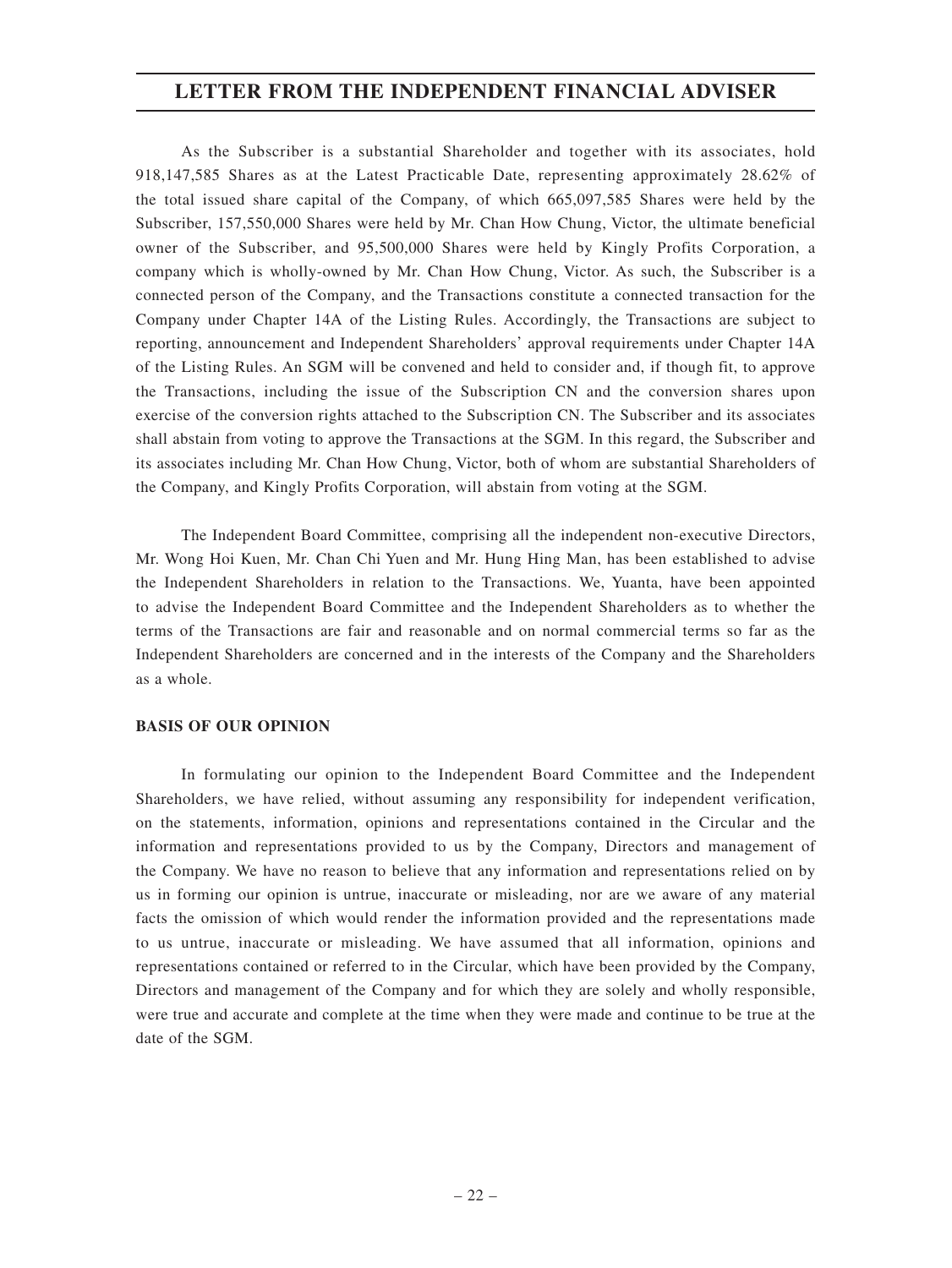As the Subscriber is a substantial Shareholder and together with its associates, hold 918,147,585 Shares as at the Latest Practicable Date, representing approximately 28.62% of the total issued share capital of the Company, of which 665,097,585 Shares were held by the Subscriber, 157,550,000 Shares were held by Mr. Chan How Chung, Victor, the ultimate beneficial owner of the Subscriber, and 95,500,000 Shares were held by Kingly Profits Corporation, a company which is wholly-owned by Mr. Chan How Chung, Victor. As such, the Subscriber is a connected person of the Company, and the Transactions constitute a connected transaction for the Company under Chapter 14A of the Listing Rules. Accordingly, the Transactions are subject to reporting, announcement and Independent Shareholders' approval requirements under Chapter 14A of the Listing Rules. An SGM will be convened and held to consider and, if though fit, to approve the Transactions, including the issue of the Subscription CN and the conversion shares upon exercise of the conversion rights attached to the Subscription CN. The Subscriber and its associates shall abstain from voting to approve the Transactions at the SGM. In this regard, the Subscriber and its associates including Mr. Chan How Chung, Victor, both of whom are substantial Shareholders of the Company, and Kingly Profits Corporation, will abstain from voting at the SGM.

The Independent Board Committee, comprising all the independent non-executive Directors, Mr. Wong Hoi Kuen, Mr. Chan Chi Yuen and Mr. Hung Hing Man, has been established to advise the Independent Shareholders in relation to the Transactions. We, Yuanta, have been appointed to advise the Independent Board Committee and the Independent Shareholders as to whether the terms of the Transactions are fair and reasonable and on normal commercial terms so far as the Independent Shareholders are concerned and in the interests of the Company and the Shareholders as a whole.

#### **BASIS OF OUR OPINION**

In formulating our opinion to the Independent Board Committee and the Independent Shareholders, we have relied, without assuming any responsibility for independent verification, on the statements, information, opinions and representations contained in the Circular and the information and representations provided to us by the Company, Directors and management of the Company. We have no reason to believe that any information and representations relied on by us in forming our opinion is untrue, inaccurate or misleading, nor are we aware of any material facts the omission of which would render the information provided and the representations made to us untrue, inaccurate or misleading. We have assumed that all information, opinions and representations contained or referred to in the Circular, which have been provided by the Company, Directors and management of the Company and for which they are solely and wholly responsible, were true and accurate and complete at the time when they were made and continue to be true at the date of the SGM.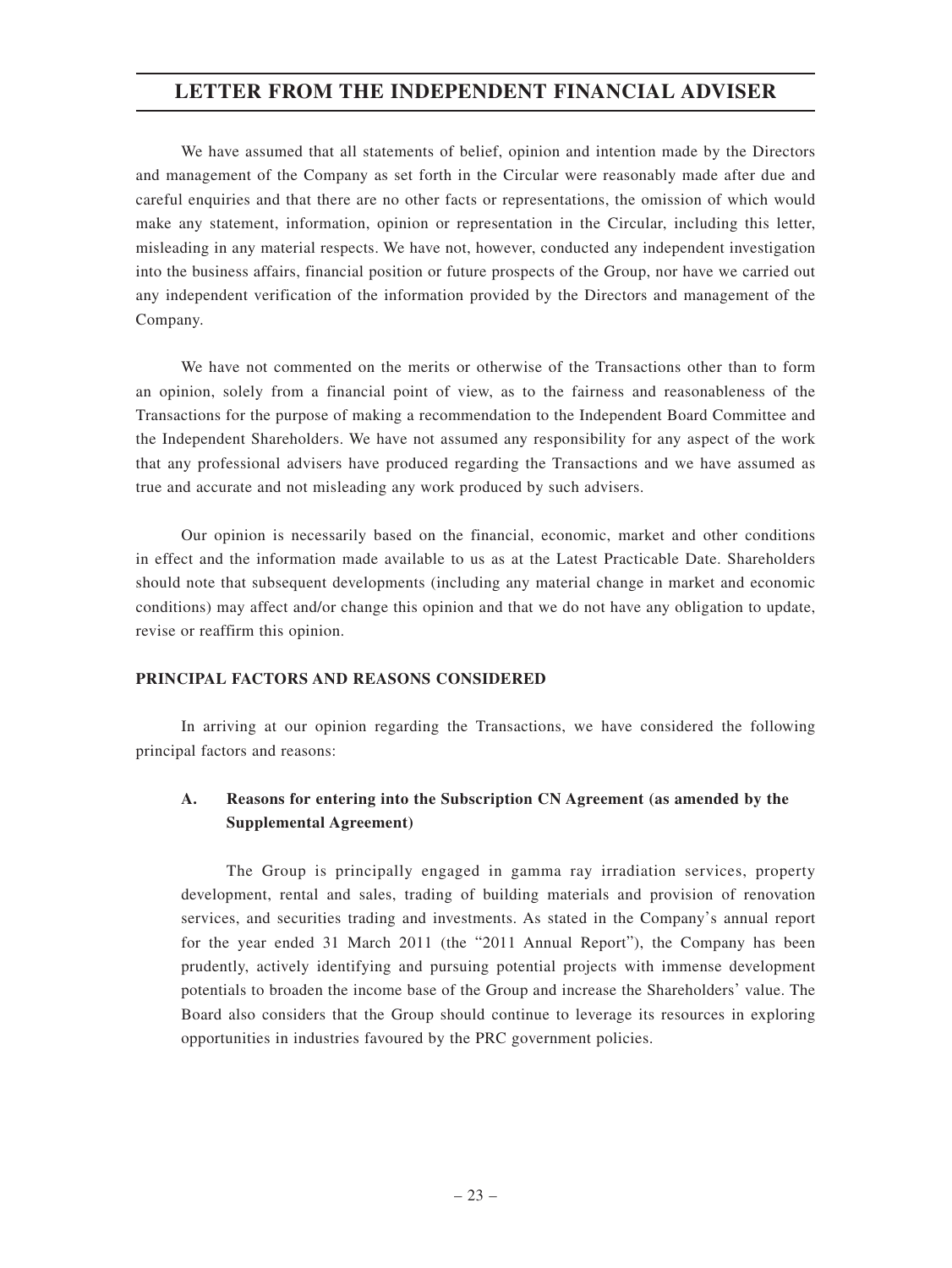We have assumed that all statements of belief, opinion and intention made by the Directors and management of the Company as set forth in the Circular were reasonably made after due and careful enquiries and that there are no other facts or representations, the omission of which would make any statement, information, opinion or representation in the Circular, including this letter, misleading in any material respects. We have not, however, conducted any independent investigation into the business affairs, financial position or future prospects of the Group, nor have we carried out any independent verification of the information provided by the Directors and management of the Company.

We have not commented on the merits or otherwise of the Transactions other than to form an opinion, solely from a financial point of view, as to the fairness and reasonableness of the Transactions for the purpose of making a recommendation to the Independent Board Committee and the Independent Shareholders. We have not assumed any responsibility for any aspect of the work that any professional advisers have produced regarding the Transactions and we have assumed as true and accurate and not misleading any work produced by such advisers.

Our opinion is necessarily based on the financial, economic, market and other conditions in effect and the information made available to us as at the Latest Practicable Date. Shareholders should note that subsequent developments (including any material change in market and economic conditions) may affect and/or change this opinion and that we do not have any obligation to update, revise or reaffirm this opinion.

#### **PRINCIPAL FACTORS AND REASONS CONSIDERED**

In arriving at our opinion regarding the Transactions, we have considered the following principal factors and reasons:

## **A. Reasons for entering into the Subscription CN Agreement (as amended by the Supplemental Agreement)**

The Group is principally engaged in gamma ray irradiation services, property development, rental and sales, trading of building materials and provision of renovation services, and securities trading and investments. As stated in the Company's annual report for the year ended 31 March 2011 (the "2011 Annual Report"), the Company has been prudently, actively identifying and pursuing potential projects with immense development potentials to broaden the income base of the Group and increase the Shareholders' value. The Board also considers that the Group should continue to leverage its resources in exploring opportunities in industries favoured by the PRC government policies.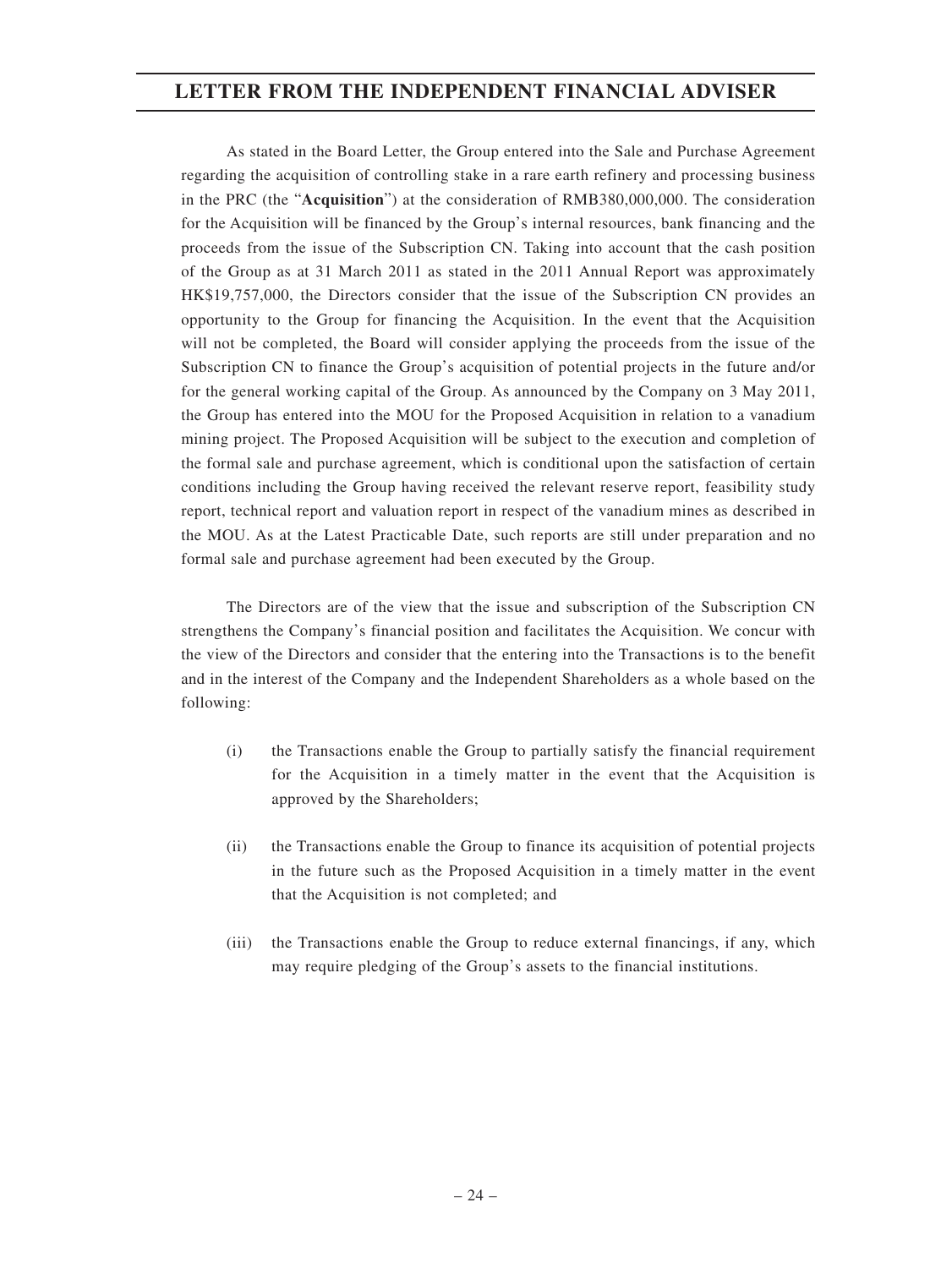As stated in the Board Letter, the Group entered into the Sale and Purchase Agreement regarding the acquisition of controlling stake in a rare earth refinery and processing business in the PRC (the "**Acquisition**") at the consideration of RMB380,000,000. The consideration for the Acquisition will be financed by the Group's internal resources, bank financing and the proceeds from the issue of the Subscription CN. Taking into account that the cash position of the Group as at 31 March 2011 as stated in the 2011 Annual Report was approximately HK\$19,757,000, the Directors consider that the issue of the Subscription CN provides an opportunity to the Group for financing the Acquisition. In the event that the Acquisition will not be completed, the Board will consider applying the proceeds from the issue of the Subscription CN to finance the Group's acquisition of potential projects in the future and/or for the general working capital of the Group. As announced by the Company on 3 May 2011, the Group has entered into the MOU for the Proposed Acquisition in relation to a vanadium mining project. The Proposed Acquisition will be subject to the execution and completion of the formal sale and purchase agreement, which is conditional upon the satisfaction of certain conditions including the Group having received the relevant reserve report, feasibility study report, technical report and valuation report in respect of the vanadium mines as described in the MOU. As at the Latest Practicable Date, such reports are still under preparation and no formal sale and purchase agreement had been executed by the Group.

The Directors are of the view that the issue and subscription of the Subscription CN strengthens the Company's financial position and facilitates the Acquisition. We concur with the view of the Directors and consider that the entering into the Transactions is to the benefit and in the interest of the Company and the Independent Shareholders as a whole based on the following:

- (i) the Transactions enable the Group to partially satisfy the financial requirement for the Acquisition in a timely matter in the event that the Acquisition is approved by the Shareholders;
- (ii) the Transactions enable the Group to finance its acquisition of potential projects in the future such as the Proposed Acquisition in a timely matter in the event that the Acquisition is not completed; and
- (iii) the Transactions enable the Group to reduce external financings, if any, which may require pledging of the Group's assets to the financial institutions.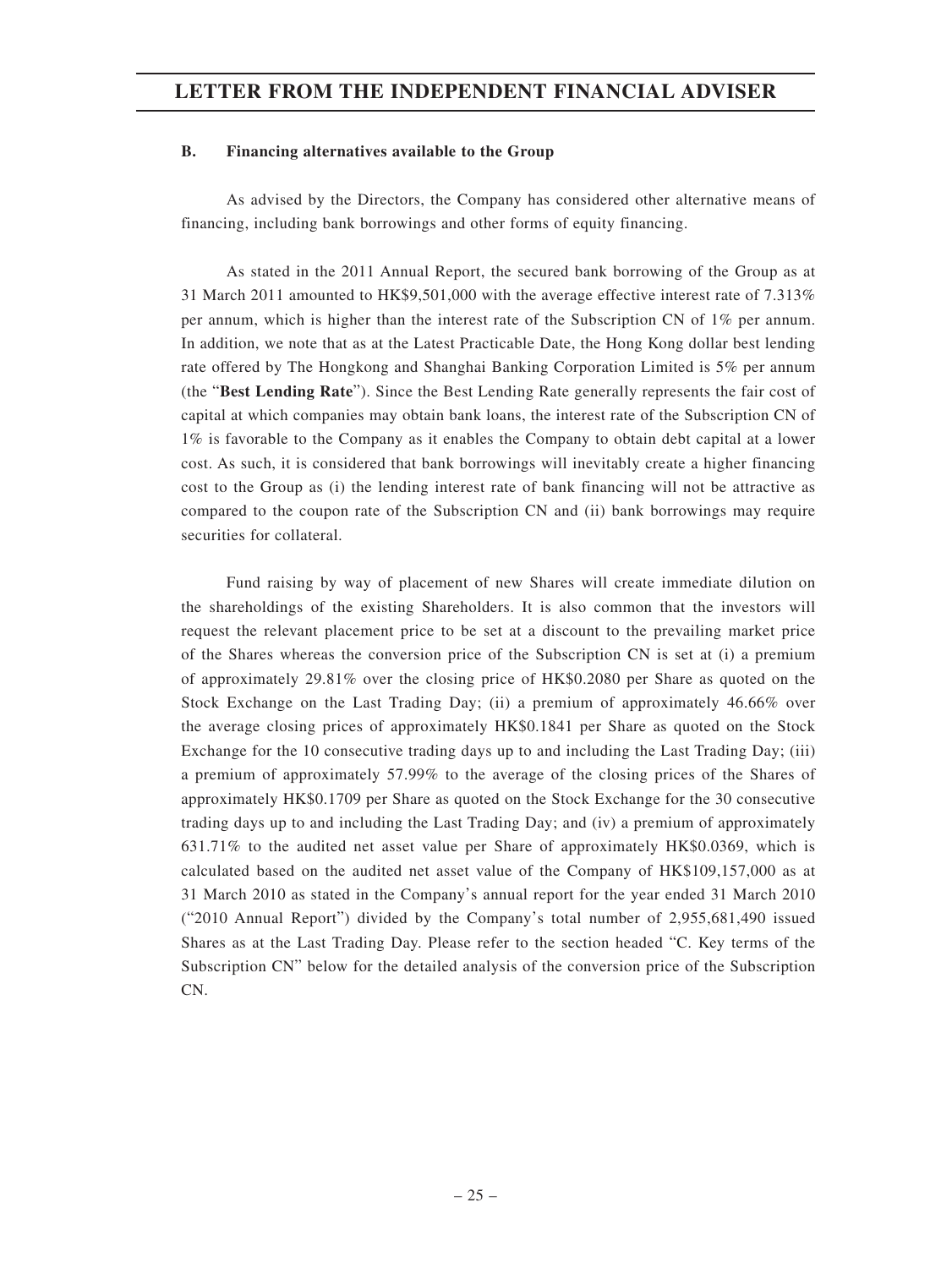#### **B. Financing alternatives available to the Group**

As advised by the Directors, the Company has considered other alternative means of financing, including bank borrowings and other forms of equity financing.

As stated in the 2011 Annual Report, the secured bank borrowing of the Group as at 31 March 2011 amounted to HK\$9,501,000 with the average effective interest rate of 7.313% per annum, which is higher than the interest rate of the Subscription CN of 1% per annum. In addition, we note that as at the Latest Practicable Date, the Hong Kong dollar best lending rate offered by The Hongkong and Shanghai Banking Corporation Limited is 5% per annum (the "**Best Lending Rate**"). Since the Best Lending Rate generally represents the fair cost of capital at which companies may obtain bank loans, the interest rate of the Subscription CN of 1% is favorable to the Company as it enables the Company to obtain debt capital at a lower cost. As such, it is considered that bank borrowings will inevitably create a higher financing cost to the Group as (i) the lending interest rate of bank financing will not be attractive as compared to the coupon rate of the Subscription CN and (ii) bank borrowings may require securities for collateral.

Fund raising by way of placement of new Shares will create immediate dilution on the shareholdings of the existing Shareholders. It is also common that the investors will request the relevant placement price to be set at a discount to the prevailing market price of the Shares whereas the conversion price of the Subscription CN is set at (i) a premium of approximately 29.81% over the closing price of HK\$0.2080 per Share as quoted on the Stock Exchange on the Last Trading Day; (ii) a premium of approximately 46.66% over the average closing prices of approximately HK\$0.1841 per Share as quoted on the Stock Exchange for the 10 consecutive trading days up to and including the Last Trading Day; (iii) a premium of approximately 57.99% to the average of the closing prices of the Shares of approximately HK\$0.1709 per Share as quoted on the Stock Exchange for the 30 consecutive trading days up to and including the Last Trading Day; and (iv) a premium of approximately 631.71% to the audited net asset value per Share of approximately HK\$0.0369, which is calculated based on the audited net asset value of the Company of HK\$109,157,000 as at 31 March 2010 as stated in the Company's annual report for the year ended 31 March 2010 ("2010 Annual Report") divided by the Company's total number of 2,955,681,490 issued Shares as at the Last Trading Day. Please refer to the section headed "C. Key terms of the Subscription CN" below for the detailed analysis of the conversion price of the Subscription CN.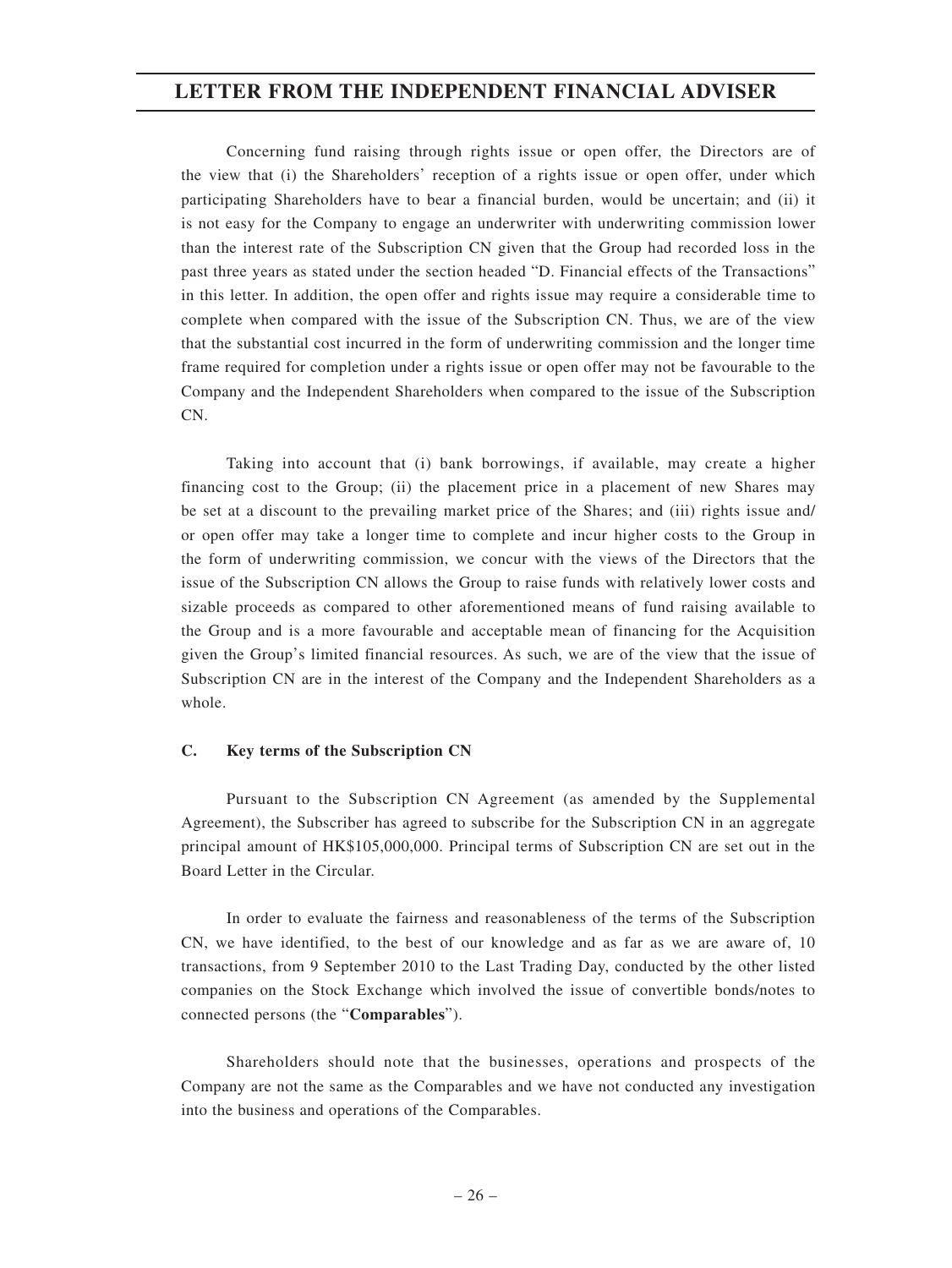Concerning fund raising through rights issue or open offer, the Directors are of the view that (i) the Shareholders' reception of a rights issue or open offer, under which participating Shareholders have to bear a financial burden, would be uncertain; and (ii) it is not easy for the Company to engage an underwriter with underwriting commission lower than the interest rate of the Subscription CN given that the Group had recorded loss in the past three years as stated under the section headed "D. Financial effects of the Transactions" in this letter. In addition, the open offer and rights issue may require a considerable time to complete when compared with the issue of the Subscription CN. Thus, we are of the view that the substantial cost incurred in the form of underwriting commission and the longer time frame required for completion under a rights issue or open offer may not be favourable to the Company and the Independent Shareholders when compared to the issue of the Subscription CN.

Taking into account that (i) bank borrowings, if available, may create a higher financing cost to the Group; (ii) the placement price in a placement of new Shares may be set at a discount to the prevailing market price of the Shares; and (iii) rights issue and/ or open offer may take a longer time to complete and incur higher costs to the Group in the form of underwriting commission, we concur with the views of the Directors that the issue of the Subscription CN allows the Group to raise funds with relatively lower costs and sizable proceeds as compared to other aforementioned means of fund raising available to the Group and is a more favourable and acceptable mean of financing for the Acquisition given the Group's limited financial resources. As such, we are of the view that the issue of Subscription CN are in the interest of the Company and the Independent Shareholders as a whole.

#### **C. Key terms of the Subscription CN**

Pursuant to the Subscription CN Agreement (as amended by the Supplemental Agreement), the Subscriber has agreed to subscribe for the Subscription CN in an aggregate principal amount of HK\$105,000,000. Principal terms of Subscription CN are set out in the Board Letter in the Circular.

In order to evaluate the fairness and reasonableness of the terms of the Subscription CN, we have identified, to the best of our knowledge and as far as we are aware of, 10 transactions, from 9 September 2010 to the Last Trading Day, conducted by the other listed companies on the Stock Exchange which involved the issue of convertible bonds/notes to connected persons (the "**Comparables**").

Shareholders should note that the businesses, operations and prospects of the Company are not the same as the Comparables and we have not conducted any investigation into the business and operations of the Comparables.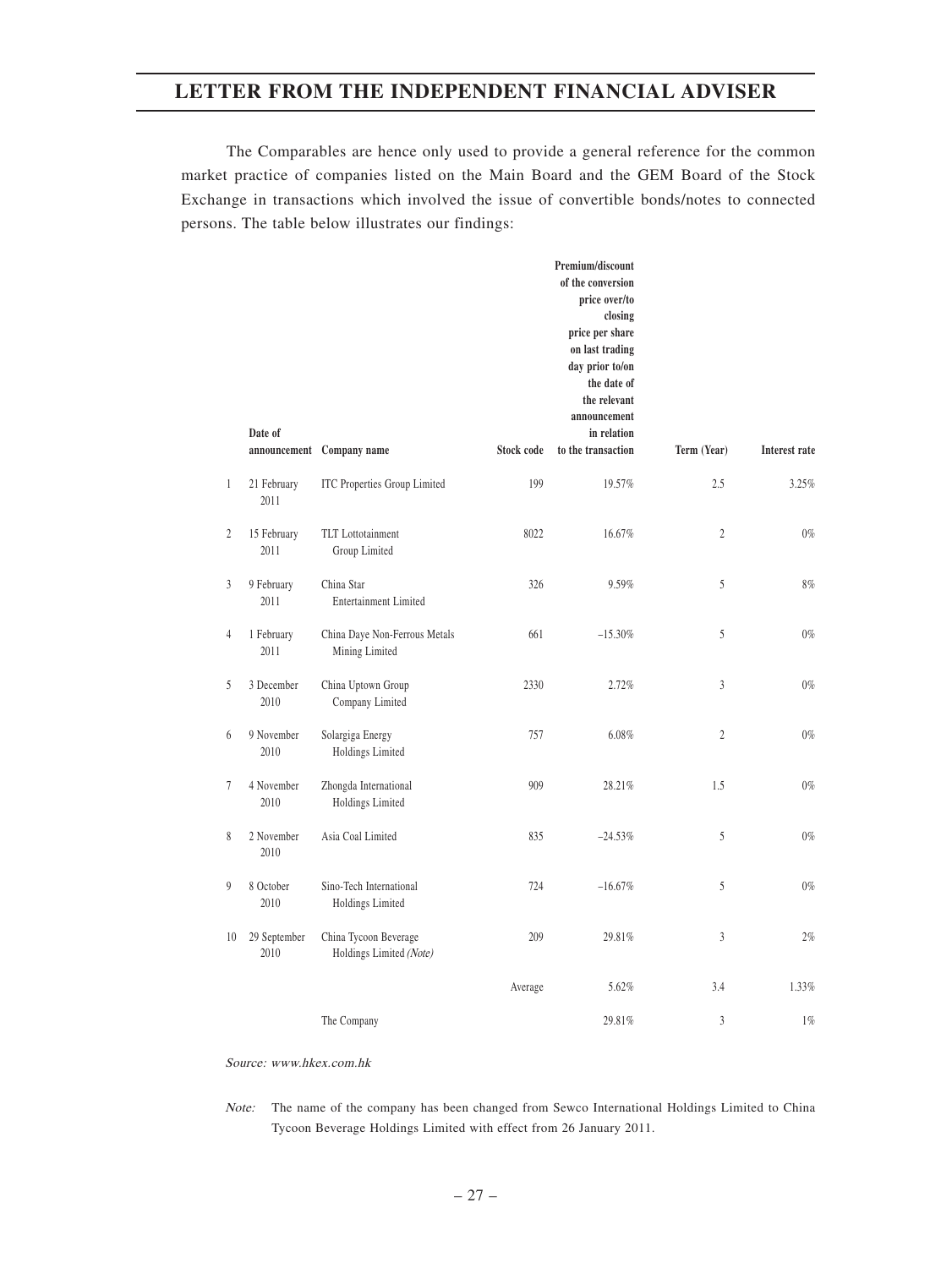The Comparables are hence only used to provide a general reference for the common market practice of companies listed on the Main Board and the GEM Board of the Stock Exchange in transactions which involved the issue of convertible bonds/notes to connected persons. The table below illustrates our findings:

|                | Date of              | announcement Company name                        | <b>Stock code</b> | Premium/discount<br>of the conversion<br>price over/to<br>closing<br>price per share<br>on last trading<br>day prior to/on<br>the date of<br>the relevant<br>announcement<br>in relation<br>to the transaction | Term (Year)    | <b>Interest rate</b> |
|----------------|----------------------|--------------------------------------------------|-------------------|----------------------------------------------------------------------------------------------------------------------------------------------------------------------------------------------------------------|----------------|----------------------|
| $\mathbf{1}$   | 21 February<br>2011  | <b>ITC Properties Group Limited</b>              | 199               | 19.57%                                                                                                                                                                                                         | 2.5            | 3.25%                |
| $\overline{2}$ | 15 February<br>2011  | <b>TLT</b> Lottotainment<br>Group Limited        | 8022              | 16.67%                                                                                                                                                                                                         | $\overline{c}$ | $0\%$                |
| $\overline{3}$ | 9 February<br>2011   | China Star<br><b>Entertainment Limited</b>       | 326               | 9.59%                                                                                                                                                                                                          | 5              | 8%                   |
| $\overline{4}$ | 1 February<br>2011   | China Daye Non-Ferrous Metals<br>Mining Limited  | 661               | $-15.30%$                                                                                                                                                                                                      | 5              | $0\%$                |
| 5              | 3 December<br>2010   | China Uptown Group<br>Company Limited            | 2330              | 2.72%                                                                                                                                                                                                          | 3              | $0\%$                |
| 6              | 9 November<br>2010   | Solargiga Energy<br>Holdings Limited             | 757               | 6.08%                                                                                                                                                                                                          | $\overline{c}$ | $0\%$                |
| $\tau$         | 4 November<br>2010   | Zhongda International<br>Holdings Limited        | 909               | 28.21%                                                                                                                                                                                                         | 1.5            | $0\%$                |
| $\,$           | 2 November<br>2010   | Asia Coal Limited                                | 835               | $-24.53%$                                                                                                                                                                                                      | 5              | $0\%$                |
| 9              | 8 October<br>2010    | Sino-Tech International<br>Holdings Limited      | 724               | $-16.67%$                                                                                                                                                                                                      | 5              | $0\%$                |
| 10             | 29 September<br>2010 | China Tycoon Beverage<br>Holdings Limited (Note) | 209               | 29.81%                                                                                                                                                                                                         | $\overline{3}$ | 2%                   |
|                |                      |                                                  | Average           | 5.62%                                                                                                                                                                                                          | 3.4            | 1.33%                |
|                |                      | The Company                                      |                   | 29.81%                                                                                                                                                                                                         | 3              | 1%                   |

Source: www.hkex.com.hk

Note: The name of the company has been changed from Sewco International Holdings Limited to China Tycoon Beverage Holdings Limited with effect from 26 January 2011.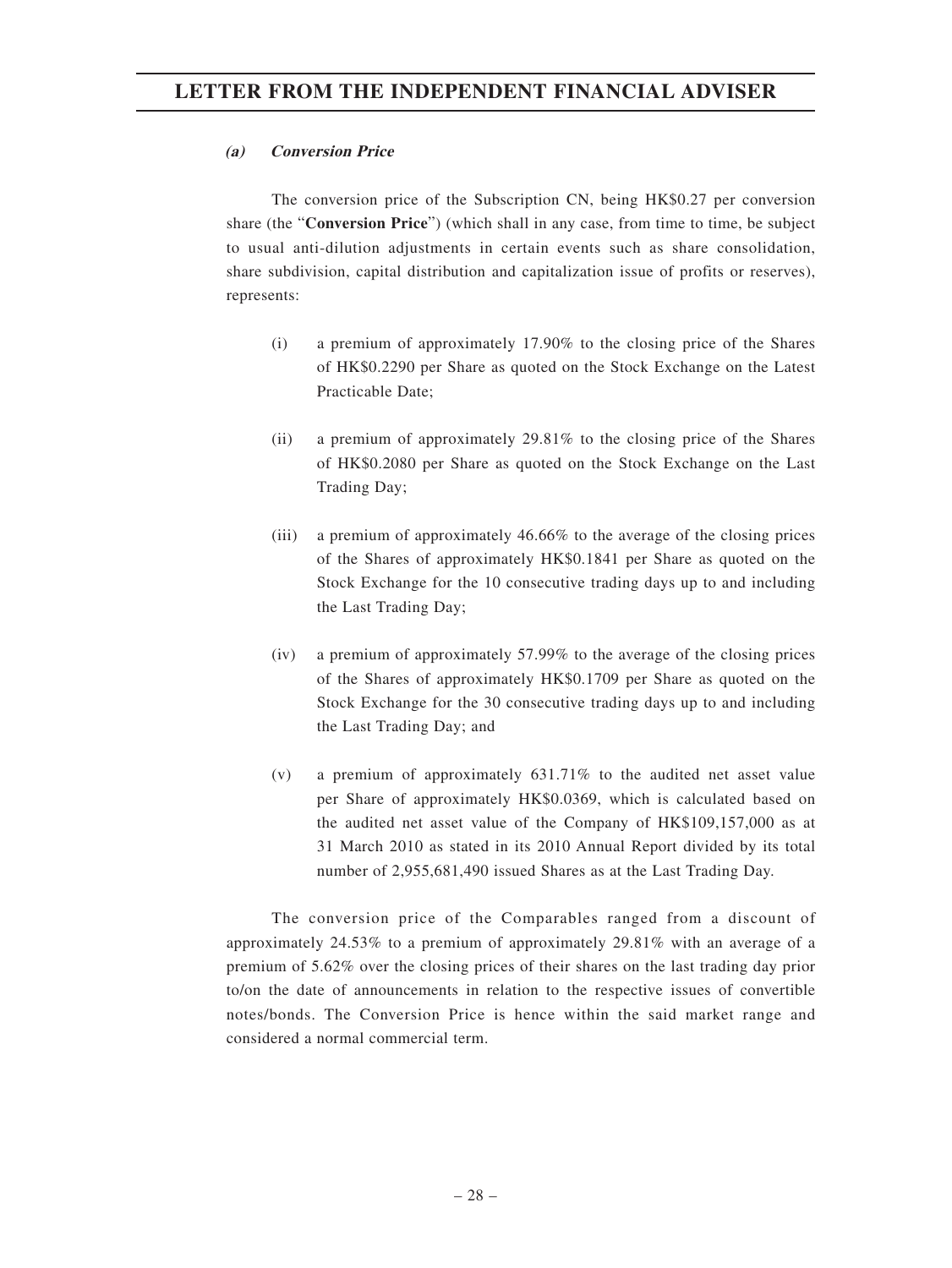### **(a) Conversion Price**

The conversion price of the Subscription CN, being HK\$0.27 per conversion share (the "**Conversion Price**") (which shall in any case, from time to time, be subject to usual anti-dilution adjustments in certain events such as share consolidation, share subdivision, capital distribution and capitalization issue of profits or reserves), represents:

- (i) a premium of approximately 17.90% to the closing price of the Shares of HK\$0.2290 per Share as quoted on the Stock Exchange on the Latest Practicable Date;
- (ii) a premium of approximately 29.81% to the closing price of the Shares of HK\$0.2080 per Share as quoted on the Stock Exchange on the Last Trading Day;
- (iii) a premium of approximately 46.66% to the average of the closing prices of the Shares of approximately HK\$0.1841 per Share as quoted on the Stock Exchange for the 10 consecutive trading days up to and including the Last Trading Day;
- (iv) a premium of approximately 57.99% to the average of the closing prices of the Shares of approximately HK\$0.1709 per Share as quoted on the Stock Exchange for the 30 consecutive trading days up to and including the Last Trading Day; and
- (v) a premium of approximately 631.71% to the audited net asset value per Share of approximately HK\$0.0369, which is calculated based on the audited net asset value of the Company of HK\$109,157,000 as at 31 March 2010 as stated in its 2010 Annual Report divided by its total number of 2,955,681,490 issued Shares as at the Last Trading Day.

The conversion price of the Comparables ranged from a discount of approximately 24.53% to a premium of approximately 29.81% with an average of a premium of 5.62% over the closing prices of their shares on the last trading day prior to/on the date of announcements in relation to the respective issues of convertible notes/bonds. The Conversion Price is hence within the said market range and considered a normal commercial term.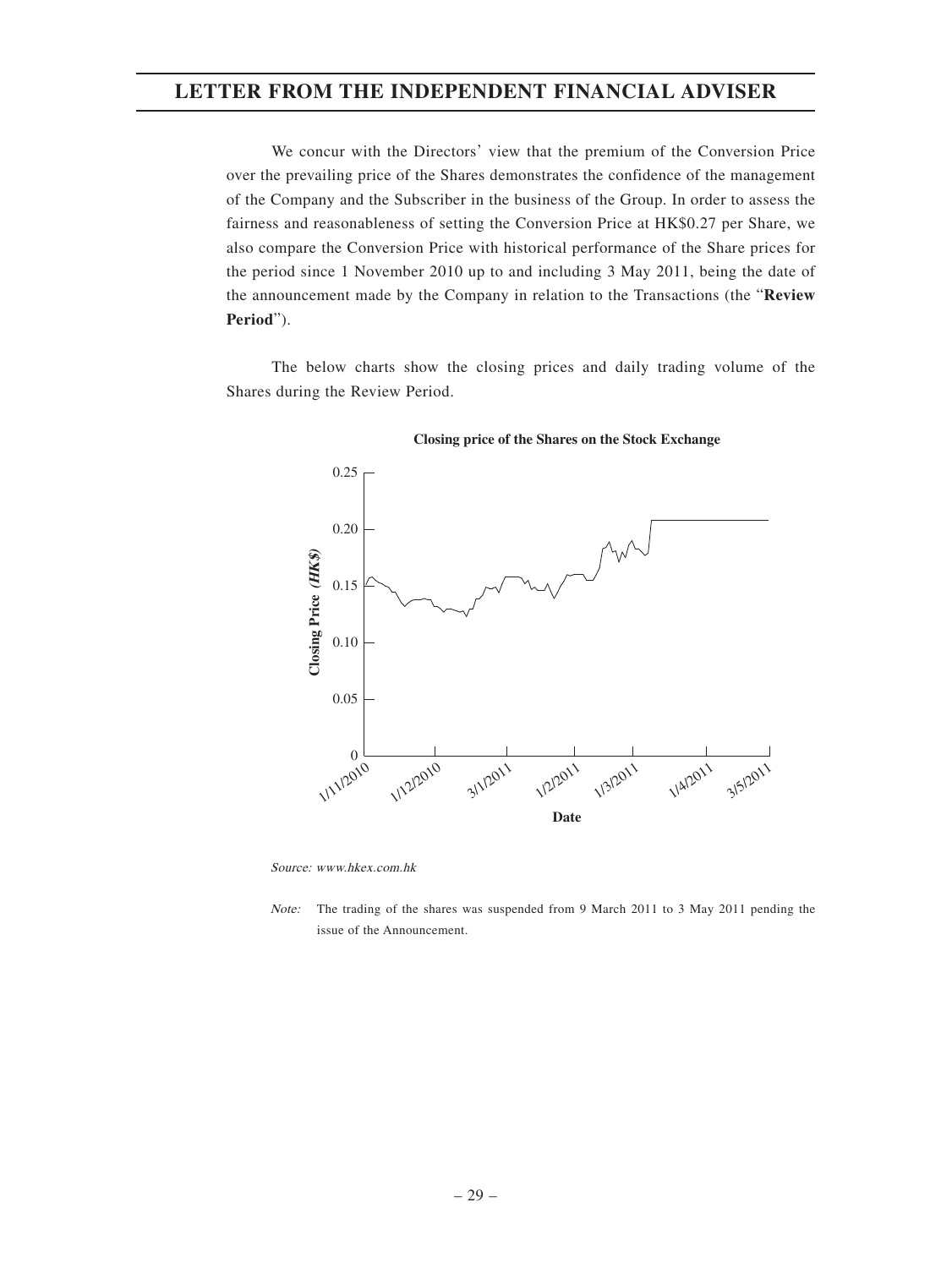We concur with the Directors' view that the premium of the Conversion Price over the prevailing price of the Shares demonstrates the confidence of the management of the Company and the Subscriber in the business of the Group. In order to assess the fairness and reasonableness of setting the Conversion Price at HK\$0.27 per Share, we also compare the Conversion Price with historical performance of the Share prices for the period since 1 November 2010 up to and including 3 May 2011, being the date of the announcement made by the Company in relation to the Transactions (the "**Review Period**").

The below charts show the closing prices and daily trading volume of the Shares during the Review Period.



**Closing price of the Shares on the Stock Exchange**

Source: www.hkex.com.hk

Note: The trading of the shares was suspended from 9 March 2011 to 3 May 2011 pending the issue of the Announcement.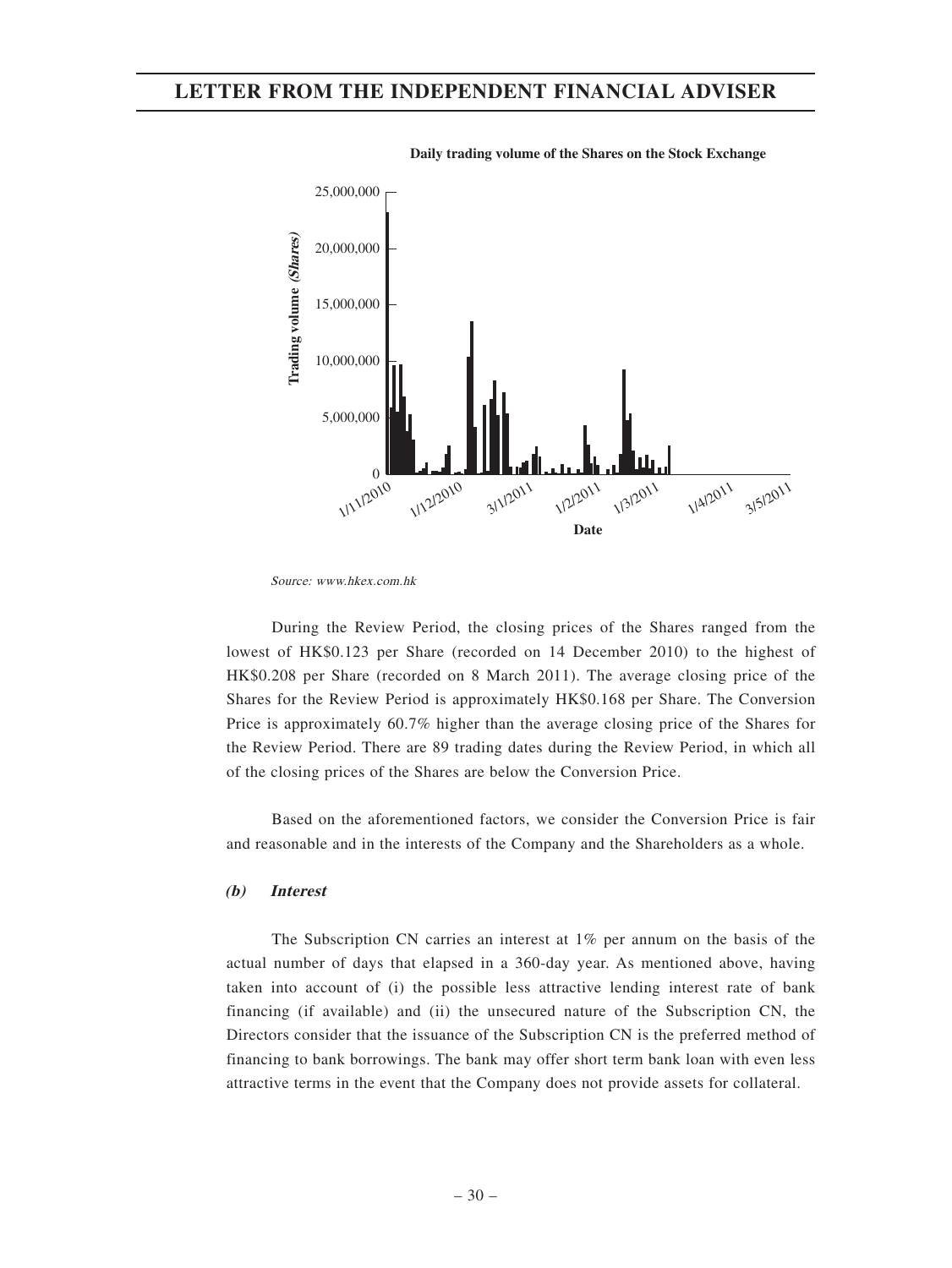

**Daily trading volume of the Shares on the Stock Exchange**

During the Review Period, the closing prices of the Shares ranged from the lowest of HK\$0.123 per Share (recorded on 14 December 2010) to the highest of HK\$0.208 per Share (recorded on 8 March 2011). The average closing price of the Shares for the Review Period is approximately HK\$0.168 per Share. The Conversion Price is approximately 60.7% higher than the average closing price of the Shares for the Review Period. There are 89 trading dates during the Review Period, in which all of the closing prices of the Shares are below the Conversion Price.

Based on the aforementioned factors, we consider the Conversion Price is fair and reasonable and in the interests of the Company and the Shareholders as a whole.

#### **(b) Interest**

The Subscription CN carries an interest at 1% per annum on the basis of the actual number of days that elapsed in a 360-day year. As mentioned above, having taken into account of (i) the possible less attractive lending interest rate of bank financing (if available) and (ii) the unsecured nature of the Subscription CN, the Directors consider that the issuance of the Subscription CN is the preferred method of financing to bank borrowings. The bank may offer short term bank loan with even less attractive terms in the event that the Company does not provide assets for collateral.

Source: www.hkex.com.hk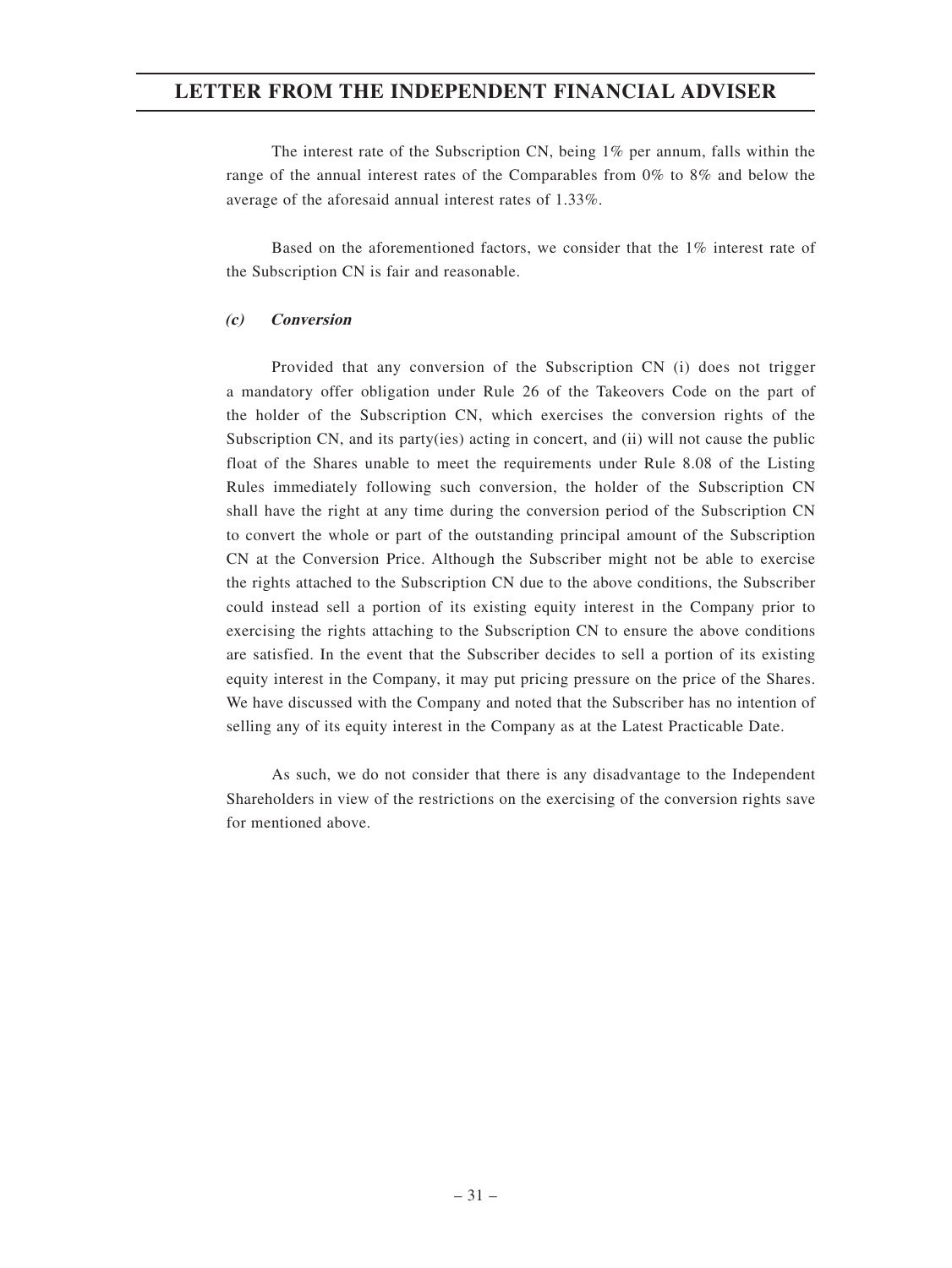The interest rate of the Subscription CN, being 1% per annum, falls within the range of the annual interest rates of the Comparables from 0% to 8% and below the average of the aforesaid annual interest rates of 1.33%.

Based on the aforementioned factors, we consider that the 1% interest rate of the Subscription CN is fair and reasonable.

#### **(c) Conversion**

Provided that any conversion of the Subscription CN (i) does not trigger a mandatory offer obligation under Rule 26 of the Takeovers Code on the part of the holder of the Subscription CN, which exercises the conversion rights of the Subscription CN, and its party(ies) acting in concert, and (ii) will not cause the public float of the Shares unable to meet the requirements under Rule 8.08 of the Listing Rules immediately following such conversion, the holder of the Subscription CN shall have the right at any time during the conversion period of the Subscription CN to convert the whole or part of the outstanding principal amount of the Subscription CN at the Conversion Price. Although the Subscriber might not be able to exercise the rights attached to the Subscription CN due to the above conditions, the Subscriber could instead sell a portion of its existing equity interest in the Company prior to exercising the rights attaching to the Subscription CN to ensure the above conditions are satisfied. In the event that the Subscriber decides to sell a portion of its existing equity interest in the Company, it may put pricing pressure on the price of the Shares. We have discussed with the Company and noted that the Subscriber has no intention of selling any of its equity interest in the Company as at the Latest Practicable Date.

As such, we do not consider that there is any disadvantage to the Independent Shareholders in view of the restrictions on the exercising of the conversion rights save for mentioned above.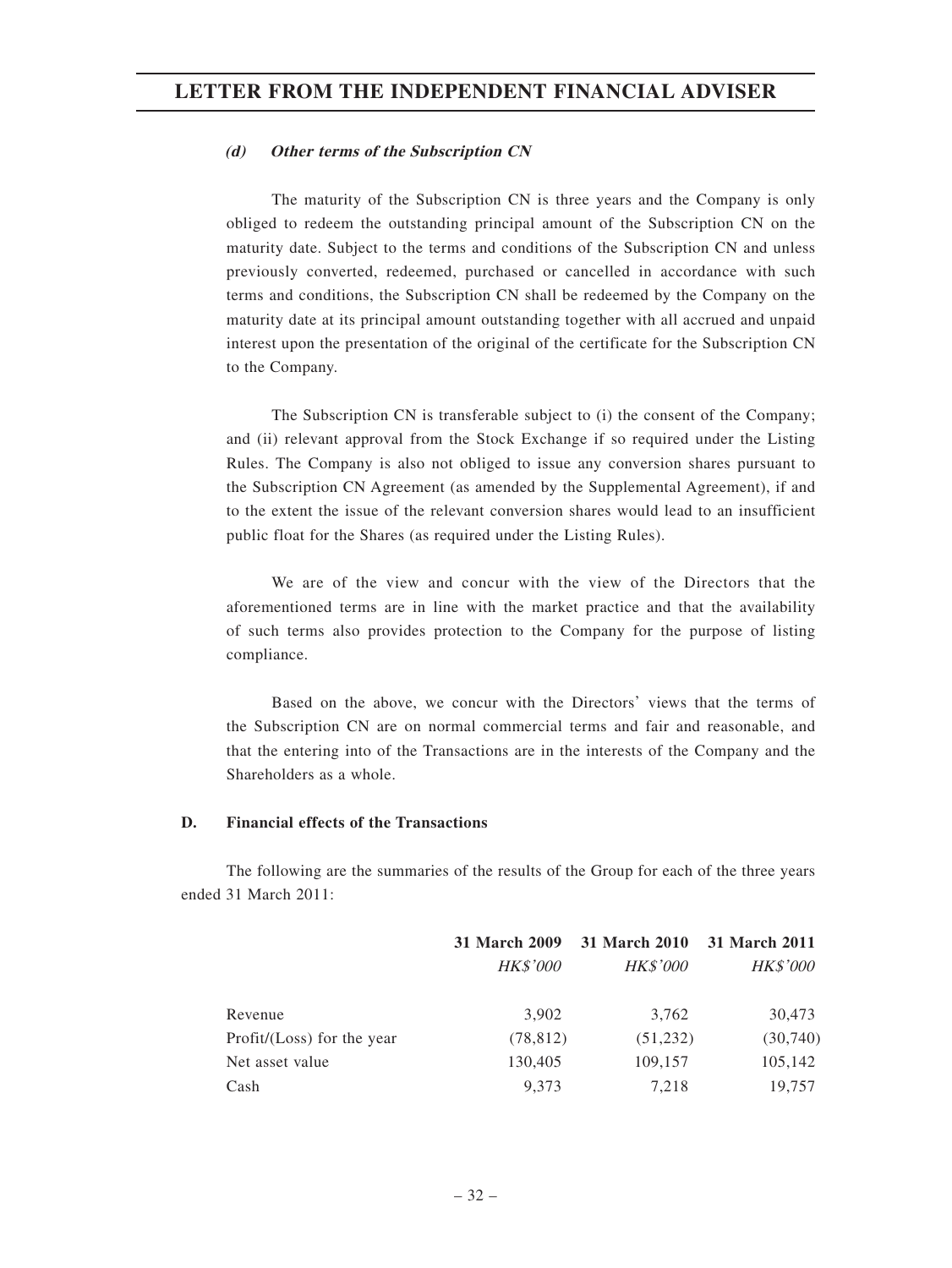#### **(d) Other terms of the Subscription CN**

The maturity of the Subscription CN is three years and the Company is only obliged to redeem the outstanding principal amount of the Subscription CN on the maturity date. Subject to the terms and conditions of the Subscription CN and unless previously converted, redeemed, purchased or cancelled in accordance with such terms and conditions, the Subscription CN shall be redeemed by the Company on the maturity date at its principal amount outstanding together with all accrued and unpaid interest upon the presentation of the original of the certificate for the Subscription CN to the Company.

The Subscription CN is transferable subject to (i) the consent of the Company; and (ii) relevant approval from the Stock Exchange if so required under the Listing Rules. The Company is also not obliged to issue any conversion shares pursuant to the Subscription CN Agreement (as amended by the Supplemental Agreement), if and to the extent the issue of the relevant conversion shares would lead to an insufficient public float for the Shares (as required under the Listing Rules).

We are of the view and concur with the view of the Directors that the aforementioned terms are in line with the market practice and that the availability of such terms also provides protection to the Company for the purpose of listing compliance.

Based on the above, we concur with the Directors' views that the terms of the Subscription CN are on normal commercial terms and fair and reasonable, and that the entering into of the Transactions are in the interests of the Company and the Shareholders as a whole.

#### **D. Financial effects of the Transactions**

The following are the summaries of the results of the Group for each of the three years ended 31 March 2011:

|                            | <b>31 March 2009</b> | 31 March 2010   | 31 March 2011   |  |
|----------------------------|----------------------|-----------------|-----------------|--|
|                            | <b>HK\$'000</b>      | <b>HK\$'000</b> | <b>HK\$'000</b> |  |
| Revenue                    | 3,902                | 3,762           | 30,473          |  |
| Profit/(Loss) for the year | (78, 812)            | (51, 232)       | (30,740)        |  |
| Net asset value            | 130,405              | 109,157         | 105,142         |  |
| Cash                       | 9.373                | 7.218           | 19,757          |  |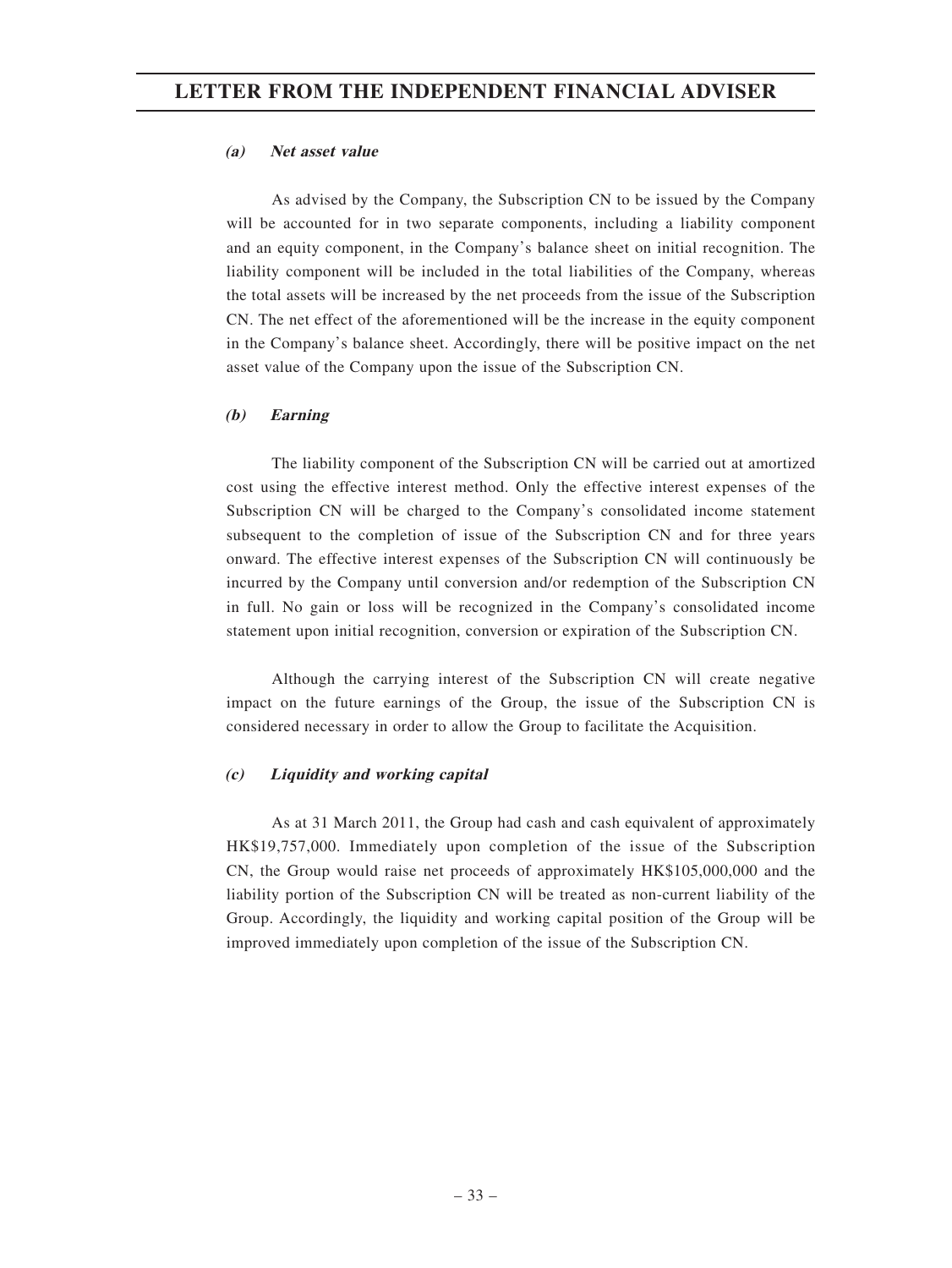#### **(a) Net asset value**

As advised by the Company, the Subscription CN to be issued by the Company will be accounted for in two separate components, including a liability component and an equity component, in the Company's balance sheet on initial recognition. The liability component will be included in the total liabilities of the Company, whereas the total assets will be increased by the net proceeds from the issue of the Subscription CN. The net effect of the aforementioned will be the increase in the equity component in the Company's balance sheet. Accordingly, there will be positive impact on the net asset value of the Company upon the issue of the Subscription CN.

### **(b) Earning**

The liability component of the Subscription CN will be carried out at amortized cost using the effective interest method. Only the effective interest expenses of the Subscription CN will be charged to the Company's consolidated income statement subsequent to the completion of issue of the Subscription CN and for three years onward. The effective interest expenses of the Subscription CN will continuously be incurred by the Company until conversion and/or redemption of the Subscription CN in full. No gain or loss will be recognized in the Company's consolidated income statement upon initial recognition, conversion or expiration of the Subscription CN.

Although the carrying interest of the Subscription CN will create negative impact on the future earnings of the Group, the issue of the Subscription CN is considered necessary in order to allow the Group to facilitate the Acquisition.

#### **(c) Liquidity and working capital**

As at 31 March 2011, the Group had cash and cash equivalent of approximately HK\$19,757,000. Immediately upon completion of the issue of the Subscription CN, the Group would raise net proceeds of approximately HK\$105,000,000 and the liability portion of the Subscription CN will be treated as non-current liability of the Group. Accordingly, the liquidity and working capital position of the Group will be improved immediately upon completion of the issue of the Subscription CN.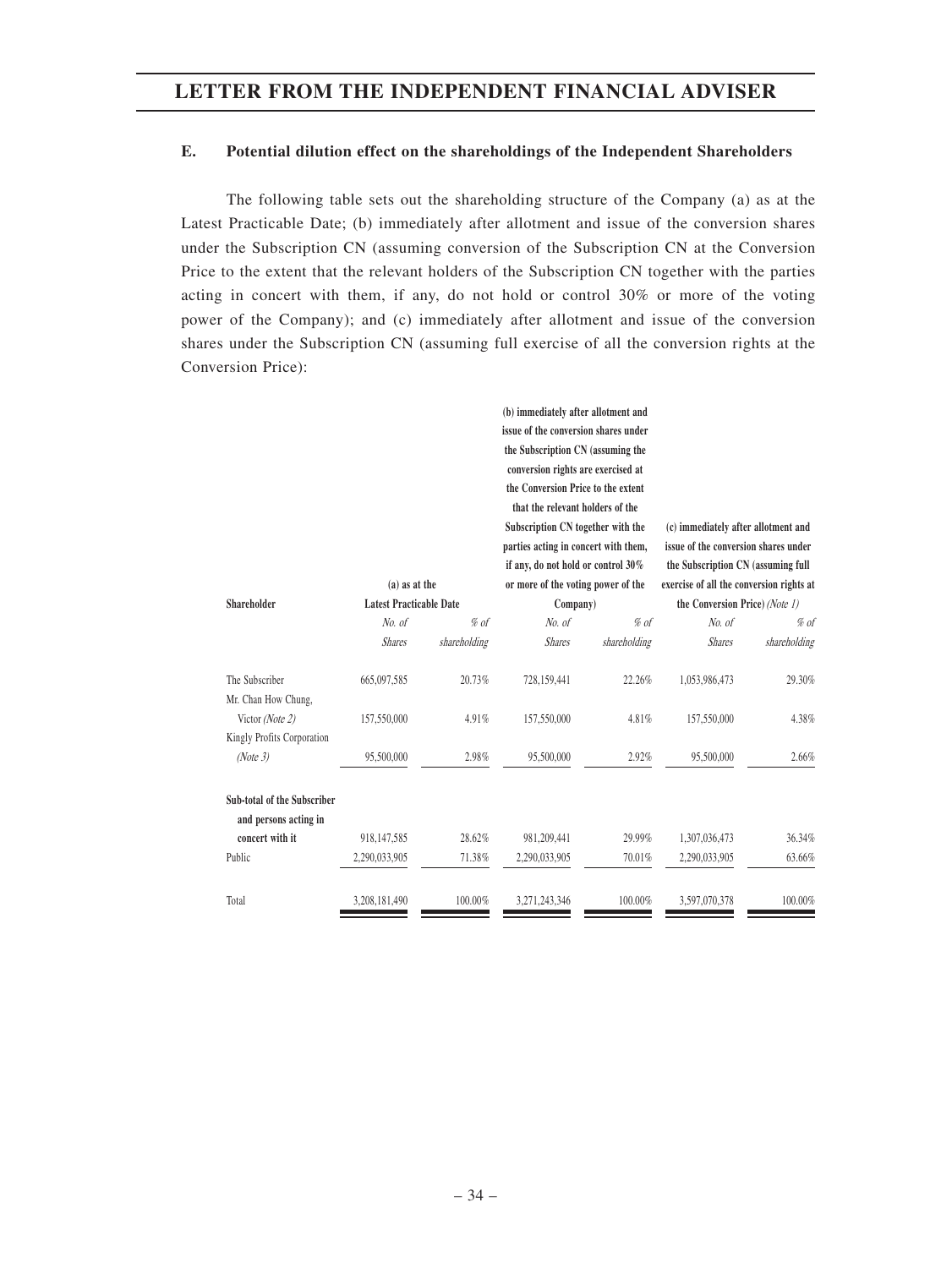#### **E. Potential dilution effect on the shareholdings of the Independent Shareholders**

The following table sets out the shareholding structure of the Company (a) as at the Latest Practicable Date; (b) immediately after allotment and issue of the conversion shares under the Subscription CN (assuming conversion of the Subscription CN at the Conversion Price to the extent that the relevant holders of the Subscription CN together with the parties acting in concert with them, if any, do not hold or control 30% or more of the voting power of the Company); and (c) immediately after allotment and issue of the conversion shares under the Subscription CN (assuming full exercise of all the conversion rights at the Conversion Price):

|                                                      |                                |              | (b) immediately after allotment and<br>issue of the conversion shares under<br>the Subscription CN (assuming the<br>conversion rights are exercised at<br>the Conversion Price to the extent<br>that the relevant holders of the<br>Subscription CN together with the<br>parties acting in concert with them, |              | (c) immediately after allotment and<br>issue of the conversion shares under |              |
|------------------------------------------------------|--------------------------------|--------------|---------------------------------------------------------------------------------------------------------------------------------------------------------------------------------------------------------------------------------------------------------------------------------------------------------------|--------------|-----------------------------------------------------------------------------|--------------|
|                                                      |                                |              | if any, do not hold or control 30%                                                                                                                                                                                                                                                                            |              | the Subscription CN (assuming full                                          |              |
|                                                      | $(a)$ as at the                |              | or more of the voting power of the                                                                                                                                                                                                                                                                            |              | exercise of all the conversion rights at                                    |              |
| Shareholder                                          | <b>Latest Practicable Date</b> |              | Company)                                                                                                                                                                                                                                                                                                      |              | the Conversion Price) (Note 1)                                              |              |
|                                                      | No. of                         | $%$ of       | No. of                                                                                                                                                                                                                                                                                                        | $%$ of       | No. of                                                                      | % of         |
|                                                      | <b>Shares</b>                  | shareholding | <b>Shares</b>                                                                                                                                                                                                                                                                                                 | shareholding | <b>Shares</b>                                                               | shareholding |
| The Subscriber<br>Mr. Chan How Chung,                | 665,097,585                    | 20.73%       | 728,159,441                                                                                                                                                                                                                                                                                                   | 22.26%       | 1,053,986,473                                                               | 29.30%       |
| Victor (Note 2)<br>Kingly Profits Corporation        | 157,550,000                    | 4.91%        | 157,550,000                                                                                                                                                                                                                                                                                                   | 4.81%        | 157,550,000                                                                 | 4.38%        |
| (Note 3)                                             | 95,500,000                     | 2.98%        | 95,500,000                                                                                                                                                                                                                                                                                                    | 2.92%        | 95,500,000                                                                  | 2.66%        |
| Sub-total of the Subscriber<br>and persons acting in |                                |              |                                                                                                                                                                                                                                                                                                               |              |                                                                             |              |
| concert with it                                      | 918, 147, 585                  | 28.62%       | 981,209,441                                                                                                                                                                                                                                                                                                   | 29.99%       | 1,307,036,473                                                               | 36.34%       |
| Public                                               | 2,290,033,905                  | 71.38%       | 2,290,033,905                                                                                                                                                                                                                                                                                                 | 70.01%       | 2,290,033,905                                                               | 63.66%       |
| Total                                                | 3,208,181,490                  | 100.00%      | 3.271.243.346                                                                                                                                                                                                                                                                                                 | 100.00%      | 3,597,070,378                                                               | 100.00%      |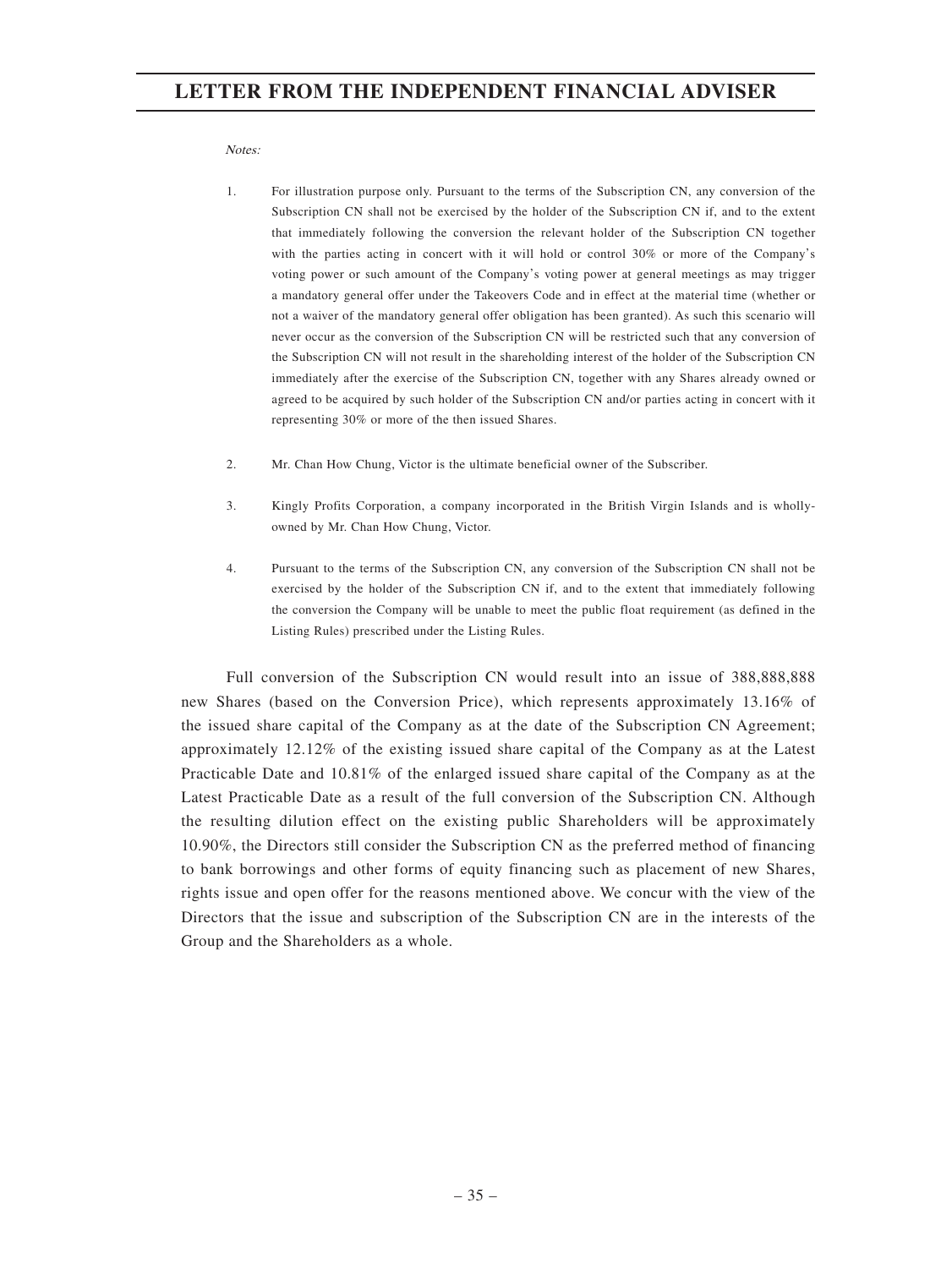Notes:

- 1. For illustration purpose only. Pursuant to the terms of the Subscription CN, any conversion of the Subscription CN shall not be exercised by the holder of the Subscription CN if, and to the extent that immediately following the conversion the relevant holder of the Subscription CN together with the parties acting in concert with it will hold or control 30% or more of the Company's voting power or such amount of the Company's voting power at general meetings as may trigger a mandatory general offer under the Takeovers Code and in effect at the material time (whether or not a waiver of the mandatory general offer obligation has been granted). As such this scenario will never occur as the conversion of the Subscription CN will be restricted such that any conversion of the Subscription CN will not result in the shareholding interest of the holder of the Subscription CN immediately after the exercise of the Subscription CN, together with any Shares already owned or agreed to be acquired by such holder of the Subscription CN and/or parties acting in concert with it representing 30% or more of the then issued Shares.
- 2. Mr. Chan How Chung, Victor is the ultimate beneficial owner of the Subscriber.
- 3. Kingly Profits Corporation, a company incorporated in the British Virgin Islands and is whollyowned by Mr. Chan How Chung, Victor.
- 4. Pursuant to the terms of the Subscription CN, any conversion of the Subscription CN shall not be exercised by the holder of the Subscription CN if, and to the extent that immediately following the conversion the Company will be unable to meet the public float requirement (as defined in the Listing Rules) prescribed under the Listing Rules.

Full conversion of the Subscription CN would result into an issue of 388,888,888 new Shares (based on the Conversion Price), which represents approximately 13.16% of the issued share capital of the Company as at the date of the Subscription CN Agreement; approximately 12.12% of the existing issued share capital of the Company as at the Latest Practicable Date and 10.81% of the enlarged issued share capital of the Company as at the Latest Practicable Date as a result of the full conversion of the Subscription CN. Although the resulting dilution effect on the existing public Shareholders will be approximately 10.90%, the Directors still consider the Subscription CN as the preferred method of financing to bank borrowings and other forms of equity financing such as placement of new Shares, rights issue and open offer for the reasons mentioned above. We concur with the view of the Directors that the issue and subscription of the Subscription CN are in the interests of the Group and the Shareholders as a whole.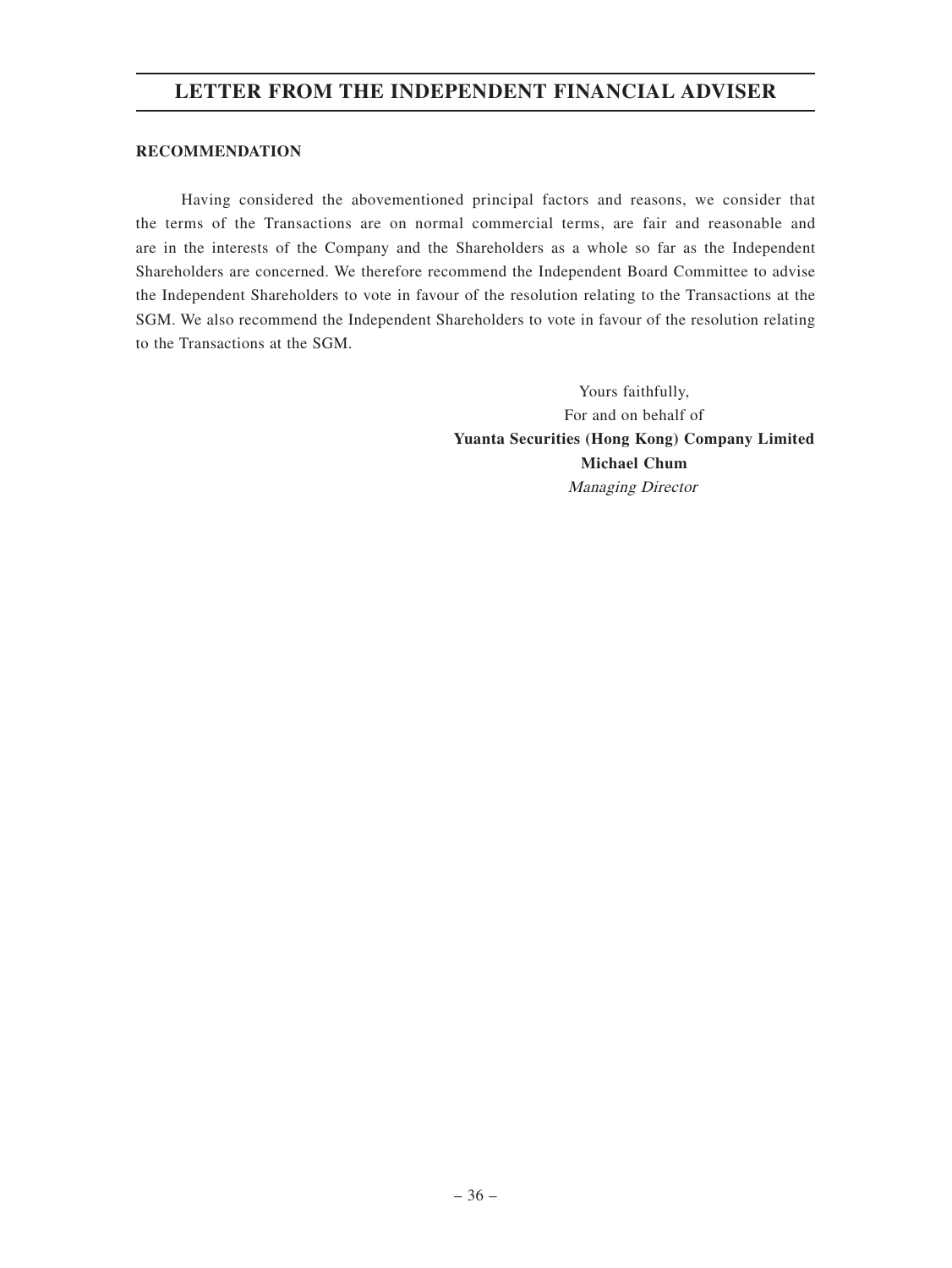#### **RECOMMENDATION**

Having considered the abovementioned principal factors and reasons, we consider that the terms of the Transactions are on normal commercial terms, are fair and reasonable and are in the interests of the Company and the Shareholders as a whole so far as the Independent Shareholders are concerned. We therefore recommend the Independent Board Committee to advise the Independent Shareholders to vote in favour of the resolution relating to the Transactions at the SGM. We also recommend the Independent Shareholders to vote in favour of the resolution relating to the Transactions at the SGM.

> Yours faithfully, For and on behalf of **Yuanta Securities (Hong Kong) Company Limited Michael Chum** Managing Director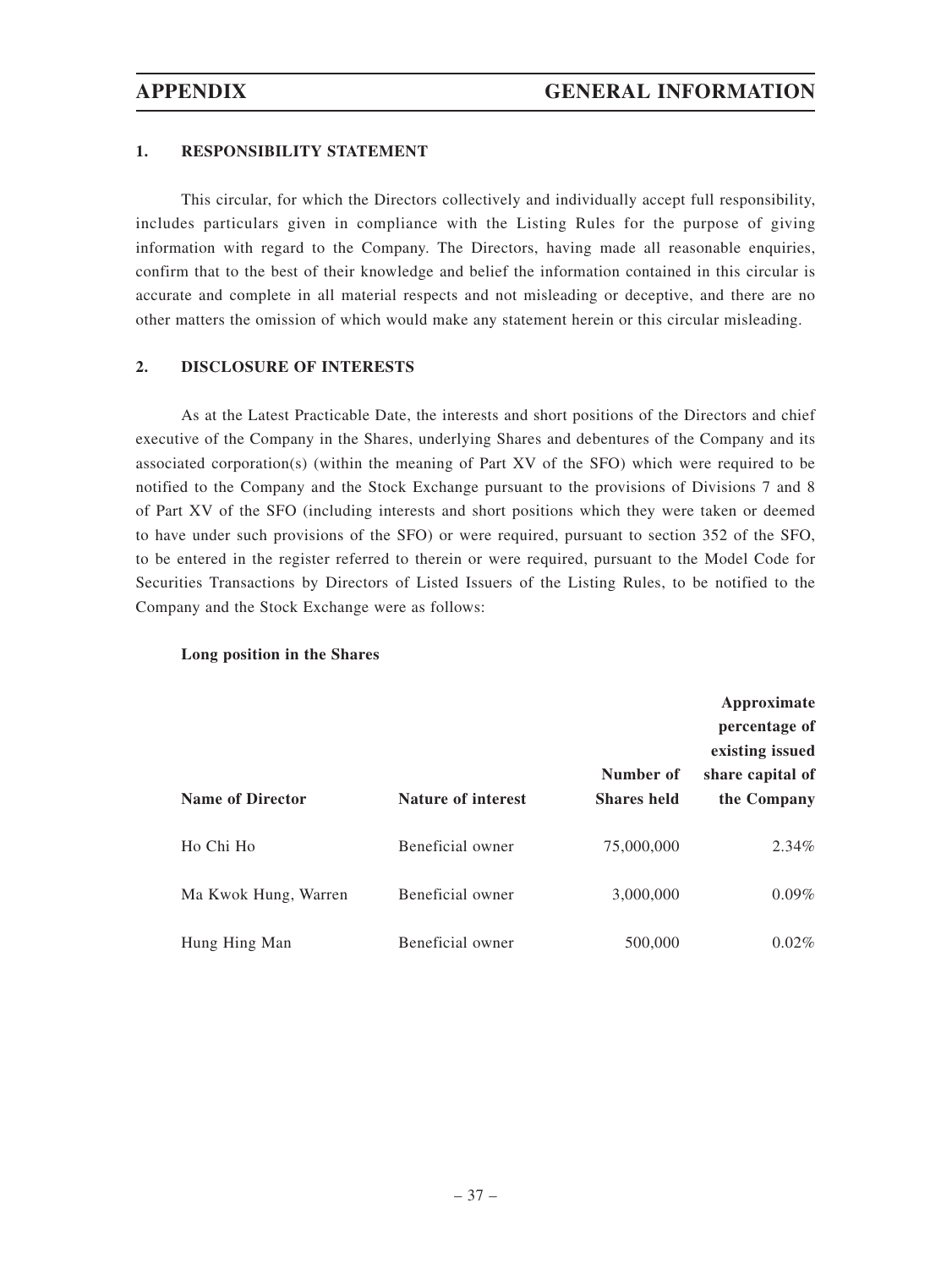#### **1. RESPONSIBILITY STATEMENT**

This circular, for which the Directors collectively and individually accept full responsibility, includes particulars given in compliance with the Listing Rules for the purpose of giving information with regard to the Company. The Directors, having made all reasonable enquiries, confirm that to the best of their knowledge and belief the information contained in this circular is accurate and complete in all material respects and not misleading or deceptive, and there are no other matters the omission of which would make any statement herein or this circular misleading.

#### **2. DISCLOSURE OF INTERESTS**

As at the Latest Practicable Date, the interests and short positions of the Directors and chief executive of the Company in the Shares, underlying Shares and debentures of the Company and its associated corporation(s) (within the meaning of Part XV of the SFO) which were required to be notified to the Company and the Stock Exchange pursuant to the provisions of Divisions 7 and 8 of Part XV of the SFO (including interests and short positions which they were taken or deemed to have under such provisions of the SFO) or were required, pursuant to section 352 of the SFO, to be entered in the register referred to therein or were required, pursuant to the Model Code for Securities Transactions by Directors of Listed Issuers of the Listing Rules, to be notified to the Company and the Stock Exchange were as follows:

#### **Long position in the Shares**

| <b>Name of Director</b> | <b>Nature of interest</b> | Number of<br><b>Shares held</b> | Approximate<br>percentage of<br>existing issued<br>share capital of<br>the Company |
|-------------------------|---------------------------|---------------------------------|------------------------------------------------------------------------------------|
| Ho Chi Ho               | Beneficial owner          | 75,000,000                      | $2.34\%$                                                                           |
| Ma Kwok Hung, Warren    | Beneficial owner          | 3,000,000                       | $0.09\%$                                                                           |
| Hung Hing Man           | Beneficial owner          | 500,000                         | $0.02\%$                                                                           |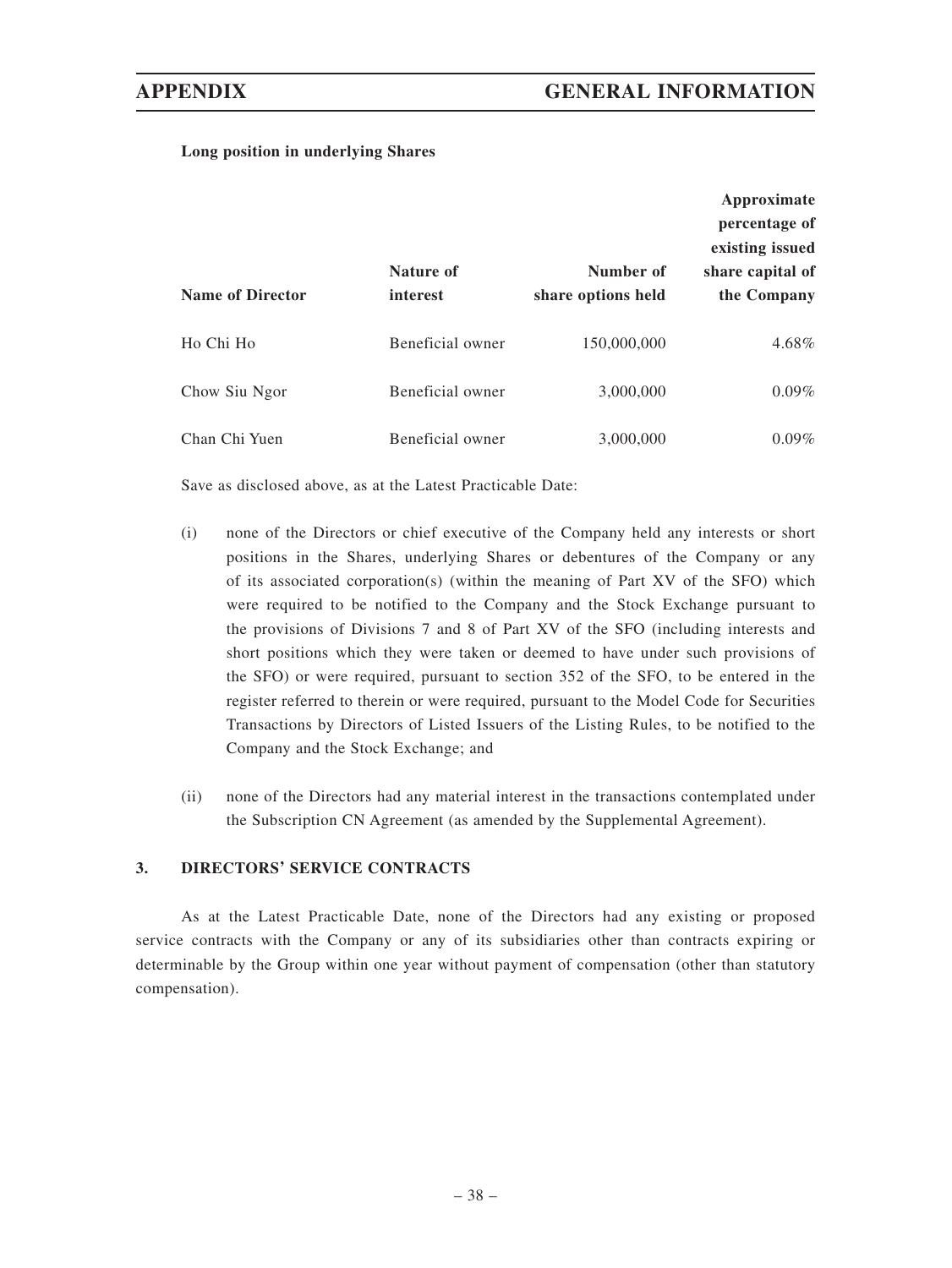#### **Long position in underlying Shares**

|                         |                       |                                 | Approximate<br>percentage of                       |
|-------------------------|-----------------------|---------------------------------|----------------------------------------------------|
| <b>Name of Director</b> | Nature of<br>interest | Number of<br>share options held | existing issued<br>share capital of<br>the Company |
| Ho Chi Ho               | Beneficial owner      | 150,000,000                     | 4.68%                                              |
| Chow Siu Ngor           | Beneficial owner      | 3,000,000                       | $0.09\%$                                           |
| Chan Chi Yuen           | Beneficial owner      | 3,000,000                       | $0.09\%$                                           |

Save as disclosed above, as at the Latest Practicable Date:

- (i) none of the Directors or chief executive of the Company held any interests or short positions in the Shares, underlying Shares or debentures of the Company or any of its associated corporation(s) (within the meaning of Part XV of the SFO) which were required to be notified to the Company and the Stock Exchange pursuant to the provisions of Divisions 7 and 8 of Part XV of the SFO (including interests and short positions which they were taken or deemed to have under such provisions of the SFO) or were required, pursuant to section 352 of the SFO, to be entered in the register referred to therein or were required, pursuant to the Model Code for Securities Transactions by Directors of Listed Issuers of the Listing Rules, to be notified to the Company and the Stock Exchange; and
- (ii) none of the Directors had any material interest in the transactions contemplated under the Subscription CN Agreement (as amended by the Supplemental Agreement).

#### **3. DIRECTORS' SERVICE CONTRACTS**

As at the Latest Practicable Date, none of the Directors had any existing or proposed service contracts with the Company or any of its subsidiaries other than contracts expiring or determinable by the Group within one year without payment of compensation (other than statutory compensation).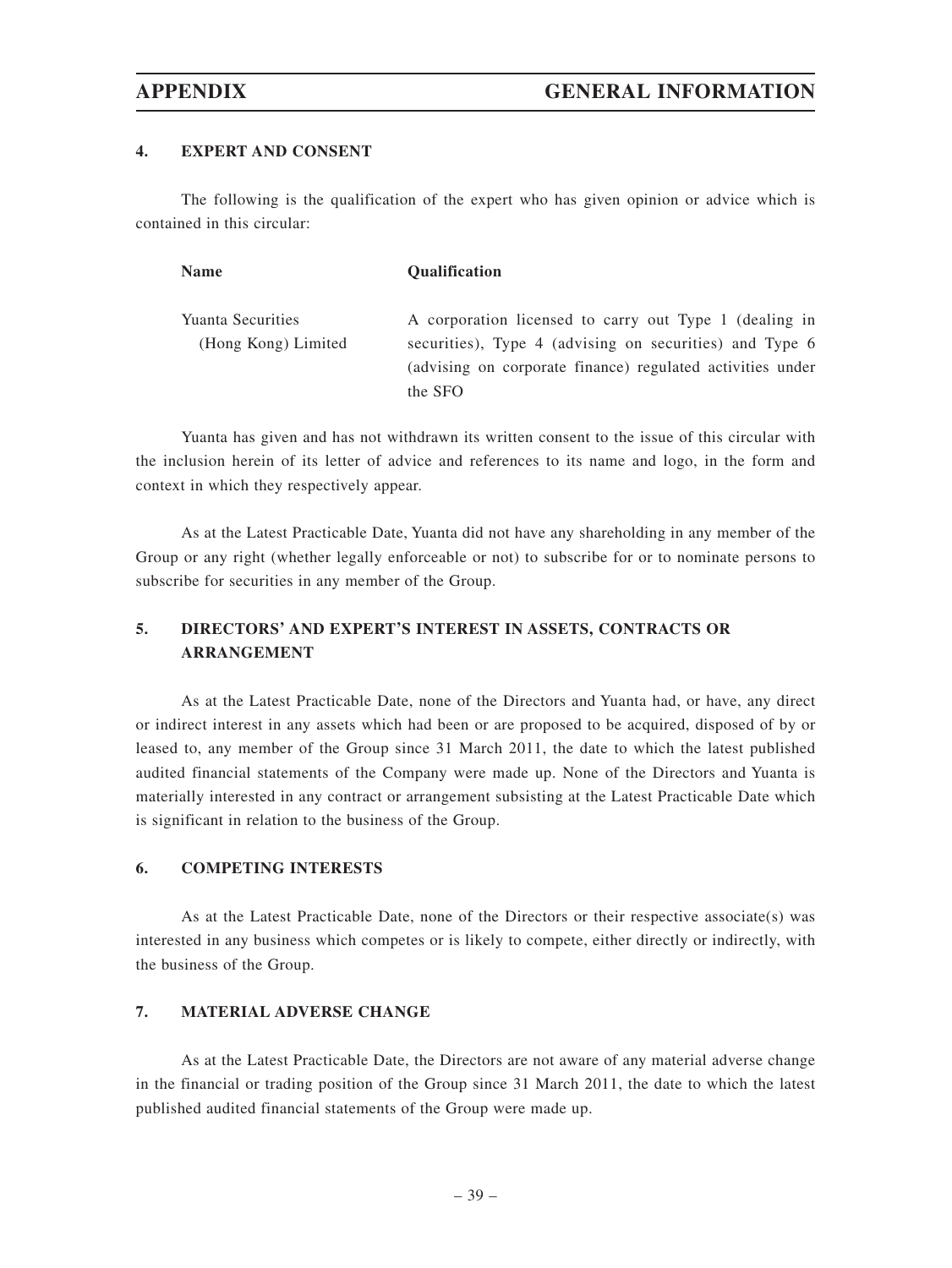#### **4. EXPERT AND CONSENT**

The following is the qualification of the expert who has given opinion or advice which is contained in this circular:

| <b>Name</b>              | Qualification                                              |
|--------------------------|------------------------------------------------------------|
| <b>Yuanta Securities</b> | A corporation licensed to carry out Type 1 (dealing in     |
| (Hong Kong) Limited      | securities), Type 4 (advising on securities) and Type 6    |
|                          | (advising on corporate finance) regulated activities under |
|                          | the SFO                                                    |

Yuanta has given and has not withdrawn its written consent to the issue of this circular with the inclusion herein of its letter of advice and references to its name and logo, in the form and context in which they respectively appear.

As at the Latest Practicable Date, Yuanta did not have any shareholding in any member of the Group or any right (whether legally enforceable or not) to subscribe for or to nominate persons to subscribe for securities in any member of the Group.

## **5. DIRECTORS' AND EXPERT'S INTEREST IN ASSETS, CONTRACTS OR ARRANGEMENT**

As at the Latest Practicable Date, none of the Directors and Yuanta had, or have, any direct or indirect interest in any assets which had been or are proposed to be acquired, disposed of by or leased to, any member of the Group since 31 March 2011, the date to which the latest published audited financial statements of the Company were made up. None of the Directors and Yuanta is materially interested in any contract or arrangement subsisting at the Latest Practicable Date which is significant in relation to the business of the Group.

#### **6. COMPETING INTERESTS**

As at the Latest Practicable Date, none of the Directors or their respective associate(s) was interested in any business which competes or is likely to compete, either directly or indirectly, with the business of the Group.

#### **7. MATERIAL ADVERSE CHANGE**

As at the Latest Practicable Date, the Directors are not aware of any material adverse change in the financial or trading position of the Group since 31 March 2011, the date to which the latest published audited financial statements of the Group were made up.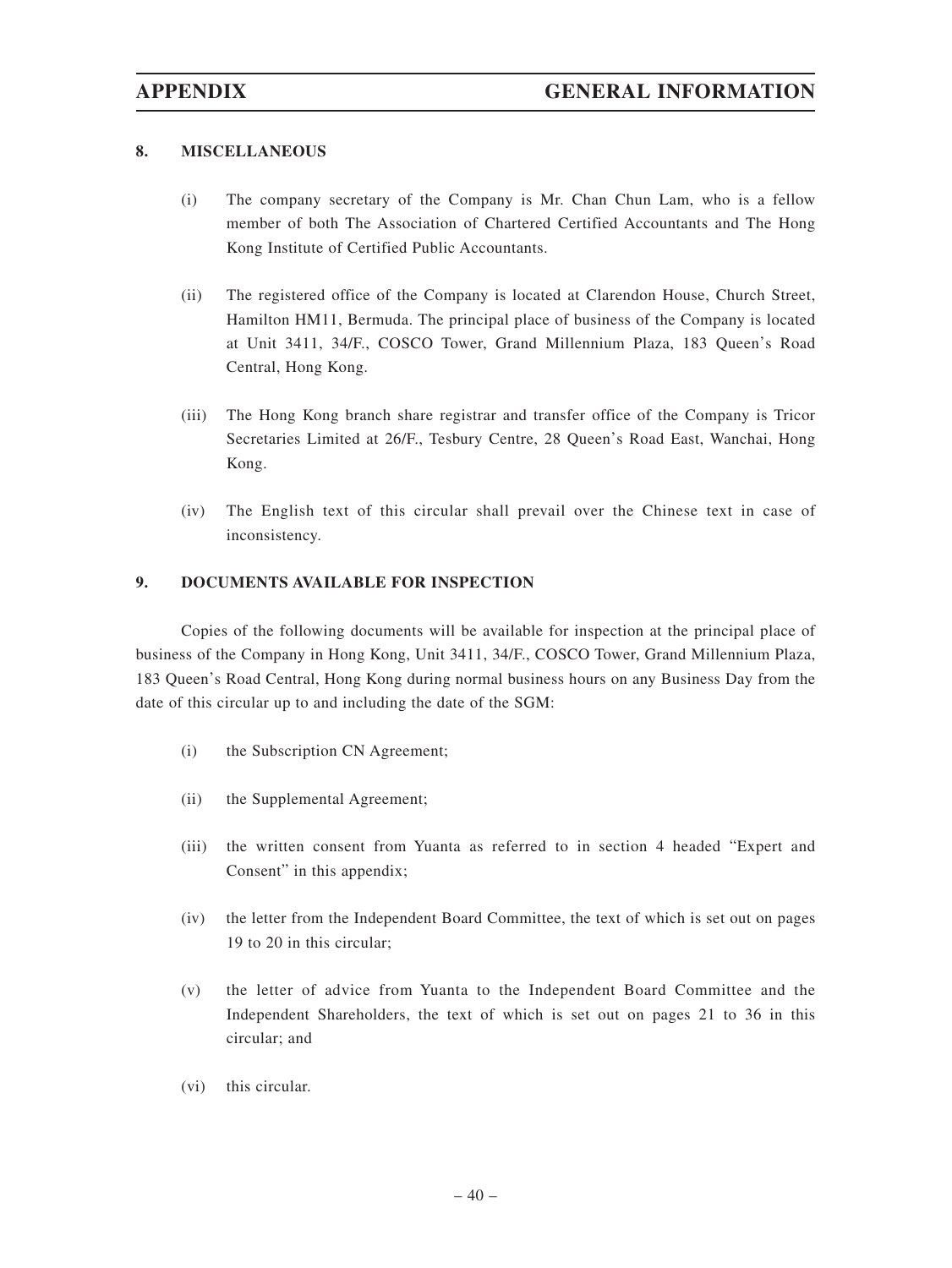#### **8. MISCELLANEOUS**

- (i) The company secretary of the Company is Mr. Chan Chun Lam, who is a fellow member of both The Association of Chartered Certified Accountants and The Hong Kong Institute of Certified Public Accountants.
- (ii) The registered office of the Company is located at Clarendon House, Church Street, Hamilton HM11, Bermuda. The principal place of business of the Company is located at Unit 3411, 34/F., COSCO Tower, Grand Millennium Plaza, 183 Queen's Road Central, Hong Kong.
- (iii) The Hong Kong branch share registrar and transfer office of the Company is Tricor Secretaries Limited at 26/F., Tesbury Centre, 28 Queen's Road East, Wanchai, Hong Kong.
- (iv) The English text of this circular shall prevail over the Chinese text in case of inconsistency.

#### **9. DOCUMENTS AVAILABLE FOR INSPECTION**

Copies of the following documents will be available for inspection at the principal place of business of the Company in Hong Kong, Unit 3411, 34/F., COSCO Tower, Grand Millennium Plaza, 183 Queen's Road Central, Hong Kong during normal business hours on any Business Day from the date of this circular up to and including the date of the SGM:

- (i) the Subscription CN Agreement;
- (ii) the Supplemental Agreement;
- (iii) the written consent from Yuanta as referred to in section 4 headed "Expert and Consent" in this appendix;
- (iv) the letter from the Independent Board Committee, the text of which is set out on pages 19 to 20 in this circular;
- (v) the letter of advice from Yuanta to the Independent Board Committee and the Independent Shareholders, the text of which is set out on pages 21 to 36 in this circular; and
- (vi) this circular.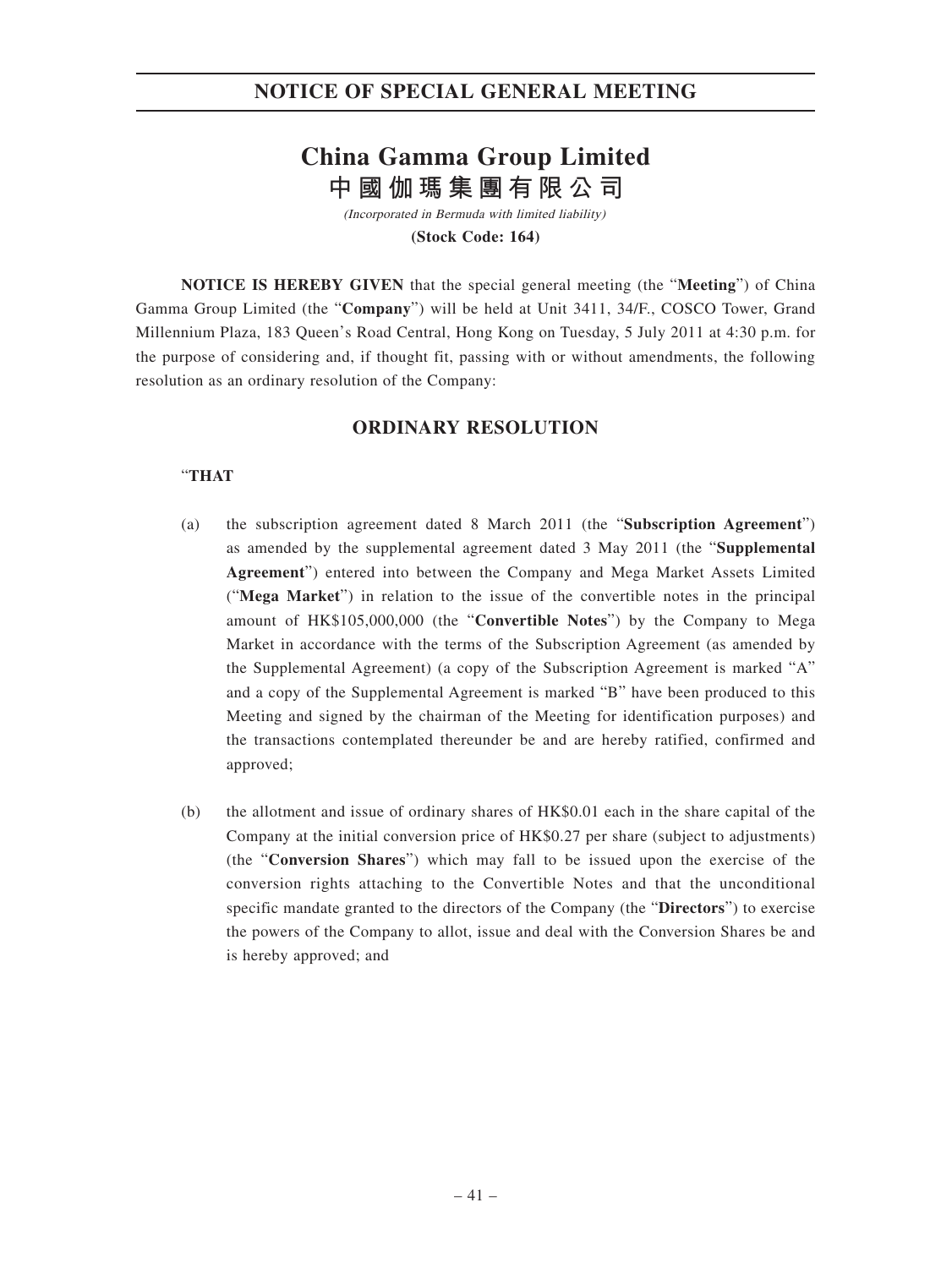## **NOTICE OF SPECIAL GENERAL MEETING**

# **China Gamma Group Limited 中國伽瑪集團有限公司**

(Incorporated in Bermuda with limited liability) **(Stock Code: 164)**

**NOTICE IS HEREBY GIVEN** that the special general meeting (the "**Meeting**") of China Gamma Group Limited (the "**Company**") will be held at Unit 3411, 34/F., COSCO Tower, Grand Millennium Plaza, 183 Queen's Road Central, Hong Kong on Tuesday, 5 July 2011 at 4:30 p.m. for the purpose of considering and, if thought fit, passing with or without amendments, the following resolution as an ordinary resolution of the Company:

## **ORDINARY RESOLUTION**

#### "**THAT**

- (a) the subscription agreement dated 8 March 2011 (the "**Subscription Agreement**") as amended by the supplemental agreement dated 3 May 2011 (the "**Supplemental Agreement**") entered into between the Company and Mega Market Assets Limited ("**Mega Market**") in relation to the issue of the convertible notes in the principal amount of HK\$105,000,000 (the "**Convertible Notes**") by the Company to Mega Market in accordance with the terms of the Subscription Agreement (as amended by the Supplemental Agreement) (a copy of the Subscription Agreement is marked "A" and a copy of the Supplemental Agreement is marked "B" have been produced to this Meeting and signed by the chairman of the Meeting for identification purposes) and the transactions contemplated thereunder be and are hereby ratified, confirmed and approved;
- (b) the allotment and issue of ordinary shares of HK\$0.01 each in the share capital of the Company at the initial conversion price of HK\$0.27 per share (subject to adjustments) (the "**Conversion Shares**") which may fall to be issued upon the exercise of the conversion rights attaching to the Convertible Notes and that the unconditional specific mandate granted to the directors of the Company (the "**Directors**") to exercise the powers of the Company to allot, issue and deal with the Conversion Shares be and is hereby approved; and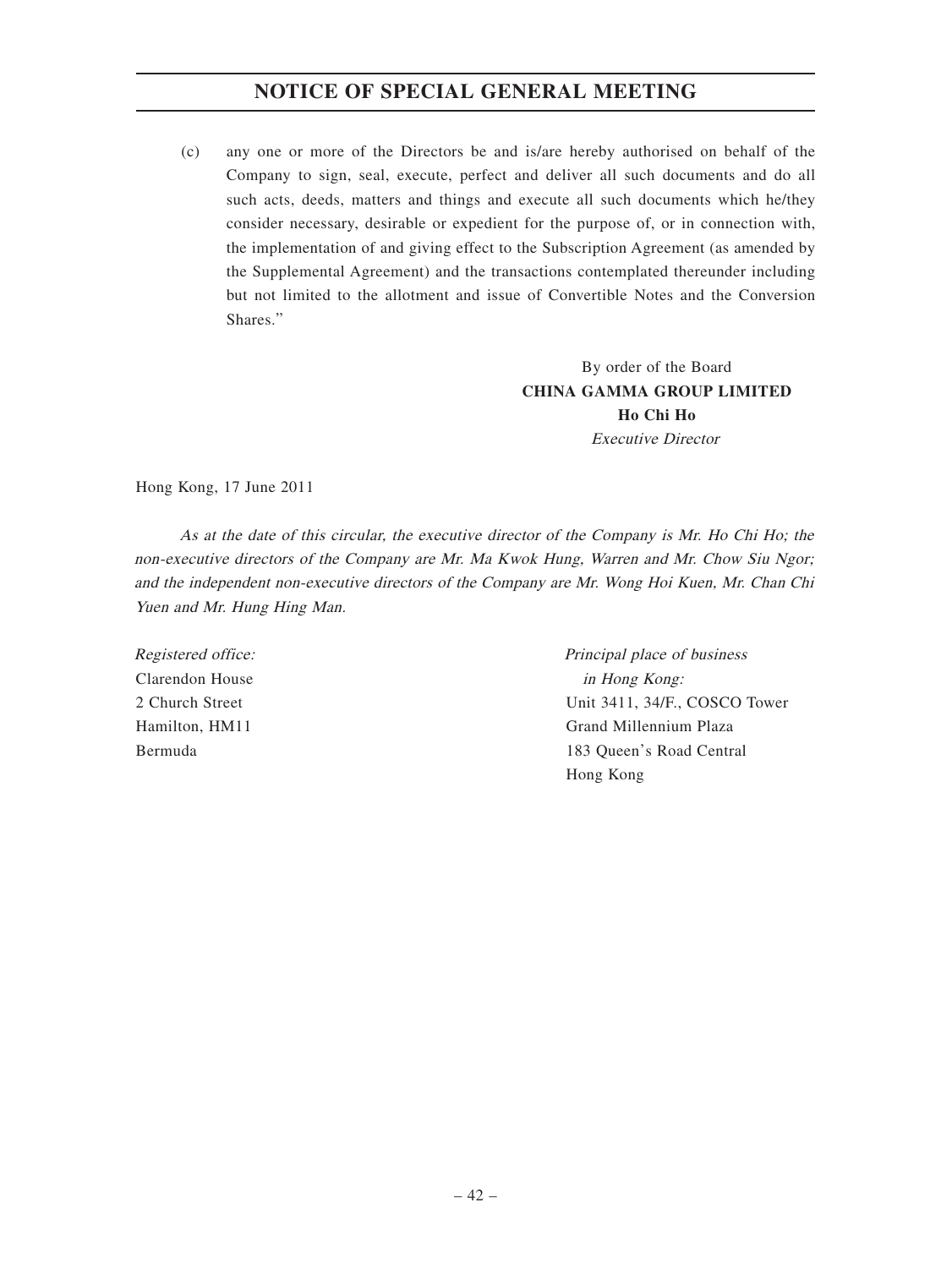## **NOTICE OF SPECIAL GENERAL MEETING**

(c) any one or more of the Directors be and is/are hereby authorised on behalf of the Company to sign, seal, execute, perfect and deliver all such documents and do all such acts, deeds, matters and things and execute all such documents which he/they consider necessary, desirable or expedient for the purpose of, or in connection with, the implementation of and giving effect to the Subscription Agreement (as amended by the Supplemental Agreement) and the transactions contemplated thereunder including but not limited to the allotment and issue of Convertible Notes and the Conversion Shares."

> By order of the Board **CHINA GAMMA GROUP LIMITED Ho Chi Ho** Executive Director

Hong Kong, 17 June 2011

As at the date of this circular, the executive director of the Company is Mr. Ho Chi Ho; the non-executive directors of the Company are Mr. Ma Kwok Hung, Warren and Mr. Chow Siu Ngor; and the independent non-executive directors of the Company are Mr. Wong Hoi Kuen, Mr. Chan Chi Yuen and Mr. Hung Hing Man.

Registered office: Clarendon House 2 Church Street Hamilton, HM11 Bermuda

Principal place of business in Hong Kong: Unit 3411, 34/F., COSCO Tower Grand Millennium Plaza 183 Queen's Road Central Hong Kong